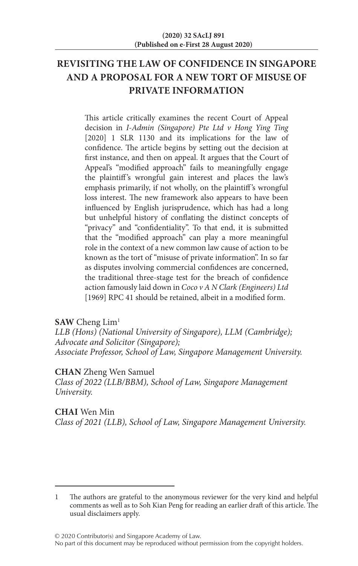# **REVISITING THE LAW OF CONFIDENCE IN SINGAPORE AND A PROPOSAL FOR A NEW TORT OF MISUSE OF PRIVATE INFORMATION**

This article critically examines the recent Court of Appeal decision in *I-Admin (Singapore) Pte Ltd v Hong Ying Ting* [2020] 1 SLR 1130 and its implications for the law of confidence. The article begins by setting out the decision at first instance, and then on appeal. It argues that the Court of Appeal's "modified approach" fails to meaningfully engage the plaintiff 's wrongful gain interest and places the law's emphasis primarily, if not wholly, on the plaintiff 's wrongful loss interest. The new framework also appears to have been influenced by English jurisprudence, which has had a long but unhelpful history of conflating the distinct concepts of "privacy" and "confidentiality". To that end, it is submitted that the "modified approach" can play a more meaningful role in the context of a new common law cause of action to be known as the tort of "misuse of private information". In so far as disputes involving commercial confidences are concerned, the traditional three-stage test for the breach of confidence action famously laid down in *Coco v A N Clark (Engineers) Ltd* [1969] RPC 41 should be retained, albeit in a modified form.

**SAW** Cheng Lim1

*LLB (Hons) (National University of Singapore), LLM (Cambridge); Advocate and Solicitor (Singapore); Associate Professor, School of Law, Singapore Management University.*

## **CHAN** Zheng Wen Samuel

*Class of 2022 (LLB/BBM), School of Law, Singapore Management University.*

## **CHAI** Wen Min

*Class of 2021 (LLB), School of Law, Singapore Management University.*

<sup>1</sup> The authors are grateful to the anonymous reviewer for the very kind and helpful comments as well as to Soh Kian Peng for reading an earlier draft of this article. The usual disclaimers apply.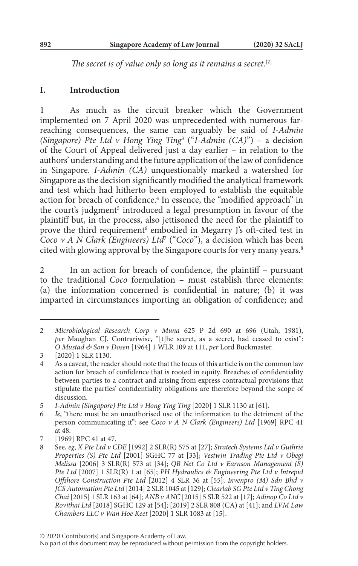*The secret is of value only so long as it remains a secret.*[2]

#### **I. Introduction**

1 As much as the circuit breaker which the Government implemented on 7 April 2020 was unprecedented with numerous farreaching consequences, the same can arguably be said of *I-Admin (Singapore) Pte Ltd v Hong Ying Ting*<sup>3</sup> ("*I-Admin (CA)*") – a decision of the Court of Appeal delivered just a day earlier – in relation to the authors' understanding and the future application of the law of confidence in Singapore. *I-Admin (CA)* unquestionably marked a watershed for Singapore as the decision significantly modified the analytical framework and test which had hitherto been employed to establish the equitable action for breach of confidence.<sup>4</sup> In essence, the "modified approach" in the court's judgment<sup>5</sup> introduced a legal presumption in favour of the plaintiff but, in the process, also jettisoned the need for the plaintiff to prove the third requirement<sup>6</sup> embodied in Megarry J's oft-cited test in *Coco v A N Clark (Engineers) Ltd<sup>7</sup> ("Coco")*, a decision which has been cited with glowing approval by the Singapore courts for very many years.<sup>8</sup>

2 In an action for breach of confidence, the plaintiff – pursuant to the traditional *Coco* formulation – must establish three elements: (a) the information concerned is confidential in nature; (b) it was imparted in circumstances importing an obligation of confidence; and

<sup>2</sup> *Microbiological Research Corp v Muna* 625 P 2d 690 at 696 (Utah, 1981), *per* Maughan CJ. Contrariwise, "[t]he secret, as a secret, had ceased to exist": *O Mustad & Son v Dosen* [1964] 1 WLR 109 at 111, *per* Lord Buckmaster.

<sup>3</sup> [2020] 1 SLR 1130.

<sup>4</sup> As a caveat, the reader should note that the focus of this article is on the common law action for breach of confidence that is rooted in equity. Breaches of confidentiality between parties to a contract and arising from express contractual provisions that stipulate the parties' confidentiality obligations are therefore beyond the scope of discussion.

<sup>5</sup> *I-Admin (Singapore) Pte Ltd v Hong Ying Ting* [2020] 1 SLR 1130 at [61].

<sup>6</sup> *Ie*, "there must be an unauthorised use of the information to the detriment of the person communicating it": see *Coco v A N Clark (Engineers) Ltd* [1969] RPC 41 at 48.

<sup>7 [1969]</sup> RPC 41 at 47.<br>8 See, eg, *X Pte Ltd v* C

<sup>8</sup> See, *eg*, *X Pte Ltd v CDE* [1992] 2 SLR(R) 575 at [27]; *Stratech Systems Ltd v Guthrie Properties (S) Pte Ltd* [2001] SGHC 77 at [33]; *Vestwin Trading Pte Ltd v Obegi Melissa* [2006] 3 SLR(R) 573 at [34]; *QB Net Co Ltd v Earnson Management (S) Pte Ltd* [2007] 1 SLR(R) 1 at [65]; *PH Hydraulics & Engineering Pte Ltd v Intrepid Offshore Construction Pte Ltd* [2012] 4 SLR 36 at [55]; *Invenpro (M) Sdn Bhd v JCS Automation Pte Ltd* [2014] 2 SLR 1045 at [129]; *Clearlab SG Pte Ltd v Ting Chong Chai* [2015] 1 SLR 163 at [64]; *ANB v ANC* [2015] 5 SLR 522 at [17]; *Adinop Co Ltd v Rovithai Ltd* [2018] SGHC 129 at [54]; [2019] 2 SLR 808 (CA) at [41]; and *LVM Law Chambers LLC v Wan Hoe Keet* [2020] 1 SLR 1083 at [15].

No part of this document may be reproduced without permission from the copyright holders.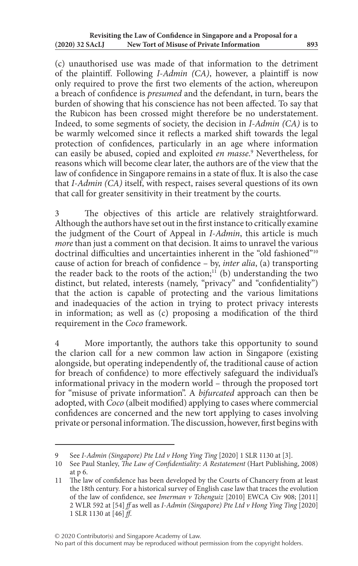(c) unauthorised use was made of that information to the detriment of the plaintiff. Following *I-Admin (CA)*, however, a plaintiff is now only required to prove the first two elements of the action, whereupon a breach of confidence is *presumed* and the defendant, in turn, bears the burden of showing that his conscience has not been affected. To say that the Rubicon has been crossed might therefore be no understatement. Indeed, to some segments of society, the decision in *I-Admin (CA)* is to be warmly welcomed since it reflects a marked shift towards the legal protection of confidences, particularly in an age where information can easily be abused, copied and exploited *en masse*. 9 Nevertheless, for reasons which will become clear later, the authors are of the view that the law of confidence in Singapore remains in a state of flux. It is also the case that *I-Admin (CA)* itself, with respect, raises several questions of its own that call for greater sensitivity in their treatment by the courts.

3 The objectives of this article are relatively straightforward. Although the authors have set out in the first instance to critically examine the judgment of the Court of Appeal in *I-Admin*, this article is much *more* than just a comment on that decision. It aims to unravel the various doctrinal difficulties and uncertainties inherent in the "old fashioned"10 cause of action for breach of confidence – by, *inter alia*, (a) transporting the reader back to the roots of the action;<sup>11</sup> (b) understanding the two distinct, but related, interests (namely, "privacy" and "confidentiality") that the action is capable of protecting and the various limitations and inadequacies of the action in trying to protect privacy interests in information; as well as (c) proposing a modification of the third requirement in the *Coco* framework.

More importantly, the authors take this opportunity to sound the clarion call for a new common law action in Singapore (existing alongside, but operating independently of, the traditional cause of action for breach of confidence) to more effectively safeguard the individual's informational privacy in the modern world – through the proposed tort for "misuse of private information". A *bifurcated* approach can then be adopted, with *Coco* (albeit modified) applying to cases where commercial confidences are concerned and the new tort applying to cases involving private or personal information. The discussion, however, first begins with

<sup>9</sup> See *I-Admin (Singapore) Pte Ltd v Hong Ying Ting* [2020] 1 SLR 1130 at [3].

<sup>10</sup> See Paul Stanley, *The Law of Confidentiality: A Restatement* (Hart Publishing, 2008) at p 6.

<sup>11</sup> The law of confidence has been developed by the Courts of Chancery from at least the 18th century. For a historical survey of English case law that traces the evolution of the law of confidence, see *Imerman v Tchenguiz* [2010] EWCA Civ 908; [2011] 2 WLR 592 at [54] *ff* as well as *I-Admin (Singapore) Pte Ltd v Hong Ying Ting* [2020] 1 SLR 1130 at [46] *ff*.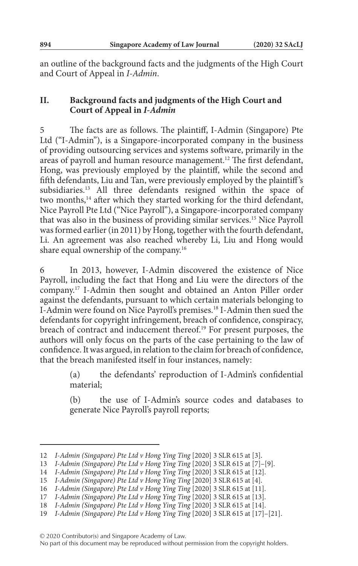an outline of the background facts and the judgments of the High Court and Court of Appeal in *I-Admin*.

## **II. Background facts and judgments of the High Court and Court of Appeal in** *I-Admin*

The facts are as follows. The plaintiff, I-Admin (Singapore) Pte Ltd ("I-Admin"), is a Singapore-incorporated company in the business of providing outsourcing services and systems software, primarily in the areas of payroll and human resource management.<sup>12</sup> The first defendant, Hong, was previously employed by the plaintiff, while the second and fifth defendants, Liu and Tan, were previously employed by the plaintiff 's subsidiaries.13 All three defendants resigned within the space of two months,<sup>14</sup> after which they started working for the third defendant, Nice Payroll Pte Ltd ("Nice Payroll"), a Singapore-incorporated company that was also in the business of providing similar services.15 Nice Payroll was formed earlier (in 2011) by Hong, together with the fourth defendant, Li. An agreement was also reached whereby Li, Liu and Hong would share equal ownership of the company.16

In 2013, however, I-Admin discovered the existence of Nice Payroll, including the fact that Hong and Liu were the directors of the company.17 I-Admin then sought and obtained an Anton Piller order against the defendants, pursuant to which certain materials belonging to I-Admin were found on Nice Payroll's premises.18 I-Admin then sued the defendants for copyright infringement, breach of confidence, conspiracy, breach of contract and inducement thereof.19 For present purposes, the authors will only focus on the parts of the case pertaining to the law of confidence. It was argued, in relation to the claim for breach of confidence, that the breach manifested itself in four instances, namely:

> (a) the defendants' reproduction of I-Admin's confidential material;

> (b) the use of I-Admin's source codes and databases to generate Nice Payroll's payroll reports;

© 2020 Contributor(s) and Singapore Academy of Law.

<sup>12</sup> *I-Admin (Singapore) Pte Ltd v Hong Ying Ting* [2020] 3 SLR 615 at [3].

<sup>13</sup> *I-Admin (Singapore) Pte Ltd v Hong Ying Ting* [2020] 3 SLR 615 at [7]–[9].

<sup>14</sup> *I-Admin (Singapore) Pte Ltd v Hong Ying Ting* [2020] 3 SLR 615 at [12].

<sup>15</sup> *I-Admin (Singapore) Pte Ltd v Hong Ying Ting* [2020] 3 SLR 615 at [4].

<sup>16</sup> *I-Admin (Singapore) Pte Ltd v Hong Ying Ting* [2020] 3 SLR 615 at [11].

<sup>17</sup> *I-Admin (Singapore) Pte Ltd v Hong Ying Ting* [2020] 3 SLR 615 at [13].

<sup>18</sup> *I-Admin (Singapore) Pte Ltd v Hong Ying Ting* [2020] 3 SLR 615 at [14].

<sup>19</sup> *I-Admin (Singapore) Pte Ltd v Hong Ying Ting* [2020] 3 SLR 615 at [17]–[21].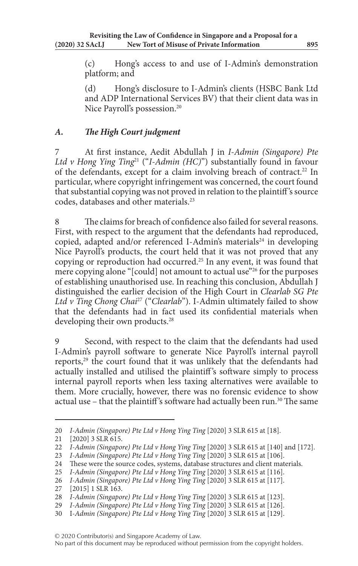(c) Hong's access to and use of I-Admin's demonstration platform; and

(d) Hong's disclosure to I-Admin's clients (HSBC Bank Ltd and ADP International Services BV) that their client data was in Nice Payroll's possession.20

# *A. The High Court judgment*

7 At first instance, Aedit Abdullah J in *I-Admin (Singapore) Pte Ltd v Hong Ying Ting*21 ("*I-Admin (HC)*") substantially found in favour of the defendants, except for a claim involving breach of contract.<sup>22</sup> In particular, where copyright infringement was concerned, the court found that substantial copying was not proved in relation to the plaintiff 's source codes, databases and other materials.23

The claims for breach of confidence also failed for several reasons. First, with respect to the argument that the defendants had reproduced, copied, adapted and/or referenced I-Admin's materials<sup>24</sup> in developing Nice Payroll's products, the court held that it was not proved that any copying or reproduction had occurred.25 In any event, it was found that mere copying alone "[could] not amount to actual use"<sup>26</sup> for the purposes of establishing unauthorised use. In reaching this conclusion, Abdullah J distinguished the earlier decision of the High Court in *Clearlab SG Pte Ltd v Ting Chong Chai*27 ("*Clearlab*"). I-Admin ultimately failed to show that the defendants had in fact used its confidential materials when developing their own products.<sup>28</sup>

Second, with respect to the claim that the defendants had used I-Admin's payroll software to generate Nice Payroll's internal payroll reports,<sup>29</sup> the court found that it was unlikely that the defendants had actually installed and utilised the plaintiff 's software simply to process internal payroll reports when less taxing alternatives were available to them. More crucially, however, there was no forensic evidence to show actual use - that the plaintiff's software had actually been run.<sup>30</sup> The same

<sup>20</sup> *I-Admin (Singapore) Pte Ltd v Hong Ying Ting* [2020] 3 SLR 615 at [18].

<sup>21</sup> [2020] 3 SLR 615.

<sup>22</sup> *I-Admin (Singapore) Pte Ltd v Hong Ying Ting* [2020] 3 SLR 615 at [140] and [172].

<sup>23</sup> *I-Admin (Singapore) Pte Ltd v Hong Ying Ting* [2020] 3 SLR 615 at [106].

<sup>24</sup> These were the source codes, systems, database structures and client materials.

<sup>25</sup> *I-Admin (Singapore) Pte Ltd v Hong Ying Ting* [2020] 3 SLR 615 at [116].

<sup>26</sup> *I-Admin (Singapore) Pte Ltd v Hong Ying Ting* [2020] 3 SLR 615 at [117].

<sup>27</sup> [2015] 1 SLR 163.

<sup>28</sup> *I-Admin (Singapore) Pte Ltd v Hong Ying Ting* [2020] 3 SLR 615 at [123].

<sup>29</sup> *I-Admin (Singapore) Pte Ltd v Hong Ying Ting* [2020] 3 SLR 615 at [126].

<sup>30</sup> I*-Admin (Singapore) Pte Ltd v Hong Ying Ting* [2020] 3 SLR 615 at [129].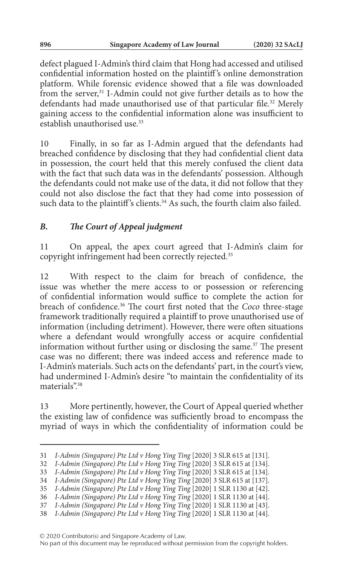defect plagued I-Admin's third claim that Hong had accessed and utilised confidential information hosted on the plaintiff 's online demonstration platform. While forensic evidence showed that a file was downloaded from the server,<sup>31</sup> I-Admin could not give further details as to how the defendants had made unauthorised use of that particular file.<sup>32</sup> Merely gaining access to the confidential information alone was insufficient to establish unauthorised use.<sup>33</sup>

10 Finally, in so far as I-Admin argued that the defendants had breached confidence by disclosing that they had confidential client data in possession, the court held that this merely confused the client data with the fact that such data was in the defendants' possession. Although the defendants could not make use of the data, it did not follow that they could not also disclose the fact that they had come into possession of such data to the plaintiff's clients.<sup>34</sup> As such, the fourth claim also failed.

# *B. The Court of Appeal judgment*

11 On appeal, the apex court agreed that I-Admin's claim for copyright infringement had been correctly rejected.35

12 With respect to the claim for breach of confidence, the issue was whether the mere access to or possession or referencing of confidential information would suffice to complete the action for breach of confidence.36 The court first noted that the *Coco* three-stage framework traditionally required a plaintiff to prove unauthorised use of information (including detriment). However, there were often situations where a defendant would wrongfully access or acquire confidential information without further using or disclosing the same.37 The present case was no different; there was indeed access and reference made to I-Admin's materials. Such acts on the defendants' part, in the court's view, had undermined I-Admin's desire "to maintain the confidentiality of its materials".38

13 More pertinently, however, the Court of Appeal queried whether the existing law of confidence was sufficiently broad to encompass the myriad of ways in which the confidentiality of information could be

© 2020 Contributor(s) and Singapore Academy of Law.

<sup>31</sup> *I-Admin (Singapore) Pte Ltd v Hong Ying Ting* [2020] 3 SLR 615 at [131].

<sup>32</sup> *I-Admin (Singapore) Pte Ltd v Hong Ying Ting* [2020] 3 SLR 615 at [134].

<sup>33</sup> *I-Admin (Singapore) Pte Ltd v Hong Ying Ting* [2020] 3 SLR 615 at [134].

<sup>34</sup> *I-Admin (Singapore) Pte Ltd v Hong Ying Ting* [2020] 3 SLR 615 at [137].

<sup>35</sup> *I-Admin (Singapore) Pte Ltd v Hong Ying Ting* [2020] 1 SLR 1130 at [42].

<sup>36</sup> *I-Admin (Singapore) Pte Ltd v Hong Ying Ting* [2020] 1 SLR 1130 at [44].

<sup>37</sup> *I-Admin (Singapore) Pte Ltd v Hong Ying Ting* [2020] 1 SLR 1130 at [43].

<sup>38</sup> *I-Admin (Singapore) Pte Ltd v Hong Ying Ting* [2020] 1 SLR 1130 at [44].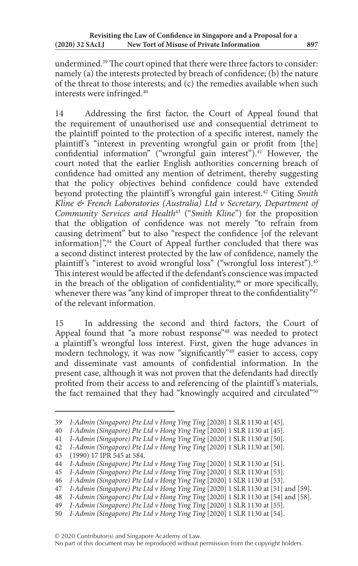undermined.39 The court opined that there were three factors to consider: namely (a) the interests protected by breach of confidence; (b) the nature of the threat to those interests; and (c) the remedies available when such interests were infringed.40

14 Addressing the first factor, the Court of Appeal found that the requirement of unauthorised use and consequential detriment to the plaintiff pointed to the protection of a specific interest, namely the plaintiff's "interest in preventing wrongful gain or profit from [the] confidential information" ("wrongful gain interest"). $41$  However, the court noted that the earlier English authorities concerning breach of confidence had omitted any mention of detriment, thereby suggesting that the policy objectives behind confidence could have extended beyond protecting the plaintiff 's wrongful gain interest.42 Citing *Smith Kline & French Laboratories (Australia) Ltd v Secretary, Department of Community Services and Health*43 ("*Smith Kline*") for the proposition that the obligation of confidence was not merely "to refrain from causing detriment" but to also "respect the confidence [of the relevant information]",<sup>44</sup> the Court of Appeal further concluded that there was a second distinct interest protected by the law of confidence, namely the plaintiff's "interest to avoid wrongful loss" ("wrongful loss interest").<sup>45</sup> This interest would be affected if the defendant's conscience was impacted in the breach of the obligation of confidentiality, $46$  or more specifically, whenever there was "any kind of improper threat to the confidentiality"<sup>47</sup> of the relevant information.

15 In addressing the second and third factors, the Court of Appeal found that "a more robust response"<sup>48</sup> was needed to protect a plaintiff 's wrongful loss interest. First, given the huge advances in modern technology, it was now "significantly"<sup>49</sup> easier to access, copy and disseminate vast amounts of confidential information. In the present case, although it was not proven that the defendants had directly profited from their access to and referencing of the plaintiff 's materials, the fact remained that they had "knowingly acquired and circulated"<sup>50</sup>

<sup>39</sup> *I-Admin (Singapore) Pte Ltd v Hong Ying Ting* [2020] 1 SLR 1130 at [45].

<sup>40</sup> *I-Admin (Singapore) Pte Ltd v Hong Ying Ting* [2020] 1 SLR 1130 at [45].

<sup>41</sup> *I-Admin (Singapore) Pte Ltd v Hong Ying Ting* [2020] 1 SLR 1130 at [50].

<sup>42</sup> *I-Admin (Singapore) Pte Ltd v Hong Ying Ting* [2020] 1 SLR 1130 at [50].

<sup>(1990) 17</sup> IPR 545 at 584.

<sup>44</sup> *I-Admin (Singapore) Pte Ltd v Hong Ying Ting* [2020] 1 SLR 1130 at [51].

<sup>45</sup> *I-Admin (Singapore) Pte Ltd v Hong Ying Ting* [2020] 1 SLR 1130 at [53].

<sup>46</sup> *I-Admin (Singapore) Pte Ltd v Hong Ying Ting* [2020] 1 SLR 1130 at [53].

<sup>47</sup> *I-Admin (Singapore) Pte Ltd v Hong Ying Ting* [2020] 1 SLR 1130 at [51] and [59].

<sup>48</sup> *I-Admin (Singapore) Pte Ltd v Hong Ying Ting* [2020] 1 SLR 1130 at [54] and [58].

<sup>49</sup> *I-Admin (Singapore) Pte Ltd v Hong Ying Ting* [2020] 1 SLR 1130 at [55].

<sup>50</sup> *I-Admin (Singapore) Pte Ltd v Hong Ying Ting* [2020] 1 SLR 1130 at [54].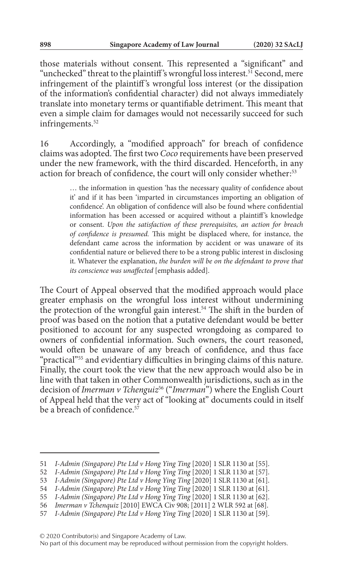those materials without consent. This represented a "significant" and "unchecked" threat to the plaintiff's wrongful loss interest.<sup>51</sup> Second, mere infringement of the plaintiff 's wrongful loss interest (or the dissipation of the information's confidential character) did not always immediately translate into monetary terms or quantifiable detriment. This meant that even a simple claim for damages would not necessarily succeed for such infringements.<sup>52</sup>

16 Accordingly, a "modified approach" for breach of confidence claims was adopted. The first two *Coco* requirements have been preserved under the new framework, with the third discarded. Henceforth, in any action for breach of confidence, the court will only consider whether:<sup>53</sup>

> … the information in question 'has the necessary quality of confidence about it' and if it has been 'imparted in circumstances importing an obligation of confidence'. An obligation of confidence will also be found where confidential information has been accessed or acquired without a plaintiff's knowledge or consent. *Upon the satisfaction of these prerequisites, an action for breach of confidence is presumed.* This might be displaced where, for instance, the defendant came across the information by accident or was unaware of its confidential nature or believed there to be a strong public interest in disclosing it. Whatever the explanation, *the burden will be on the defendant to prove that its conscience was unaffected* [emphasis added].

The Court of Appeal observed that the modified approach would place greater emphasis on the wrongful loss interest without undermining the protection of the wrongful gain interest.<sup>54</sup> The shift in the burden of proof was based on the notion that a putative defendant would be better positioned to account for any suspected wrongdoing as compared to owners of confidential information. Such owners, the court reasoned, would often be unaware of any breach of confidence, and thus face "practical"55 and evidentiary difficulties in bringing claims of this nature. Finally, the court took the view that the new approach would also be in line with that taken in other Commonwealth jurisdictions, such as in the decision of *Imerman v Tchenguiz*56 ("*Imerman*") where the English Court of Appeal held that the very act of "looking at" documents could in itself be a breach of confidence.<sup>57</sup>

© 2020 Contributor(s) and Singapore Academy of Law.

<sup>51</sup> *I-Admin (Singapore) Pte Ltd v Hong Ying Ting* [2020] 1 SLR 1130 at [55].

<sup>52</sup> *I-Admin (Singapore) Pte Ltd v Hong Ying Ting* [2020] 1 SLR 1130 at [57].

<sup>53</sup> *I-Admin (Singapore) Pte Ltd v Hong Ying Ting* [2020] 1 SLR 1130 at [61].

<sup>54</sup> *I-Admin (Singapore) Pte Ltd v Hong Ying Ting* [2020] 1 SLR 1130 at [61].

<sup>55</sup> *I-Admin (Singapore) Pte Ltd v Hong Ying Ting* [2020] 1 SLR 1130 at [62].

<sup>56</sup> *Imerman v Tchenquiz* [2010] EWCA Civ 908; [2011] 2 WLR 592 at [68].

<sup>57</sup> *I-Admin (Singapore) Pte Ltd v Hong Ying Ting* [2020] 1 SLR 1130 at [59].

No part of this document may be reproduced without permission from the copyright holders.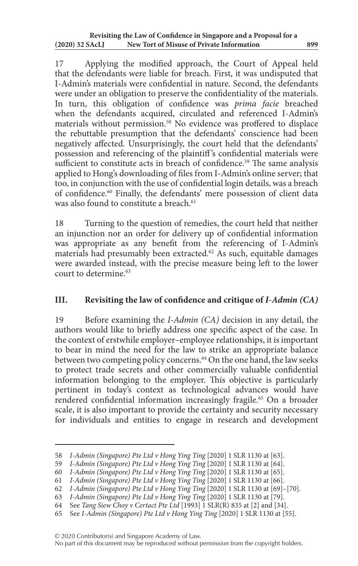17 Applying the modified approach, the Court of Appeal held that the defendants were liable for breach. First, it was undisputed that I-Admin's materials were confidential in nature. Second, the defendants were under an obligation to preserve the confidentiality of the materials. In turn, this obligation of confidence was *prima facie* breached when the defendants acquired, circulated and referenced I-Admin's materials without permission.58 No evidence was proffered to displace the rebuttable presumption that the defendants' conscience had been negatively affected. Unsurprisingly, the court held that the defendants' possession and referencing of the plaintiff 's confidential materials were sufficient to constitute acts in breach of confidence.<sup>59</sup> The same analysis applied to Hong's downloading of files from I-Admin's online server; that too, in conjunction with the use of confidential login details, was a breach of confidence.60 Finally, the defendants' mere possession of client data was also found to constitute a breach.<sup>61</sup>

18 Turning to the question of remedies, the court held that neither an injunction nor an order for delivery up of confidential information was appropriate as any benefit from the referencing of I-Admin's materials had presumably been extracted.<sup>62</sup> As such, equitable damages were awarded instead, with the precise measure being left to the lower court to determine.<sup>63</sup>

## **III. Revisiting the law of confidence and critique of** *I-Admin (CA)*

19 Before examining the *I-Admin (CA)* decision in any detail, the authors would like to briefly address one specific aspect of the case. In the context of erstwhile employer–employee relationships, it is important to bear in mind the need for the law to strike an appropriate balance between two competing policy concerns.<sup>64</sup> On the one hand, the law seeks to protect trade secrets and other commercially valuable confidential information belonging to the employer. This objective is particularly pertinent in today's context as technological advances would have rendered confidential information increasingly fragile.<sup>65</sup> On a broader scale, it is also important to provide the certainty and security necessary for individuals and entities to engage in research and development

© 2020 Contributor(s) and Singapore Academy of Law.

<sup>58</sup> *I-Admin (Singapore) Pte Ltd v Hong Ying Ting* [2020] 1 SLR 1130 at [63].

<sup>59</sup> *I-Admin (Singapore) Pte Ltd v Hong Ying Ting* [2020] 1 SLR 1130 at [64].

<sup>60</sup> *I-Admin (Singapore) Pte Ltd v Hong Ying Ting* [2020] 1 SLR 1130 at [65].

<sup>61</sup> *I-Admin (Singapore) Pte Ltd v Hong Ying Ting* [2020] 1 SLR 1130 at [66].

<sup>62</sup> *I-Admin (Singapore) Pte Ltd v Hong Ying Ting* [2020] 1 SLR 1130 at [69]–[70].

<sup>63</sup> *I-Admin (Singapore) Pte Ltd v Hong Ying Ting* [2020] 1 SLR 1130 at [79].

<sup>64</sup> See *Tang Siew Choy v Certact Pte Ltd* [1993] 1 SLR(R) 835 at [2] and [34].

<sup>65</sup> See *I-Admin (Singapore) Pte Ltd v Hong Ying Ting* [2020] 1 SLR 1130 at [55].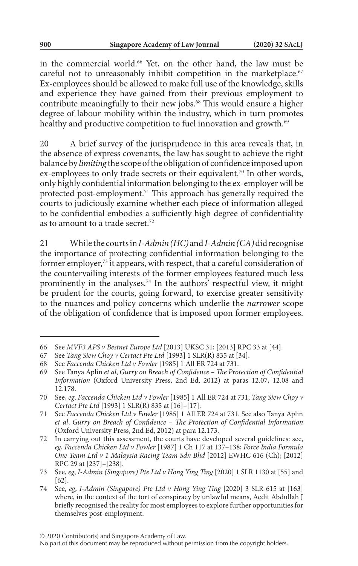in the commercial world.66 Yet, on the other hand, the law must be careful not to unreasonably inhibit competition in the marketplace.<sup>67</sup> Ex-employees should be allowed to make full use of the knowledge, skills and experience they have gained from their previous employment to contribute meaningfully to their new jobs.<sup>68</sup> This would ensure a higher degree of labour mobility within the industry, which in turn promotes healthy and productive competition to fuel innovation and growth.<sup>69</sup>

20 A brief survey of the jurisprudence in this area reveals that, in the absence of express covenants, the law has sought to achieve the right balance by *limiting* the scope of the obligation of confidence imposed upon ex-employees to only trade secrets or their equivalent.<sup>70</sup> In other words, only highly confidential information belonging to the ex-employer will be protected post-employment.<sup>71</sup> This approach has generally required the courts to judiciously examine whether each piece of information alleged to be confidential embodies a sufficiently high degree of confidentiality as to amount to a trade secret.72

21 While the courts in *I-Admin (HC)* and *I-Admin (CA)* did recognise the importance of protecting confidential information belonging to the former employer,73 it appears, with respect, that a careful consideration of the countervailing interests of the former employees featured much less prominently in the analyses.74 In the authors' respectful view, it might be prudent for the courts, going forward, to exercise greater sensitivity to the nuances and policy concerns which underlie the *narrower* scope of the obligation of confidence that is imposed upon former employees.

<sup>66</sup> See *MVF3 APS v Bestnet Europe Ltd* [2013] UKSC 31; [2013] RPC 33 at [44].

<sup>67</sup> See *Tang Siew Choy v Certact Pte Ltd* [1993] 1 SLR(R) 835 at [34].

<sup>68</sup> See *Faccenda Chicken Ltd v Fowler* [1985] 1 All ER 724 at 731.

<sup>69</sup> See Tanya Aplin *et al*, *Gurry on Breach of Confidence – The Protection of Confidential Information* (Oxford University Press, 2nd Ed, 2012) at paras 12.07, 12.08 and 12.178.

<sup>70</sup> See, *eg*, *Faccenda Chicken Ltd v Fowler* [1985] 1 All ER 724 at 731; *Tang Siew Choy v Certact Pte Ltd* [1993] 1 SLR(R) 835 at [16]–[17].

<sup>71</sup> See *Faccenda Chicken Ltd v Fowler* [1985] 1 All ER 724 at 731. See also Tanya Aplin *et al*, *Gurry on Breach of Confidence – The Protection of Confidential Information* (Oxford University Press, 2nd Ed, 2012) at para 12.173.

<sup>72</sup> In carrying out this assessment, the courts have developed several guidelines: see, *eg*, *Faccenda Chicken Ltd v Fowler* [1987] 1 Ch 117 at 137–138; *Force India Formula One Team Ltd v 1 Malaysia Racing Team Sdn Bhd* [2012] EWHC 616 (Ch); [2012] RPC 29 at [237]–[238].

<sup>73</sup> See, *eg*, *I-Admin (Singapore) Pte Ltd v Hong Ying Ting* [2020] 1 SLR 1130 at [55] and [62].

<sup>74</sup> See, *eg*, *I-Admin (Singapore) Pte Ltd v Hong Ying Ting* [2020] 3 SLR 615 at [163] where, in the context of the tort of conspiracy by unlawful means, Aedit Abdullah J briefly recognised the reality for most employees to explore further opportunities for themselves post-employment.

No part of this document may be reproduced without permission from the copyright holders.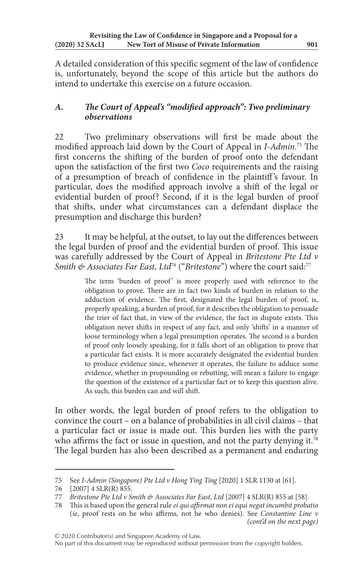A detailed consideration of this specific segment of the law of confidence is, unfortunately, beyond the scope of this article but the authors do intend to undertake this exercise on a future occasion.

# *A. The Court of Appeal's "modified approach": Two preliminary observations*

22 Two preliminary observations will first be made about the modified approach laid down by the Court of Appeal in *I-Admin*. 75 The first concerns the shifting of the burden of proof onto the defendant upon the satisfaction of the first two *Coco* requirements and the raising of a presumption of breach of confidence in the plaintiff 's favour. In particular, does the modified approach involve a shift of the legal or evidential burden of proof? Second, if it is the legal burden of proof that shifts, under what circumstances can a defendant displace the presumption and discharge this burden?

23 It may be helpful, at the outset, to lay out the differences between the legal burden of proof and the evidential burden of proof. This issue was carefully addressed by the Court of Appeal in *Britestone Pte Ltd v Smith & Associates Far East, Ltd*76 ("*Britestone*") where the court said:77

> The term 'burden of proof' is more properly used with reference to the obligation to prove. There are in fact two kinds of burden in relation to the adduction of evidence. The first, designated the legal burden of proof, is, properly speaking, a burden of proof, for it describes the obligation to persuade the trier of fact that, in view of the evidence, the fact in dispute exists. This obligation never shifts in respect of any fact, and only 'shifts' in a manner of loose terminology when a legal presumption operates. The second is a burden of proof only loosely speaking, for it falls short of an obligation to prove that a particular fact exists. It is more accurately designated the evidential burden to produce evidence since, whenever it operates, the failure to adduce some evidence, whether in propounding or rebutting, will mean a failure to engage the question of the existence of a particular fact or to keep this question alive. As such, this burden can and will shift.

In other words, the legal burden of proof refers to the obligation to convince the court – on a balance of probabilities in all civil claims – that a particular fact or issue is made out. This burden lies with the party who affirms the fact or issue in question, and not the party denying it.<sup>78</sup> The legal burden has also been described as a permanent and enduring

<sup>75</sup> See *I-Admin (Singapore) Pte Ltd v Hong Ying Ting* [2020] 1 SLR 1130 at [61].

<sup>76 [2007] 4</sup> SLR(R) 855.<br>77 Resident Pte Ltd v S

*Britestone Pte Ltd v Smith & Associates Far East, Ltd* [2007] 4 SLR(R) 855 at [58].

<sup>78</sup> This is based upon the general rule *ei qui affirmat non ei equi negat incumbit probatio* (*ie*, proof rests on he who affirms, not he who denies). See *Constantine Line v (cont'd on the next page)*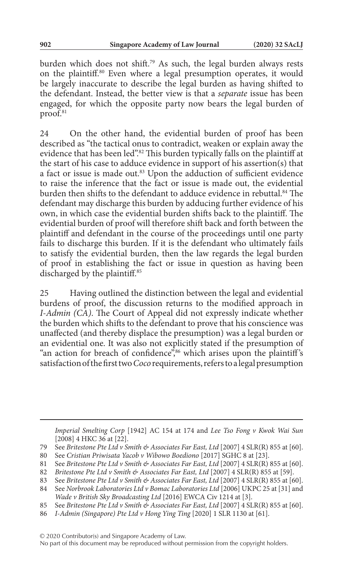burden which does not shift.<sup>79</sup> As such, the legal burden always rests on the plaintiff.80 Even where a legal presumption operates, it would be largely inaccurate to describe the legal burden as having shifted to the defendant. Instead, the better view is that a *separate* issue has been engaged, for which the opposite party now bears the legal burden of proof.<sup>81</sup>

24 On the other hand, the evidential burden of proof has been described as "the tactical onus to contradict, weaken or explain away the evidence that has been led".82 This burden typically falls on the plaintiff at the start of his case to adduce evidence in support of his assertion(s) that a fact or issue is made out.<sup>83</sup> Upon the adduction of sufficient evidence to raise the inference that the fact or issue is made out, the evidential burden then shifts to the defendant to adduce evidence in rebuttal.<sup>84</sup> The defendant may discharge this burden by adducing further evidence of his own, in which case the evidential burden shifts back to the plaintiff. The evidential burden of proof will therefore shift back and forth between the plaintiff and defendant in the course of the proceedings until one party fails to discharge this burden. If it is the defendant who ultimately fails to satisfy the evidential burden, then the law regards the legal burden of proof in establishing the fact or issue in question as having been discharged by the plaintiff.<sup>85</sup>

25 Having outlined the distinction between the legal and evidential burdens of proof, the discussion returns to the modified approach in *I-Admin (CA)*. The Court of Appeal did not expressly indicate whether the burden which shifts to the defendant to prove that his conscience was unaffected (and thereby displace the presumption) was a legal burden or an evidential one. It was also not explicitly stated if the presumption of "an action for breach of confidence",<sup>86</sup> which arises upon the plaintiff's satisfaction of the first two *Coco* requirements, refers to a legal presumption

*Imperial Smelting Corp* [1942] AC 154 at 174 and *Lee Tso Fong v Kwok Wai Sun* [2008] 4 HKC 36 at [22].

80 See *Cristian Priwisata Yacob v Wibowo Boediono* [2017] SGHC 8 at [23].

<sup>79</sup> See *Britestone Pte Ltd v Smith & Associates Far East, Ltd* [2007] 4 SLR(R) 855 at [60].

<sup>81</sup> See *Britestone Pte Ltd v Smith & Associates Far East, Ltd* [2007] 4 SLR(R) 855 at [60].

<sup>82</sup> *Britestone Pte Ltd v Smith & Associates Far East, Ltd* [2007] 4 SLR(R) 855 at [59].

<sup>83</sup> See *Britestone Pte Ltd v Smith & Associates Far East, Ltd* [2007] 4 SLR(R) 855 at [60].

<sup>84</sup> See *Norbrook Laboratories Ltd v Bomac Laboratories Ltd* [2006] UKPC 25 at [31] and *Wade v British Sky Broadcasting Ltd* [2016] EWCA Civ 1214 at [3].

<sup>85</sup> See *Britestone Pte Ltd v Smith & Associates Far East, Ltd* [2007] 4 SLR(R) 855 at [60].

<sup>86</sup> *I-Admin (Singapore) Pte Ltd v Hong Ying Ting* [2020] 1 SLR 1130 at [61].

No part of this document may be reproduced without permission from the copyright holders.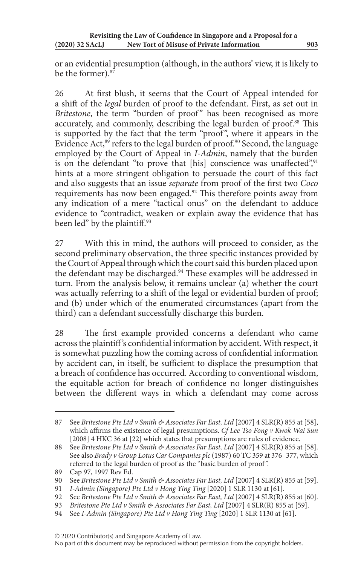or an evidential presumption (although, in the authors' view, it is likely to be the former).<sup>87</sup>

26 At first blush, it seems that the Court of Appeal intended for a shift of the *legal* burden of proof to the defendant. First, as set out in *Britestone*, the term "burden of proof" has been recognised as more accurately, and commonly, describing the legal burden of proof.<sup>88</sup> This is supported by the fact that the term "proof", where it appears in the Evidence Act, $89$  refers to the legal burden of proof. $90$  Second, the language employed by the Court of Appeal in *I-Admin*, namely that the burden is on the defendant "to prove that [his] conscience was unaffected",<sup>91</sup> hints at a more stringent obligation to persuade the court of this fact and also suggests that an issue *separate* from proof of the first two *Coco* requirements has now been engaged.92 This therefore points away from any indication of a mere "tactical onus" on the defendant to adduce evidence to "contradict, weaken or explain away the evidence that has been led" by the plaintiff.<sup>93</sup>

27 With this in mind, the authors will proceed to consider, as the second preliminary observation, the three specific instances provided by the Court of Appeal through which the court said this burden placed upon the defendant may be discharged.<sup>94</sup> These examples will be addressed in turn. From the analysis below, it remains unclear (a) whether the court was actually referring to a shift of the legal or evidential burden of proof; and (b) under which of the enumerated circumstances (apart from the third) can a defendant successfully discharge this burden.

28 The first example provided concerns a defendant who came across the plaintiff 's confidential information by accident. With respect, it is somewhat puzzling how the coming across of confidential information by accident can, in itself, be sufficient to displace the presumption that a breach of confidence has occurred. According to conventional wisdom, the equitable action for breach of confidence no longer distinguishes between the different ways in which a defendant may come across

<sup>87</sup> See *Britestone Pte Ltd v Smith & Associates Far East, Ltd* [2007] 4 SLR(R) 855 at [58], which affirms the existence of legal presumptions. *Cf Lee Tso Fong v Kwok Wai Sun* [2008] 4 HKC 36 at [22] which states that presumptions are rules of evidence.

<sup>88</sup> See *Britestone Pte Ltd v Smith & Associates Far East, Ltd* [2007] 4 SLR(R) 855 at [58]. See also *Brady v Group Lotus Car Companies plc* (1987) 60 TC 359 at 376–377, which referred to the legal burden of proof as the "basic burden of proof ".

<sup>89</sup> Cap 97, 1997 Rev Ed.

<sup>90</sup> See *Britestone Pte Ltd v Smith & Associates Far East, Ltd* [2007] 4 SLR(R) 855 at [59].

<sup>91</sup> *I-Admin (Singapore) Pte Ltd v Hong Ying Ting* [2020] 1 SLR 1130 at [61].

<sup>92</sup> See *Britestone Pte Ltd v Smith & Associates Far East, Ltd* [2007] 4 SLR(R) 855 at [60].

<sup>93</sup> *Britestone Pte Ltd v Smith & Associates Far East, Ltd* [2007] 4 SLR(R) 855 at [59].

<sup>94</sup> See *I-Admin (Singapore) Pte Ltd v Hong Ying Ting* [2020] 1 SLR 1130 at [61].

No part of this document may be reproduced without permission from the copyright holders.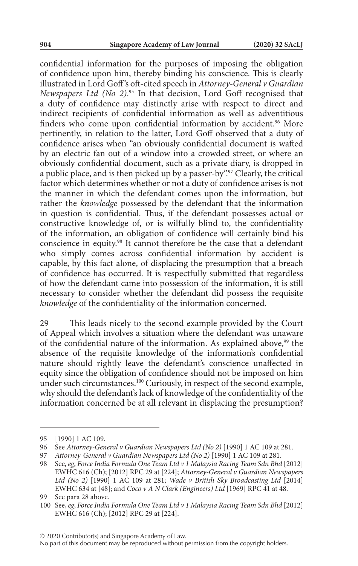confidential information for the purposes of imposing the obligation of confidence upon him, thereby binding his conscience. This is clearly illustrated in Lord Goff 's oft-cited speech in *Attorney-General v Guardian Newspapers Ltd (No 2)*. 95 In that decision, Lord Goff recognised that a duty of confidence may distinctly arise with respect to direct and indirect recipients of confidential information as well as adventitious finders who come upon confidential information by accident.<sup>96</sup> More pertinently, in relation to the latter, Lord Goff observed that a duty of confidence arises when "an obviously confidential document is wafted by an electric fan out of a window into a crowded street, or where an obviously confidential document, such as a private diary, is dropped in a public place, and is then picked up by a passer-by".97 Clearly, the critical factor which determines whether or not a duty of confidence arises is not the manner in which the defendant comes upon the information, but rather the *knowledge* possessed by the defendant that the information in question is confidential. Thus, if the defendant possesses actual or constructive knowledge of, or is wilfully blind to, the confidentiality of the information, an obligation of confidence will certainly bind his conscience in equity.<sup>98</sup> It cannot therefore be the case that a defendant who simply comes across confidential information by accident is capable, by this fact alone, of displacing the presumption that a breach of confidence has occurred. It is respectfully submitted that regardless of how the defendant came into possession of the information, it is still necessary to consider whether the defendant did possess the requisite *knowledge* of the confidentiality of the information concerned.

29 This leads nicely to the second example provided by the Court of Appeal which involves a situation where the defendant was unaware of the confidential nature of the information. As explained above,<sup>99</sup> the absence of the requisite knowledge of the information's confidential nature should rightly leave the defendant's conscience unaffected in equity since the obligation of confidence should not be imposed on him under such circumstances.<sup>100</sup> Curiously, in respect of the second example, why should the defendant's lack of knowledge of the confidentiality of the information concerned be at all relevant in displacing the presumption?

<sup>95</sup> [1990] 1 AC 109.

<sup>96</sup> See *Attorney-General v Guardian Newspapers Ltd (No 2)* [1990] 1 AC 109 at 281.

<sup>97</sup> *Attorney-General v Guardian Newspapers Ltd (No 2)* [1990] 1 AC 109 at 281.

<sup>98</sup> See, *eg*, *Force India Formula One Team Ltd v 1 Malaysia Racing Team Sdn Bhd* [2012] EWHC 616 (Ch); [2012] RPC 29 at [224]; *Attorney-General v Guardian Newspapers Ltd (No 2)* [1990] 1 AC 109 at 281; *Wade v British Sky Broadcasting Ltd* [2014] EWHC 634 at [48]; and *Coco v A N Clark (Engineers) Ltd* [1969] RPC 41 at 48.

<sup>99</sup> See para 28 above.

<sup>100</sup> See, *eg*, *Force India Formula One Team Ltd v 1 Malaysia Racing Team Sdn Bhd* [2012] EWHC 616 (Ch); [2012] RPC 29 at [224].

No part of this document may be reproduced without permission from the copyright holders.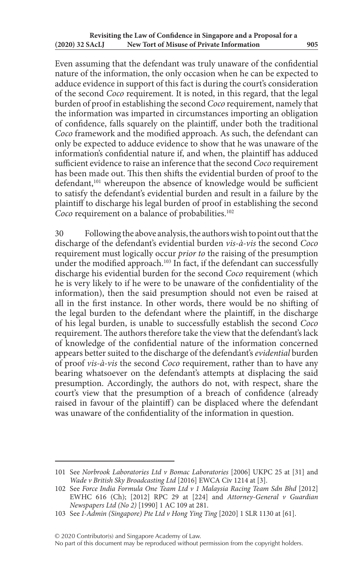Even assuming that the defendant was truly unaware of the confidential nature of the information, the only occasion when he can be expected to adduce evidence in support of this fact is during the court's consideration of the second *Coco* requirement. It is noted, in this regard, that the legal burden of proof in establishing the second *Coco* requirement, namely that the information was imparted in circumstances importing an obligation of confidence, falls squarely on the plaintiff, under both the traditional *Coco* framework and the modified approach. As such, the defendant can only be expected to adduce evidence to show that he was unaware of the information's confidential nature if, and when, the plaintiff has adduced sufficient evidence to raise an inference that the second *Coco* requirement has been made out. This then shifts the evidential burden of proof to the defendant,<sup>101</sup> whereupon the absence of knowledge would be sufficient to satisfy the defendant's evidential burden and result in a failure by the plaintiff to discharge his legal burden of proof in establishing the second Coco requirement on a balance of probabilities.<sup>102</sup>

30 Following the above analysis, the authors wish to point out that the discharge of the defendant's evidential burden *vis-à-vis* the second *Coco* requirement must logically occur *prior to* the raising of the presumption under the modified approach.<sup>103</sup> In fact, if the defendant can successfully discharge his evidential burden for the second *Coco* requirement (which he is very likely to if he were to be unaware of the confidentiality of the information), then the said presumption should not even be raised at all in the first instance. In other words, there would be no shifting of the legal burden to the defendant where the plaintiff, in the discharge of his legal burden, is unable to successfully establish the second *Coco* requirement. The authors therefore take the view that the defendant's lack of knowledge of the confidential nature of the information concerned appears better suited to the discharge of the defendant's *evidential* burden of proof *vis-à-vis* the second *Coco* requirement, rather than to have any bearing whatsoever on the defendant's attempts at displacing the said presumption. Accordingly, the authors do not, with respect, share the court's view that the presumption of a breach of confidence (already raised in favour of the plaintiff) can be displaced where the defendant was unaware of the confidentiality of the information in question.

<sup>101</sup> See *Norbrook Laboratories Ltd v Bomac Laboratories* [2006] UKPC 25 at [31] and *Wade v British Sky Broadcasting Ltd* [2016] EWCA Civ 1214 at [3].

<sup>102</sup> See *Force India Formula One Team Ltd v 1 Malaysia Racing Team Sdn Bhd* [2012] EWHC 616 (Ch); [2012] RPC 29 at [224] and *Attorney-General v Guardian Newspapers Ltd (No 2)* [1990] 1 AC 109 at 281.

<sup>103</sup> See *I-Admin (Singapore) Pte Ltd v Hong Ying Ting* [2020] 1 SLR 1130 at [61].

No part of this document may be reproduced without permission from the copyright holders.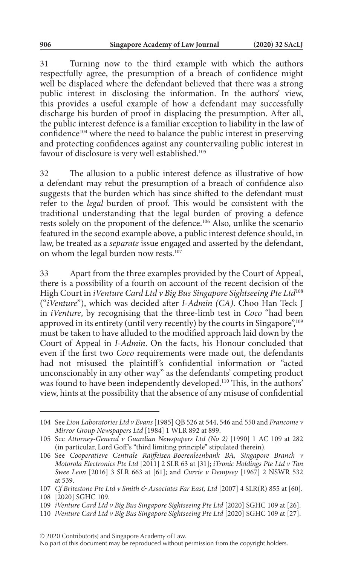31 Turning now to the third example with which the authors respectfully agree, the presumption of a breach of confidence might well be displaced where the defendant believed that there was a strong public interest in disclosing the information. In the authors' view, this provides a useful example of how a defendant may successfully discharge his burden of proof in displacing the presumption. After all, the public interest defence is a familiar exception to liability in the law of confidence104 where the need to balance the public interest in preserving and protecting confidences against any countervailing public interest in favour of disclosure is very well established.<sup>105</sup>

32 The allusion to a public interest defence as illustrative of how a defendant may rebut the presumption of a breach of confidence also suggests that the burden which has since shifted to the defendant must refer to the *legal* burden of proof. This would be consistent with the traditional understanding that the legal burden of proving a defence rests solely on the proponent of the defence.106 Also, unlike the scenario featured in the second example above, a public interest defence should, in law, be treated as a *separate* issue engaged and asserted by the defendant, on whom the legal burden now rests.<sup>107</sup>

33 Apart from the three examples provided by the Court of Appeal, there is a possibility of a fourth on account of the recent decision of the High Court in *iVenture Card Ltd v Big Bus Singapore Sightseeing Pte Ltd*<sup>108</sup> ("*iVenture*"), which was decided after *I-Admin (CA)*. Choo Han Teck J in *iVenture*, by recognising that the three-limb test in *Coco* "had been approved in its entirety (until very recently) by the courts in Singapore",<sup>109</sup> must be taken to have alluded to the modified approach laid down by the Court of Appeal in *I-Admin*. On the facts, his Honour concluded that even if the first two *Coco* requirements were made out, the defendants had not misused the plaintiff's confidential information or "acted unconscionably in any other way" as the defendants' competing product was found to have been independently developed.110 This, in the authors' view, hints at the possibility that the absence of any misuse of confidential

© 2020 Contributor(s) and Singapore Academy of Law.

<sup>104</sup> See *Lion Laboratories Ltd v Evans* [1985] QB 526 at 544, 546 and 550 and *Francome v Mirror Group Newspapers Ltd* [1984] 1 WLR 892 at 899.

<sup>105</sup> See *Attorney-General v Guardian Newspapers Ltd (No 2)* [1990] 1 AC 109 at 282 (in particular, Lord Goff 's "third limiting principle" stipulated therein).

<sup>106</sup> See *Cooperatieve Centrale Raiffeisen-Boerenleenbank BA, Singapore Branch v Motorola Electronics Pte Ltd* [2011] 2 SLR 63 at [31]; *iTronic Holdings Pte Ltd v Tan Swee Leon* [2016] 3 SLR 663 at [61]; and *Currie v Dempsey* [1967] 2 NSWR 532 at 539.

<sup>107</sup> *Cf Britestone Pte Ltd v Smith & Associates Far East, Ltd* [2007] 4 SLR(R) 855 at [60]. 108 [2020] SGHC 109.

<sup>109</sup> *iVenture Card Ltd v Big Bus Singapore Sightseeing Pte Ltd* [2020] SGHC 109 at [26].

<sup>110</sup> *iVenture Card Ltd v Big Bus Singapore Sightseeing Pte Ltd* [2020] SGHC 109 at [27].

No part of this document may be reproduced without permission from the copyright holders.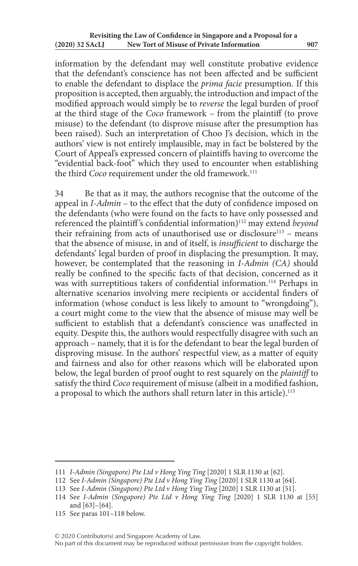information by the defendant may well constitute probative evidence that the defendant's conscience has not been affected and be sufficient to enable the defendant to displace the *prima facie* presumption. If this proposition is accepted, then arguably, the introduction and impact of the modified approach would simply be to *reverse* the legal burden of proof at the third stage of the *Coco* framework – from the plaintiff (to prove misuse) to the defendant (to disprove misuse after the presumption has been raised). Such an interpretation of Choo J's decision, which in the authors' view is not entirely implausible, may in fact be bolstered by the Court of Appeal's expressed concern of plaintiffs having to overcome the "evidential back-foot" which they used to encounter when establishing the third *Coco* requirement under the old framework.<sup>111</sup>

34 Be that as it may, the authors recognise that the outcome of the appeal in *I-Admin* – to the effect that the duty of confidence imposed on the defendants (who were found on the facts to have only possessed and referenced the plaintiff 's confidential information)112 may extend *beyond* their refraining from acts of unauthorised use or disclosure<sup>113</sup> - means that the absence of misuse, in and of itself, is *insufficient* to discharge the defendants' legal burden of proof in displacing the presumption. It may, however, be contemplated that the reasoning in *I-Admin (CA)* should really be confined to the specific facts of that decision, concerned as it was with surreptitious takers of confidential information.<sup>114</sup> Perhaps in alternative scenarios involving mere recipients or accidental finders of information (whose conduct is less likely to amount to "wrongdoing"), a court might come to the view that the absence of misuse may well be sufficient to establish that a defendant's conscience was unaffected in equity. Despite this, the authors would respectfully disagree with such an approach – namely, that it is for the defendant to bear the legal burden of disproving misuse. In the authors' respectful view, as a matter of equity and fairness and also for other reasons which will be elaborated upon below, the legal burden of proof ought to rest squarely on the *plaintiff* to satisfy the third *Coco* requirement of misuse (albeit in a modified fashion, a proposal to which the authors shall return later in this article).<sup>115</sup>

<sup>111</sup> *I-Admin (Singapore) Pte Ltd v Hong Ying Ting* [2020] 1 SLR 1130 at [62].

<sup>112</sup> See *I-Admin (Singapore) Pte Ltd v Hong Ying Ting* [2020] 1 SLR 1130 at [64].

<sup>113</sup> See *I-Admin (Singapore) Pte Ltd v Hong Ying Ting* [2020] 1 SLR 1130 at [51].

<sup>114</sup> See *I-Admin (Singapore) Pte Ltd v Hong Ying Ting* [2020] 1 SLR 1130 at [55] and [63]–[64].

<sup>115</sup> See paras 101–118 below.

No part of this document may be reproduced without permission from the copyright holders.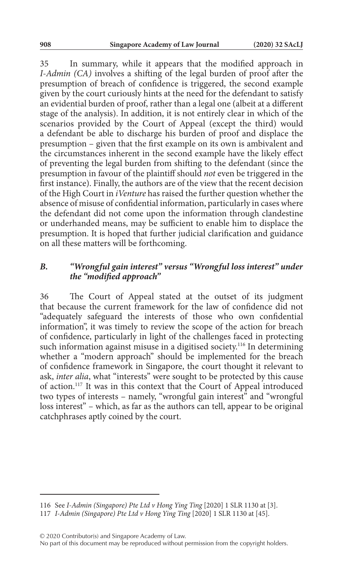35 In summary, while it appears that the modified approach in *I-Admin (CA)* involves a shifting of the legal burden of proof after the presumption of breach of confidence is triggered, the second example given by the court curiously hints at the need for the defendant to satisfy an evidential burden of proof, rather than a legal one (albeit at a different stage of the analysis). In addition, it is not entirely clear in which of the scenarios provided by the Court of Appeal (except the third) would a defendant be able to discharge his burden of proof and displace the presumption – given that the first example on its own is ambivalent and the circumstances inherent in the second example have the likely effect of preventing the legal burden from shifting to the defendant (since the presumption in favour of the plaintiff should *not* even be triggered in the first instance). Finally, the authors are of the view that the recent decision of the High Court in *iVenture* has raised the further question whether the absence of misuse of confidential information, particularly in cases where the defendant did not come upon the information through clandestine or underhanded means, may be sufficient to enable him to displace the presumption. It is hoped that further judicial clarification and guidance on all these matters will be forthcoming.

## *B. "Wrongful gain interest" versus "Wrongful loss interest" under the "modified approach"*

36 The Court of Appeal stated at the outset of its judgment that because the current framework for the law of confidence did not "adequately safeguard the interests of those who own confidential information", it was timely to review the scope of the action for breach of confidence, particularly in light of the challenges faced in protecting such information against misuse in a digitised society.<sup>116</sup> In determining whether a "modern approach" should be implemented for the breach of confidence framework in Singapore, the court thought it relevant to ask, *inter alia*, what "interests" were sought to be protected by this cause of action.117 It was in this context that the Court of Appeal introduced two types of interests – namely, "wrongful gain interest" and "wrongful loss interest" – which, as far as the authors can tell, appear to be original catchphrases aptly coined by the court.

© 2020 Contributor(s) and Singapore Academy of Law.

<sup>116</sup> See *I-Admin (Singapore) Pte Ltd v Hong Ying Ting* [2020] 1 SLR 1130 at [3].

<sup>117</sup> *I-Admin (Singapore) Pte Ltd v Hong Ying Ting* [2020] 1 SLR 1130 at [45].

No part of this document may be reproduced without permission from the copyright holders.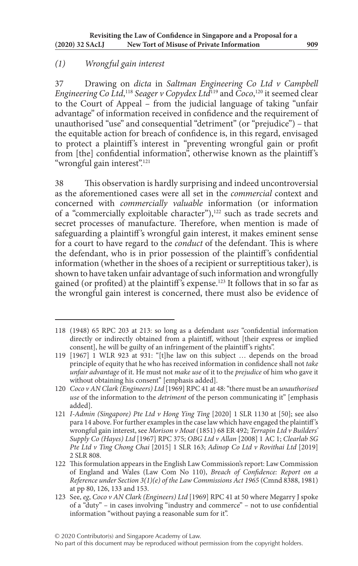# *(1) Wrongful gain interest*

37 Drawing on *dicta* in *Saltman Engineering Co Ltd v Campbell Engineering Co Ltd*, <sup>118</sup> *Seager v Copydex Ltd*119 and *Coco*, 120 it seemed clear to the Court of Appeal – from the judicial language of taking "unfair advantage" of information received in confidence and the requirement of unauthorised "use" and consequential "detriment" (or "prejudice") – that the equitable action for breach of confidence is, in this regard, envisaged to protect a plaintiff's interest in "preventing wrongful gain or profit from [the] confidential information", otherwise known as the plaintiff 's "wrongful gain interest".121

38 This observation is hardly surprising and indeed uncontroversial as the aforementioned cases were all set in the *commercial* context and concerned with *commercially valuable* information (or information of a "commercially exploitable character"),<sup>122</sup> such as trade secrets and secret processes of manufacture. Therefore, when mention is made of safeguarding a plaintiff's wrongful gain interest, it makes eminent sense for a court to have regard to the *conduct* of the defendant. This is where the defendant, who is in prior possession of the plaintiff 's confidential information (whether in the shoes of a recipient or surreptitious taker), is shown to have taken unfair advantage of such information and wrongfully gained (or profited) at the plaintiff 's expense.123 It follows that in so far as the wrongful gain interest is concerned, there must also be evidence of

<sup>118</sup> (1948) 65 RPC 203 at 213: so long as a defendant *uses* "confidential information directly or indirectly obtained from a plaintiff, without [their express or implied consent], he will be guilty of an infringement of the plaintiff 's rights".

<sup>119</sup> [1967] 1 WLR 923 at 931: "[t]he law on this subject … depends on the broad principle of equity that he who has received information in confidence shall not *take unfair advantage* of it. He must not *make use* of it to the *prejudice* of him who gave it without obtaining his consent" [emphasis added].

<sup>120</sup> *Coco v AN Clark (Engineers) Ltd* [1969] RPC 41 at 48: "there must be an *unauthorised use* of the information to the *detriment* of the person communicating it" [emphasis added].

<sup>121</sup> *I-Admin (Singapore) Pte Ltd v Hong Ying Ting* [2020] 1 SLR 1130 at [50]; see also para 14 above. For further examples in the case law which have engaged the plaintiff 's wrongful gain interest, see *Morison v Moat* (1851) 68 ER 492; *Terrapin Ltd v Builders' Supply Co (Hayes) Ltd* [1967] RPC 375; *OBG Ltd v Allan* [2008] 1 AC 1; *Clearlab SG Pte Ltd v Ting Chong Chai* [2015] 1 SLR 163; *Adinop Co Ltd v Rovithai Ltd* [2019] 2 SLR 808.

<sup>122</sup> This formulation appears in the English Law Commission's report: Law Commission of England and Wales (Law Com No 110), *Breach of Confidence: Report on a Reference under Section 3(1)(e) of the Law Commissions Act 1965* (Cmnd 8388, 1981) at pp 80, 126, 133 and 153.

<sup>123</sup> See, *eg*, *Coco v AN Clark (Engineers) Ltd* [1969] RPC 41 at 50 where Megarry J spoke of a "duty" – in cases involving "industry and commerce" – not to use confidential information "without paying a reasonable sum for it".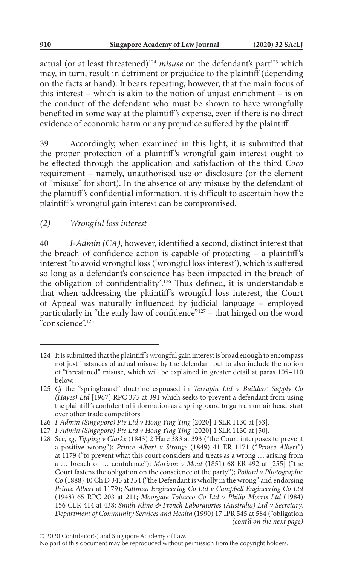actual (or at least threatened)<sup>124</sup> misuse on the defendant's part<sup>125</sup> which may, in turn, result in detriment or prejudice to the plaintiff (depending on the facts at hand). It bears repeating, however, that the main focus of this interest – which is akin to the notion of unjust enrichment – is on the conduct of the defendant who must be shown to have wrongfully benefited in some way at the plaintiff 's expense, even if there is no direct evidence of economic harm or any prejudice suffered by the plaintiff.

39 Accordingly, when examined in this light, it is submitted that the proper protection of a plaintiff's wrongful gain interest ought to be effected through the application and satisfaction of the third *Coco* requirement – namely, unauthorised use or disclosure (or the element of "misuse" for short). In the absence of any misuse by the defendant of the plaintiff 's confidential information, it is difficult to ascertain how the plaintiff 's wrongful gain interest can be compromised.

# *(2) Wrongful loss interest*

40 *I-Admin (CA)*, however, identified a second, distinct interest that the breach of confidence action is capable of protecting – a plaintiff 's interest "to avoid wrongful loss ('wrongful loss interest'), which is suffered so long as a defendant's conscience has been impacted in the breach of the obligation of confidentiality".126 Thus defined, it is understandable that when addressing the plaintiff 's wrongful loss interest, the Court of Appeal was naturally influenced by judicial language – employed particularly in "the early law of confidence"<sup>127</sup> – that hinged on the word .<br>"conscience"<sup>128</sup>

<sup>124</sup> It is submitted that the plaintiff 's wrongful gain interest is broad enough to encompass not just instances of actual misuse by the defendant but to also include the notion of "threatened" misuse, which will be explained in greater detail at paras 105–110 below.

<sup>125</sup> *Cf* the "springboard" doctrine espoused in *Terrapin Ltd v Builders' Supply Co (Hayes) Ltd* [1967] RPC 375 at 391 which seeks to prevent a defendant from using the plaintiff 's confidential information as a springboard to gain an unfair head-start over other trade competitors.

<sup>126</sup> *I-Admin (Singapore) Pte Ltd v Hong Ying Ting* [2020] 1 SLR 1130 at [53].

<sup>127</sup> *I-Admin (Singapore) Pte Ltd v Hong Ying Ting* [2020] 1 SLR 1130 at [50].

<sup>128</sup> See, *eg*, *Tipping v Clarke* (1843) 2 Hare 383 at 393 ("the Court interposes to prevent a positive wrong"); *Prince Albert v Strange* (1849) 41 ER 1171 ("*Prince Albert*") at 1179 ("to prevent what this court considers and treats as a wrong … arising from a … breach of … confidence"); *Morison v Moat* (1851) 68 ER 492 at [255] ("the Court fastens the obligation on the conscience of the party"); *Pollard v Photographic Co* (1888) 40 Ch D 345 at 354 ("the Defendant is wholly in the wrong" and endorsing *Prince Albert* at 1179); *Saltman Engineering Co Ltd v Campbell Engineering Co Ltd* (1948) 65 RPC 203 at 211; *Moorgate Tobacco Co Ltd v Philip Morris Ltd* (1984) 156 CLR 414 at 438; *Smith Kline & French Laboratories (Australia) Ltd v Secretary, Department of Community Services and Health* (1990) 17 IPR 545 at 584 ("obligation *(cont'd on the next page)*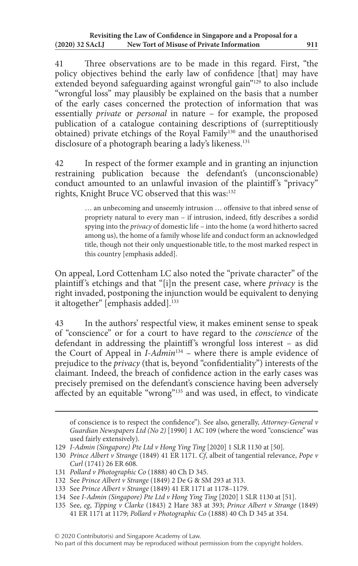41 Three observations are to be made in this regard. First, "the policy objectives behind the early law of confidence [that] may have extended beyond safeguarding against wrongful gain"129 to also include "wrongful loss" may plausibly be explained on the basis that a number of the early cases concerned the protection of information that was essentially *private* or *personal* in nature – for example, the proposed publication of a catalogue containing descriptions of (surreptitiously obtained) private etchings of the Royal Family<sup>130</sup> and the unauthorised disclosure of a photograph bearing a lady's likeness.<sup>131</sup>

42 In respect of the former example and in granting an injunction restraining publication because the defendant's (unconscionable) conduct amounted to an unlawful invasion of the plaintiff's "privacy" rights, Knight Bruce VC observed that this was:<sup>132</sup>

> … an unbecoming and unseemly intrusion … offensive to that inbred sense of propriety natural to every man – if intrusion, indeed, fitly describes a sordid spying into the *privacy* of domestic life – into the home (a word hitherto sacred among us), the home of a family whose life and conduct form an acknowledged title, though not their only unquestionable title, to the most marked respect in this country [emphasis added].

On appeal, Lord Cottenham LC also noted the "private character" of the plaintiff 's etchings and that "[i]n the present case, where *privacy* is the right invaded, postponing the injunction would be equivalent to denying it altogether" [emphasis added].<sup>133</sup>

43 In the authors' respectful view, it makes eminent sense to speak of "conscience" or for a court to have regard to the *conscience* of the defendant in addressing the plaintiff 's wrongful loss interest – as did the Court of Appeal in *I-Admin*134 – where there is ample evidence of prejudice to the *privacy* (that is, beyond "confidentiality") interests of the claimant. Indeed, the breach of confidence action in the early cases was precisely premised on the defendant's conscience having been adversely affected by an equitable "wrong"<sup>135</sup> and was used, in effect, to vindicate

of conscience is to respect the confidence"). See also, generally, *Attorney-General v Guardian Newspapers Ltd (No 2)* [1990] 1 AC 109 (where the word "conscience" was used fairly extensively).

<sup>129</sup> *I-Admin (Singapore) Pte Ltd v Hong Ying Ting* [2020] 1 SLR 1130 at [50].

<sup>130</sup> *Prince Albert v Strange* (1849) 41 ER 1171. *Cf*, albeit of tangential relevance, *Pope v Curl* (1741) 26 ER 608.

<sup>131</sup> *Pollard v Photographic Co* (1888) 40 Ch D 345.

<sup>132</sup> See *Prince Albert v Strange* (1849) 2 De G & SM 293 at 313.

<sup>133</sup> See *Prince Albert v Strange* (1849) 41 ER 1171 at 1178–1179.

<sup>134</sup> See *I-Admin (Singapore) Pte Ltd v Hong Ying Ting* [2020] 1 SLR 1130 at [51].

<sup>135</sup> See, *eg*, *Tipping v Clarke* (1843) 2 Hare 383 at 393; *Prince Albert v Strange* (1849) 41 ER 1171 at 1179; *Pollard v Photographic Co* (1888) 40 Ch D 345 at 354.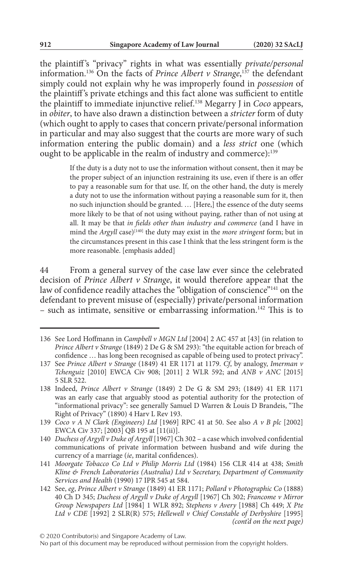the plaintiff 's "privacy" rights in what was essentially *private/personal* information.136 On the facts of *Prince Albert v Strange*, 137 the defendant simply could not explain why he was improperly found in *possession* of the plaintiff 's private etchings and this fact alone was sufficient to entitle the plaintiff to immediate injunctive relief.138 Megarry J in *Coco* appears, in *obiter*, to have also drawn a distinction between a *stricter* form of duty (which ought to apply to cases that concern private/personal information in particular and may also suggest that the courts are more wary of such information entering the public domain) and a *less strict* one (which ought to be applicable in the realm of industry and commerce):<sup>139</sup>

> If the duty is a duty not to use the information without consent, then it may be the proper subject of an injunction restraining its use, even if there is an offer to pay a reasonable sum for that use. If, on the other hand, the duty is merely a duty not to use the information without paying a reasonable sum for it, then no such injunction should be granted. … [Here,] the essence of the duty seems more likely to be that of not using without paying, rather than of not using at all. It may be that *in fields other than industry and commerce* (and I have in mind the *Argyll* case)<sup>[140]</sup> the duty may exist in the *more stringent* form; but in the circumstances present in this case I think that the less stringent form is the more reasonable. [emphasis added]

44 From a general survey of the case law ever since the celebrated decision of *Prince Albert v Strange*, it would therefore appear that the law of confidence readily attaches the "obligation of conscience"<sup>141</sup> on the defendant to prevent misuse of (especially) private/personal information – such as intimate, sensitive or embarrassing information.142 This is to

<sup>136</sup> See Lord Hoffmann in *Campbell v MGN Ltd* [2004] 2 AC 457 at [43] (in relation to *Prince Albert v Strange* (1849) 2 De G & SM 293): "the equitable action for breach of confidence … has long been recognised as capable of being used to protect privacy".

<sup>137</sup> See *Prince Albert v Strange* (1849) 41 ER 1171 at 1179. *Cf*, by analogy, *Imerman v Tchenguiz* [2010] EWCA Civ 908; [2011] 2 WLR 592; and *ANB v ANC* [2015] 5 SLR 522.

<sup>138</sup> Indeed, *Prince Albert v Strange* (1849) 2 De G & SM 293; (1849) 41 ER 1171 was an early case that arguably stood as potential authority for the protection of "informational privacy": see generally Samuel D Warren & Louis D Brandeis, "The Right of Privacy" (1890) 4 Harv L Rev 193.

<sup>139</sup> *Coco v A N Clark (Engineers) Ltd* [1969] RPC 41 at 50. See also *A v B plc* [2002] EWCA Civ 337; [2003] QB 195 at [11(ii)].

<sup>140</sup> *Duchess of Argyll v Duke of Argyll* [1967] Ch 302 – a case which involved confidential communications of private information between husband and wife during the currency of a marriage (*ie*, marital confidences).

<sup>141</sup> *Moorgate Tobacco Co Ltd v Philip Morris Ltd* (1984) 156 CLR 414 at 438; *Smith Kline & French Laboratories (Australia) Ltd v Secretary, Department of Community Services and Health* (1990) 17 IPR 545 at 584.

<sup>142</sup> See, *eg*, *Prince Albert v Strange* (1849) 41 ER 1171; *Pollard v Photographic Co* (1888) 40 Ch D 345; *Duchess of Argyll v Duke of Argyll* [1967] Ch 302; *Francome v Mirror Group Newspapers Ltd* [1984] 1 WLR 892; *Stephens v Avery* [1988] Ch 449; *X Pte Ltd v CDE* [1992] 2 SLR(R) 575; *Hellewell v Chief Constable of Derbyshire* [1995] *(cont'd on the next page)*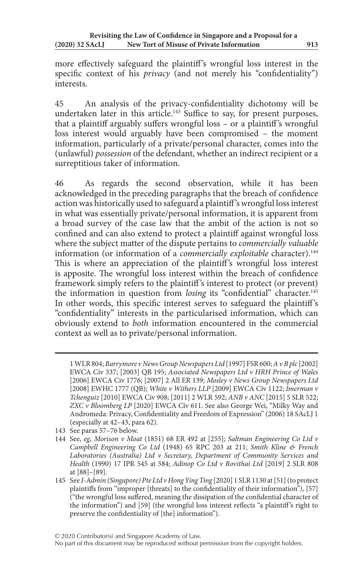more effectively safeguard the plaintiff's wrongful loss interest in the specific context of his *privacy* (and not merely his "confidentiality") interests.

45 An analysis of the privacy-confidentiality dichotomy will be undertaken later in this article.<sup>143</sup> Suffice to say, for present purposes, that a plaintiff arguably suffers wrongful loss – or a plaintiff 's wrongful loss interest would arguably have been compromised – the moment information, particularly of a private/personal character, comes into the (unlawful) *possession* of the defendant, whether an indirect recipient or a surreptitious taker of information.

46 As regards the second observation, while it has been acknowledged in the preceding paragraphs that the breach of confidence action was historically used to safeguard a plaintiff 's wrongful loss interest in what was essentially private/personal information, it is apparent from a broad survey of the case law that the ambit of the action is not so confined and can also extend to protect a plaintiff against wrongful loss where the subject matter of the dispute pertains to *commercially valuable* information (or information of a *commercially exploitable* character).<sup>144</sup> This is where an appreciation of the plaintiff 's wrongful loss interest is apposite. The wrongful loss interest within the breach of confidence framework simply refers to the plaintiff's interest to protect (or prevent) the information in question from *losing* its "confidential" character.<sup>145</sup> In other words, this specific interest serves to safeguard the plaintiff 's "confidentiality" interests in the particularised information, which can obviously extend to *both* information encountered in the commercial context as well as to private/personal information.

<sup>1</sup> WLR 804; *Barrymore v News Group Newspapers Ltd* [1997] FSR 600; *A v B plc* [2002] EWCA Civ 337; [2003] QB 195; *Associated Newspapers Ltd v HRH Prince of Wales* [2006] EWCA Civ 1776; [2007] 2 All ER 139; *Mosley v News Group Newspapers Ltd* [2008] EWHC 1777 (QB); *White v Withers LLP* [2009] EWCA Civ 1122; *Imerman v Tchenguiz* [2010] EWCA Civ 908; [2011] 2 WLR 592; *ANB v ANC* [2015] 5 SLR 522; *ZXC v Bloomberg LP* [2020] EWCA Civ 611. See also George Wei, "Milky Way and Andromeda: Privacy, Confidentiality and Freedom of Expression" (2006) 18 SAcLJ 1 (especially at 42–43, para 62).

<sup>143</sup> See paras 57–76 below.

<sup>144</sup> See, *eg*, *Morison v Moat* (1851) 68 ER 492 at [255]; *Saltman Engineering Co Ltd v Campbell Engineering Co Ltd* (1948) 65 RPC 203 at 211; *Smith Kline & French Laboratories (Australia) Ltd v Secretary, Department of Community Services and Health* (1990) 17 IPR 545 at 584; *Adinop Co Ltd v Rovithai Ltd* [2019] 2 SLR 808 at [88]–[89].

<sup>145</sup> See *I-Admin (Singapore) Pte Ltd v Hong Ying Ting* [2020] 1 SLR 1130 at [51] (to protect plaintiffs from "improper [threats] to the confidentiality of their information"), [57] ("the wrongful loss suffered, meaning the dissipation of the confidential character of the information") and [59] (the wrongful loss interest reflects "a plaintiff 's right to preserve the confidentiality of [the] information").

No part of this document may be reproduced without permission from the copyright holders.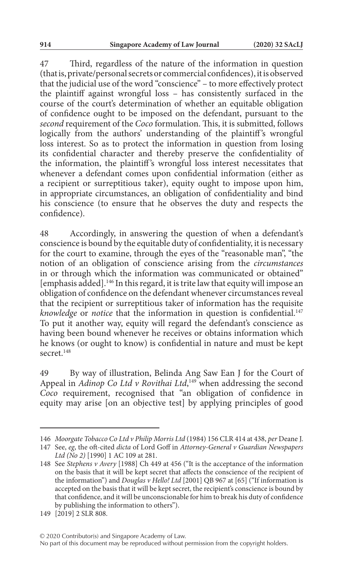47 Third, regardless of the nature of the information in question (that is, private/personal secrets or commercial confidences), it is observed that the judicial use of the word "conscience" – to more effectively protect the plaintiff against wrongful loss – has consistently surfaced in the course of the court's determination of whether an equitable obligation of confidence ought to be imposed on the defendant, pursuant to the *second* requirement of the *Coco* formulation. This, it is submitted, follows logically from the authors' understanding of the plaintiff's wrongful loss interest. So as to protect the information in question from losing its confidential character and thereby preserve the confidentiality of the information, the plaintiff's wrongful loss interest necessitates that whenever a defendant comes upon confidential information (either as a recipient or surreptitious taker), equity ought to impose upon him, in appropriate circumstances, an obligation of confidentiality and bind his conscience (to ensure that he observes the duty and respects the confidence).

48 Accordingly, in answering the question of when a defendant's conscience is bound by the equitable duty of confidentiality, it is necessary for the court to examine, through the eyes of the "reasonable man", "the notion of an obligation of conscience arising from the *circumstances* in or through which the information was communicated or obtained" [emphasis added].146 In this regard, it is trite law that equity will impose an obligation of confidence on the defendant whenever circumstances reveal that the recipient or surreptitious taker of information has the requisite *knowledge* or *notice* that the information in question is confidential.<sup>147</sup> To put it another way, equity will regard the defendant's conscience as having been bound whenever he receives or obtains information which he knows (or ought to know) is confidential in nature and must be kept secret<sup>148</sup>

49 By way of illustration, Belinda Ang Saw Ean J for the Court of Appeal in *Adinop Co Ltd v Rovithai Ltd*,<sup>149</sup> when addressing the second *Coco* requirement, recognised that "an obligation of confidence in equity may arise [on an objective test] by applying principles of good

© 2020 Contributor(s) and Singapore Academy of Law.

<sup>146</sup> *Moorgate Tobacco Co Ltd v Philip Morris Ltd* (1984) 156 CLR 414 at 438, *per* Deane J.

<sup>147</sup> See, *eg*, the oft-cited *dicta* of Lord Goff in *Attorney-General v Guardian Newspapers Ltd (No 2)* [1990] 1 AC 109 at 281.

<sup>148</sup> See *Stephens v Avery* [1988] Ch 449 at 456 ("It is the acceptance of the information on the basis that it will be kept secret that affects the conscience of the recipient of the information") and *Douglas v Hello! Ltd* [2001] QB 967 at [65] ("If information is accepted on the basis that it will be kept secret, the recipient's conscience is bound by that confidence, and it will be unconscionable for him to break his duty of confidence by publishing the information to others").

<sup>149</sup> [2019] 2 SLR 808.

No part of this document may be reproduced without permission from the copyright holders.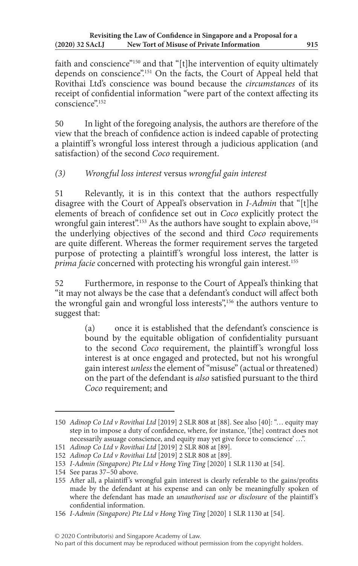faith and conscience"<sup>150</sup> and that "[t]he intervention of equity ultimately depends on conscience".151 On the facts, the Court of Appeal held that Rovithai Ltd's conscience was bound because the *circumstances* of its receipt of confidential information "were part of the context affecting its conscience".152

50 In light of the foregoing analysis, the authors are therefore of the view that the breach of confidence action is indeed capable of protecting a plaintiff 's wrongful loss interest through a judicious application (and satisfaction) of the second *Coco* requirement.

# *(3) Wrongful loss interest* versus *wrongful gain interest*

51 Relevantly, it is in this context that the authors respectfully disagree with the Court of Appeal's observation in *I-Admin* that "[t]he elements of breach of confidence set out in *Coco* explicitly protect the wrongful gain interest".<sup>153</sup> As the authors have sought to explain above,<sup>154</sup> the underlying objectives of the second and third *Coco* requirements are quite different. Whereas the former requirement serves the targeted purpose of protecting a plaintiff's wrongful loss interest, the latter is *prima facie* concerned with protecting his wrongful gain interest.<sup>155</sup>

52 Furthermore, in response to the Court of Appeal's thinking that "it may not always be the case that a defendant's conduct will affect both the wrongful gain and wrongful loss interests",<sup>156</sup> the authors venture to suggest that:

> (a) once it is established that the defendant's conscience is bound by the equitable obligation of confidentiality pursuant to the second *Coco* requirement, the plaintiff's wrongful loss interest is at once engaged and protected, but not his wrongful gain interest *unless* the element of "misuse" (actual or threatened) on the part of the defendant is *also* satisfied pursuant to the third *Coco* requirement; and

<sup>150</sup> *Adinop Co Ltd v Rovithai Ltd* [2019] 2 SLR 808 at [88]. See also [40]: "… equity may step in to impose a duty of confidence, where, for instance, '[the] contract does not necessarily assuage conscience, and equity may yet give force to conscience' …".

<sup>151</sup> *Adinop Co Ltd v Rovithai Ltd* [2019] 2 SLR 808 at [89].

<sup>152</sup> *Adinop Co Ltd v Rovithai Ltd* [2019] 2 SLR 808 at [89].

<sup>153</sup> *I-Admin (Singapore) Pte Ltd v Hong Ying Ting* [2020] 1 SLR 1130 at [54].

<sup>154</sup> See paras 37–50 above.

<sup>155</sup> After all, a plaintiff's wrongful gain interest is clearly referable to the gains/profits made by the defendant at his expense and can only be meaningfully spoken of where the defendant has made an *unauthorised use or disclosure* of the plaintiff 's confidential information.

<sup>156</sup> *I-Admin (Singapore) Pte Ltd v Hong Ying Ting* [2020] 1 SLR 1130 at [54].

No part of this document may be reproduced without permission from the copyright holders.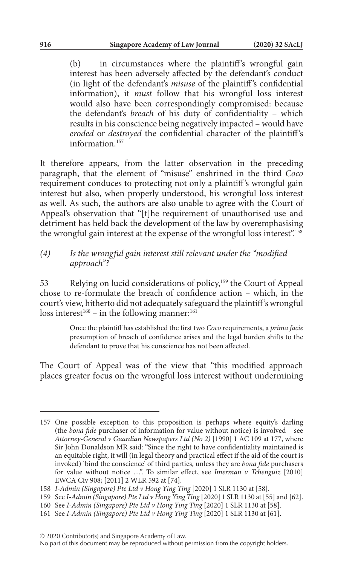(b) in circumstances where the plaintiff's wrongful gain interest has been adversely affected by the defendant's conduct (in light of the defendant's *misuse* of the plaintiff 's confidential information), it *must* follow that his wrongful loss interest would also have been correspondingly compromised: because the defendant's *breach* of his duty of confidentiality – which results in his conscience being negatively impacted – would have *eroded* or *destroyed* the confidential character of the plaintiff's information.157

It therefore appears, from the latter observation in the preceding paragraph, that the element of "misuse" enshrined in the third *Coco* requirement conduces to protecting not only a plaintiff 's wrongful gain interest but also, when properly understood, his wrongful loss interest as well. As such, the authors are also unable to agree with the Court of Appeal's observation that "[t]he requirement of unauthorised use and detriment has held back the development of the law by overemphasising the wrongful gain interest at the expense of the wrongful loss interest".<sup>158</sup>

#### *(4) Is the wrongful gain interest still relevant under the "modified approach"?*

53 Relying on lucid considerations of policy,159 the Court of Appeal chose to re-formulate the breach of confidence action – which, in the court's view, hitherto did not adequately safeguard the plaintiff 's wrongful loss interest<sup>160</sup> – in the following manner:<sup>161</sup>

> Once the plaintiff has established the first two *Coco* requirements, a *prima facie* presumption of breach of confidence arises and the legal burden shifts to the defendant to prove that his conscience has not been affected.

The Court of Appeal was of the view that "this modified approach places greater focus on the wrongful loss interest without undermining

<sup>157</sup> One possible exception to this proposition is perhaps where equity's darling (the *bona fide* purchaser of information for value without notice) is involved – see *Attorney-General v Guardian Newspapers Ltd (No 2)* [1990] 1 AC 109 at 177, where Sir John Donaldson MR said: "Since the right to have confidentiality maintained is an equitable right, it will (in legal theory and practical effect if the aid of the court is invoked) 'bind the conscience' of third parties, unless they are *bona fide* purchasers for value without notice …". To similar effect, see *Imerman v Tchenguiz* [2010] EWCA Civ 908; [2011] 2 WLR 592 at [74].

<sup>158</sup> *I-Admin (Singapore) Pte Ltd v Hong Ying Ting* [2020] 1 SLR 1130 at [58].

<sup>159</sup> See *I-Admin (Singapore) Pte Ltd v Hong Ying Ting* [2020] 1 SLR 1130 at [55] and [62].

<sup>160</sup> See *I-Admin (Singapore) Pte Ltd v Hong Ying Ting* [2020] 1 SLR 1130 at [58].

<sup>161</sup> See *I-Admin (Singapore) Pte Ltd v Hong Ying Ting* [2020] 1 SLR 1130 at [61].

No part of this document may be reproduced without permission from the copyright holders.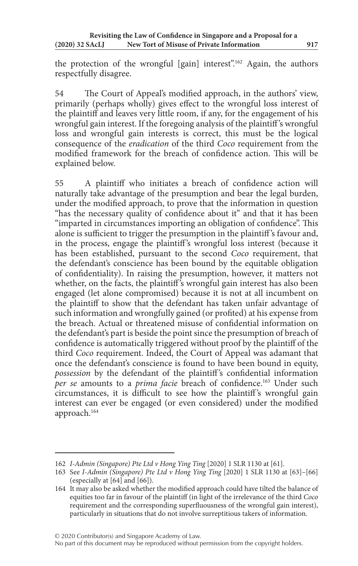the protection of the wrongful [gain] interest".<sup>162</sup> Again, the authors respectfully disagree.

54 The Court of Appeal's modified approach, in the authors' view, primarily (perhaps wholly) gives effect to the wrongful loss interest of the plaintiff and leaves very little room, if any, for the engagement of his wrongful gain interest. If the foregoing analysis of the plaintiff 's wrongful loss and wrongful gain interests is correct, this must be the logical consequence of the *eradication* of the third *Coco* requirement from the modified framework for the breach of confidence action. This will be explained below.

55 A plaintiff who initiates a breach of confidence action will naturally take advantage of the presumption and bear the legal burden, under the modified approach, to prove that the information in question "has the necessary quality of confidence about it" and that it has been "imparted in circumstances importing an obligation of confidence". This alone is sufficient to trigger the presumption in the plaintiff 's favour and, in the process, engage the plaintiff 's wrongful loss interest (because it has been established, pursuant to the second *Coco* requirement, that the defendant's conscience has been bound by the equitable obligation of confidentiality). In raising the presumption, however, it matters not whether, on the facts, the plaintiff's wrongful gain interest has also been engaged (let alone compromised) because it is not at all incumbent on the plaintiff to show that the defendant has taken unfair advantage of such information and wrongfully gained (or profited) at his expense from the breach. Actual or threatened misuse of confidential information on the defendant's part is beside the point since the presumption of breach of confidence is automatically triggered without proof by the plaintiff of the third *Coco* requirement. Indeed, the Court of Appeal was adamant that once the defendant's conscience is found to have been bound in equity, possession by the defendant of the plaintiff's confidential information *per se* amounts to a *prima facie* breach of confidence.<sup>163</sup> Under such circumstances, it is difficult to see how the plaintiff 's wrongful gain interest can ever be engaged (or even considered) under the modified approach.164

© 2020 Contributor(s) and Singapore Academy of Law.

<sup>162</sup> *I-Admin (Singapore) Pte Ltd v Hong Ying Ting* [2020] 1 SLR 1130 at [61].

<sup>163</sup> See *I-Admin (Singapore) Pte Ltd v Hong Ying Ting* [2020] 1 SLR 1130 at [63]–[66] (especially at [64] and [66]).

<sup>164</sup> It may also be asked whether the modified approach could have tilted the balance of equities too far in favour of the plaintiff (in light of the irrelevance of the third *Coco* requirement and the corresponding superfluousness of the wrongful gain interest), particularly in situations that do not involve surreptitious takers of information.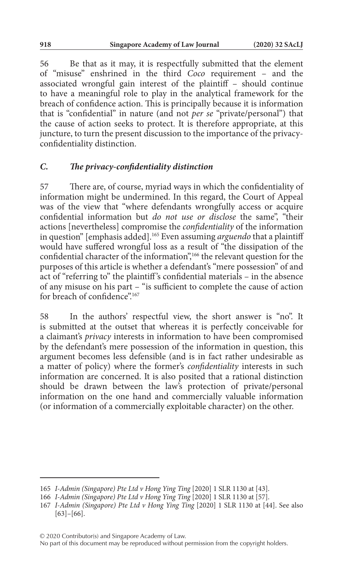56 Be that as it may, it is respectfully submitted that the element of "misuse" enshrined in the third *Coco* requirement – and the associated wrongful gain interest of the plaintiff – should continue to have a meaningful role to play in the analytical framework for the breach of confidence action. This is principally because it is information that is "confidential" in nature (and not *per se* "private/personal") that the cause of action seeks to protect. It is therefore appropriate, at this juncture, to turn the present discussion to the importance of the privacyconfidentiality distinction.

## *C. The privacy-confidentiality distinction*

57 There are, of course, myriad ways in which the confidentiality of information might be undermined. In this regard, the Court of Appeal was of the view that "where defendants wrongfully access or acquire confidential information but *do not use or disclose* the same", "their actions [nevertheless] compromise the *confidentiality* of the information in question" [emphasis added].165 Even assuming *arguendo* that a plaintiff would have suffered wrongful loss as a result of "the dissipation of the confidential character of the information",<sup>166</sup> the relevant question for the purposes of this article is whether a defendant's "mere possession" of and act of "referring to" the plaintiff 's confidential materials – in the absence of any misuse on his part – "is sufficient to complete the cause of action for breach of confidence"<sup>167</sup>

58 In the authors' respectful view, the short answer is "no". It is submitted at the outset that whereas it is perfectly conceivable for a claimant's *privacy* interests in information to have been compromised by the defendant's mere possession of the information in question, this argument becomes less defensible (and is in fact rather undesirable as a matter of policy) where the former's *confidentiality* interests in such information are concerned. It is also posited that a rational distinction should be drawn between the law's protection of private/personal information on the one hand and commercially valuable information (or information of a commercially exploitable character) on the other.

© 2020 Contributor(s) and Singapore Academy of Law.

<sup>165</sup> *I-Admin (Singapore) Pte Ltd v Hong Ying Ting* [2020] 1 SLR 1130 at [43].

<sup>166</sup> *I-Admin (Singapore) Pte Ltd v Hong Ying Ting* [2020] 1 SLR 1130 at [57].

<sup>167</sup> *I-Admin (Singapore) Pte Ltd v Hong Ying Ting* [2020] 1 SLR 1130 at [44]. See also [63]–[66].

No part of this document may be reproduced without permission from the copyright holders.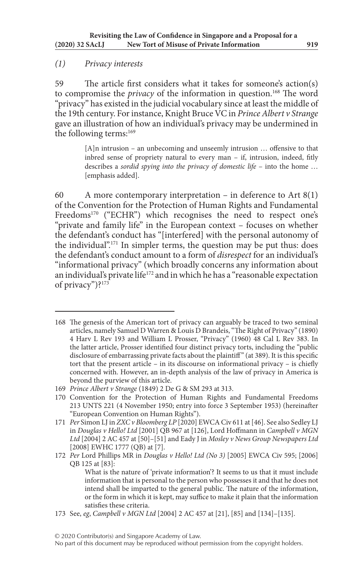## *(1) Privacy interests*

59 The article first considers what it takes for someone's action(s) to compromise the *privacy* of the information in question.<sup>168</sup> The word "privacy" has existed in the judicial vocabulary since at least the middle of the 19th century. For instance, Knight Bruce VC in *Prince Albert v Strange* gave an illustration of how an individual's privacy may be undermined in the following terms:<sup>169</sup>

> [A]n intrusion – an unbecoming and unseemly intrusion … offensive to that inbred sense of propriety natural to every man – if, intrusion, indeed, fitly describes a *sordid spying into the privacy of domestic life* – into the home … [emphasis added].

60 A more contemporary interpretation – in deference to Art 8(1) of the Convention for the Protection of Human Rights and Fundamental Freedoms<sup>170</sup> ("ECHR") which recognises the need to respect one's "private and family life" in the European context – focuses on whether the defendant's conduct has "[interfered] with the personal autonomy of the individual".171 In simpler terms, the question may be put thus: does the defendant's conduct amount to a form of *disrespect* for an individual's "informational privacy" (which broadly concerns any information about an individual's private life<sup>172</sup> and in which he has a "reasonable expectation of privacy")?<sup>173</sup>

<sup>168</sup> The genesis of the American tort of privacy can arguably be traced to two seminal articles, namely Samuel D Warren & Louis D Brandeis, "The Right of Privacy" (1890) 4 Harv L Rev 193 and William L Prosser, "Privacy" (1960) 48 Cal L Rev 383. In the latter article, Prosser identified four distinct privacy torts, including the "public disclosure of embarrassing private facts about the plaintiff" (at 389). It is this specific tort that the present article – in its discourse on informational privacy – is chiefly concerned with. However, an in-depth analysis of the law of privacy in America is beyond the purview of this article.

<sup>169</sup> *Prince Albert v Strange* (1849) 2 De G & SM 293 at 313.

<sup>170</sup> Convention for the Protection of Human Rights and Fundamental Freedoms 213 UNTS 221 (4 November 1950; entry into force 3 September 1953) (hereinafter "European Convention on Human Rights").

<sup>171</sup> *Per* Simon LJ in *ZXC v Bloomberg LP* [2020] EWCA Civ 611 at [46]. See also Sedley LJ in *Douglas v Hello! Ltd* [2001] QB 967 at [126], Lord Hoffmann in *Campbell v MGN Ltd* [2004] 2 AC 457 at [50]–[51] and Eady J in *Mosley v News Group Newspapers Ltd* [2008] EWHC 1777 (QB) at [7].

<sup>172</sup> *Per* Lord Phillips MR in *Douglas v Hello! Ltd (No 3)* [2005] EWCA Civ 595; [2006] QB 125 at [83]:

What is the nature of 'private information'? It seems to us that it must include information that is personal to the person who possesses it and that he does not intend shall be imparted to the general public. The nature of the information, or the form in which it is kept, may suffice to make it plain that the information satisfies these criteria.

<sup>173</sup> See, *eg*, *Campbell v MGN Ltd* [2004] 2 AC 457 at [21], [85] and [134]–[135].

No part of this document may be reproduced without permission from the copyright holders.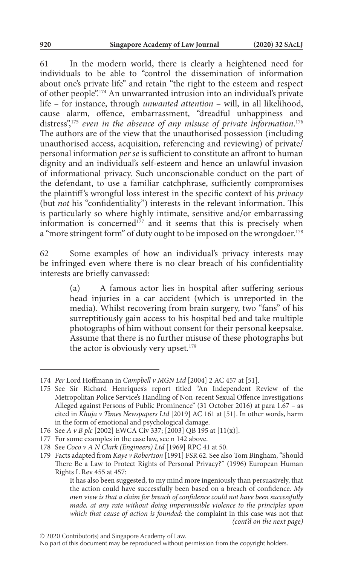61 In the modern world, there is clearly a heightened need for individuals to be able to "control the dissemination of information about one's private life" and retain "the right to the esteem and respect of other people".174 An unwarranted intrusion into an individual's private life – for instance, through *unwanted attention* – will, in all likelihood, cause alarm, offence, embarrassment, "dreadful unhappiness and distress",175 *even in the absence of any misuse of private information*. 176 The authors are of the view that the unauthorised possession (including unauthorised access, acquisition, referencing and reviewing) of private/ personal information *per se* is sufficient to constitute an affront to human dignity and an individual's self-esteem and hence an unlawful invasion of informational privacy. Such unconscionable conduct on the part of the defendant, to use a familiar catchphrase, sufficiently compromises the plaintiff 's wrongful loss interest in the specific context of his *privacy* (but *not* his "confidentiality") interests in the relevant information. This is particularly so where highly intimate, sensitive and/or embarrassing information is concerned<sup>177</sup> and it seems that this is precisely when a "more stringent form" of duty ought to be imposed on the wrongdoer.<sup>178</sup>

62 Some examples of how an individual's privacy interests may be infringed even where there is no clear breach of his confidentiality interests are briefly canvassed:

> (a) A famous actor lies in hospital after suffering serious head injuries in a car accident (which is unreported in the media). Whilst recovering from brain surgery, two "fans" of his surreptitiously gain access to his hospital bed and take multiple photographs of him without consent for their personal keepsake. Assume that there is no further misuse of these photographs but the actor is obviously very upset.<sup>179</sup>

<sup>174</sup> *Per* Lord Hoffmann in *Campbell v MGN Ltd* [2004] 2 AC 457 at [51].

<sup>175</sup> See Sir Richard Henriques's report titled "An Independent Review of the Metropolitan Police Service's Handling of Non-recent Sexual Offence Investigations Alleged against Persons of Public Prominence" (31 October 2016) at para 1.67 – as cited in *Khuja v Times Newspapers Ltd* [2019] AC 161 at [51]. In other words, harm in the form of emotional and psychological damage.

<sup>176</sup> See *A v B plc* [2002] EWCA Civ 337; [2003] QB 195 at [11(x)].

<sup>177</sup> For some examples in the case law, see n 142 above.

<sup>178</sup> See *Coco v A N Clark (Engineers) Ltd* [1969] RPC 41 at 50.

<sup>179</sup> Facts adapted from *Kaye v Robertson* [1991] FSR 62. See also Tom Bingham, "Should There Be a Law to Protect Rights of Personal Privacy?" (1996) European Human Rights L Rev 455 at 457:

It has also been suggested, to my mind more ingeniously than persuasively, that the action could have successfully been based on a breach of confidence. *My own view is that a claim for breach of confidence could not have been successfully made, at any rate without doing impermissible violence to the principles upon which that cause of action is founded*: the complaint in this case was not that *(cont'd on the next page)*

No part of this document may be reproduced without permission from the copyright holders.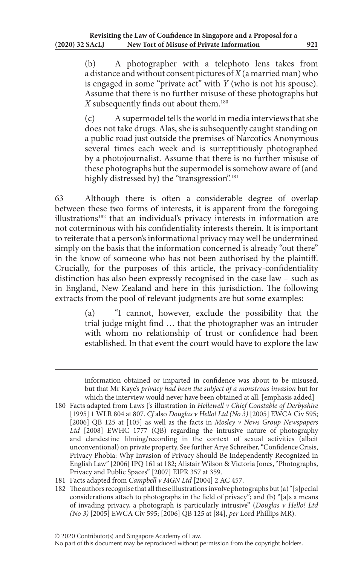(b) A photographer with a telephoto lens takes from a distance and without consent pictures of *X* (a married man) who is engaged in some "private act" with *Y* (who is not his spouse). Assume that there is no further misuse of these photographs but *X* subsequently finds out about them.180

(c) A supermodel tells the world in media interviews that she does not take drugs. Alas, she is subsequently caught standing on a public road just outside the premises of Narcotics Anonymous several times each week and is surreptitiously photographed by a photojournalist. Assume that there is no further misuse of these photographs but the supermodel is somehow aware of (and highly distressed by) the "transgression".<sup>181</sup>

63 Although there is often a considerable degree of overlap between these two forms of interests, it is apparent from the foregoing illustrations<sup>182</sup> that an individual's privacy interests in information are not coterminous with his confidentiality interests therein. It is important to reiterate that a person's informational privacy may well be undermined simply on the basis that the information concerned is already "out there" in the know of someone who has not been authorised by the plaintiff. Crucially, for the purposes of this article, the privacy-confidentiality distinction has also been expressly recognised in the case law – such as in England, New Zealand and here in this jurisdiction. The following extracts from the pool of relevant judgments are but some examples:

> (a) "I cannot, however, exclude the possibility that the trial judge might find … that the photographer was an intruder with whom no relationship of trust or confidence had been established. In that event the court would have to explore the law

- 181 Facts adapted from *Campbell v MGN Ltd* [2004] 2 AC 457.
- 182 The authors recognise that all these illustrations involve photographs but (a) "[s]pecial considerations attach to photographs in the field of privacy"; and (b) "[a]s a means of invading privacy, a photograph is particularly intrusive" (*Douglas v Hello! Ltd (No 3)* [2005] EWCA Civ 595; [2006] QB 125 at [84], *per* Lord Phillips MR).

information obtained or imparted in confidence was about to be misused, but that Mr Kaye's *privacy had been the subject of a monstrous invasion* but for which the interview would never have been obtained at all. [emphasis added]

<sup>180</sup> Facts adapted from Laws J's illustration in *Hellewell v Chief Constable of Derbyshire* [1995] 1 WLR 804 at 807. *Cf* also *Douglas v Hello! Ltd (No 3)* [2005] EWCA Civ 595; [2006] QB 125 at [105] as well as the facts in *Mosley v News Group Newspapers Ltd* [2008] EWHC 1777 (QB) regarding the intrusive nature of photography and clandestine filming/recording in the context of sexual activities (albeit unconventional) on private property. See further Arye Schreiber, "Confidence Crisis, Privacy Phobia: Why Invasion of Privacy Should Be Independently Recognized in English Law" [2006] IPQ 161 at 182; Alistair Wilson & Victoria Jones, "Photographs, Privacy and Public Spaces" [2007] EIPR 357 at 359.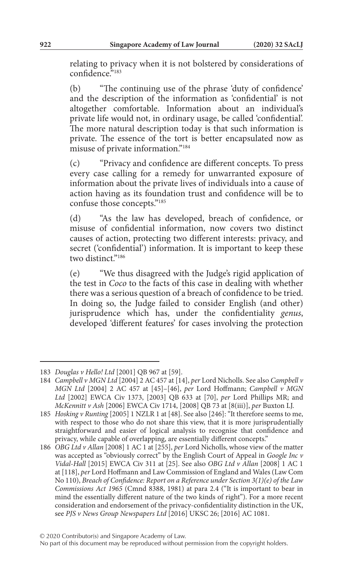relating to privacy when it is not bolstered by considerations of confidence.<sup>5</sup>183

(b) "The continuing use of the phrase 'duty of confidence' and the description of the information as 'confidential' is not altogether comfortable. Information about an individual's private life would not, in ordinary usage, be called 'confidential'. The more natural description today is that such information is private. The essence of the tort is better encapsulated now as misuse of private information."184

(c) "Privacy and confidence are different concepts. To press every case calling for a remedy for unwarranted exposure of information about the private lives of individuals into a cause of action having as its foundation trust and confidence will be to confuse those concepts."185

(d) "As the law has developed, breach of confidence, or misuse of confidential information, now covers two distinct causes of action, protecting two different interests: privacy, and secret ('confidential') information. It is important to keep these two distinct<sup>"186</sup>

(e) "We thus disagreed with the Judge's rigid application of the test in *Coco* to the facts of this case in dealing with whether there was a serious question of a breach of confidence to be tried. In doing so, the Judge failed to consider English (and other) jurisprudence which has, under the confidentiality *genus*, developed 'different features' for cases involving the protection

<sup>183</sup> *Douglas v Hello! Ltd* [2001] QB 967 at [59].

<sup>184</sup> *Campbell v MGN Ltd* [2004] 2 AC 457 at [14], *per* Lord Nicholls. See also *Campbell v MGN Ltd* [2004] 2 AC 457 at [45]–[46], *per* Lord Hoffmann; *Campbell v MGN Ltd* [2002] EWCA Civ 1373, [2003] QB 633 at [70], *per* Lord Phillips MR; and *McKennitt v Ash* [2006] EWCA Civ 1714, [2008] QB 73 at [8(iii)], *per* Buxton LJ.

<sup>185</sup> *Hosking v Runting* [2005] 1 NZLR 1 at [48]. See also [246]: "It therefore seems to me, with respect to those who do not share this view, that it is more jurisprudentially straightforward and easier of logical analysis to recognise that confidence and privacy, while capable of overlapping, are essentially different concepts."

<sup>186</sup> *OBG Ltd v Allan* [2008] 1 AC 1 at [255], *per* Lord Nicholls, whose view of the matter was accepted as "obviously correct" by the English Court of Appeal in *Google Inc v Vidal-Hall* [2015] EWCA Civ 311 at [25]. See also *OBG Ltd v Allan* [2008] 1 AC 1 at [118], *per* Lord Hoffmann and Law Commission of England and Wales (Law Com No 110), *Breach of Confidence: Report on a Reference under Section 3(1)(e) of the Law Commissions Act 1965* (Cmnd 8388, 1981) at para 2.4 ("It is important to bear in mind the essentially different nature of the two kinds of right"). For a more recent consideration and endorsement of the privacy-confidentiality distinction in the UK, see *PJS v News Group Newspapers Ltd* [2016] UKSC 26; [2016] AC 1081.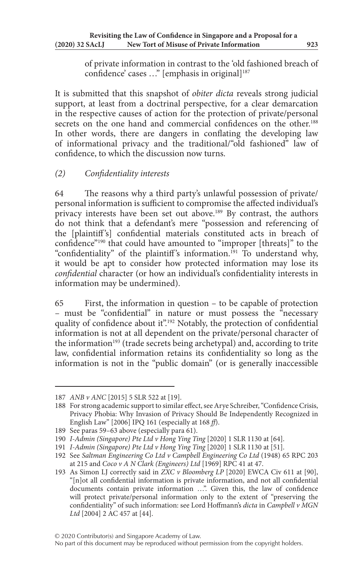of private information in contrast to the 'old fashioned breach of confidence' cases ..." [emphasis in original]<sup>187</sup>

It is submitted that this snapshot of *obiter dicta* reveals strong judicial support, at least from a doctrinal perspective, for a clear demarcation in the respective causes of action for the protection of private/personal secrets on the one hand and commercial confidences on the other.<sup>188</sup> In other words, there are dangers in conflating the developing law of informational privacy and the traditional/"old fashioned" law of confidence, to which the discussion now turns.

# *(2) Confidentiality interests*

64 The reasons why a third party's unlawful possession of private/ personal information is sufficient to compromise the affected individual's privacy interests have been set out above.<sup>189</sup> By contrast, the authors do not think that a defendant's mere "possession and referencing of the [plaintiff 's] confidential materials constituted acts in breach of confidence"<sup>190</sup> that could have amounted to "improper [threats]" to the "confidentiality" of the plaintiff's information.<sup>191</sup> To understand why, it would be apt to consider how protected information may lose its *confidential* character (or how an individual's confidentiality interests in information may be undermined).

65 First, the information in question – to be capable of protection – must be "confidential" in nature or must possess the "necessary quality of confidence about it".<sup>192</sup> Notably, the protection of confidential information is not at all dependent on the private/personal character of the information<sup>193</sup> (trade secrets being archetypal) and, according to trite law, confidential information retains its confidentiality so long as the information is not in the "public domain" (or is generally inaccessible

<sup>187</sup> *ANB v ANC* [2015] 5 SLR 522 at [19].

<sup>188</sup> For strong academic support to similar effect, see Arye Schreiber, "Confidence Crisis, Privacy Phobia: Why Invasion of Privacy Should Be Independently Recognized in English Law" [2006] IPQ 161 (especially at 168 *ff*).

<sup>189</sup> See paras 59–63 above (especially para 61).

<sup>190</sup> *I-Admin (Singapore) Pte Ltd v Hong Ying Ting* [2020] 1 SLR 1130 at [64].

<sup>191</sup> *I-Admin (Singapore) Pte Ltd v Hong Ying Ting* [2020] 1 SLR 1130 at [51].

<sup>192</sup> See *Saltman Engineering Co Ltd v Campbell Engineering Co Ltd* (1948) 65 RPC 203 at 215 and *Coco v A N Clark (Engineers) Ltd* [1969] RPC 41 at 47.

<sup>193</sup> As Simon LJ correctly said in *ZXC v Bloomberg LP* [2020] EWCA Civ 611 at [90], "[n]ot all confidential information is private information, and not all confidential documents contain private information …". Given this, the law of confidence will protect private/personal information only to the extent of "preserving the confidentiality" of such information: see Lord Hoffmann's *dicta* in *Campbell v MGN Ltd* [2004] 2 AC 457 at [44].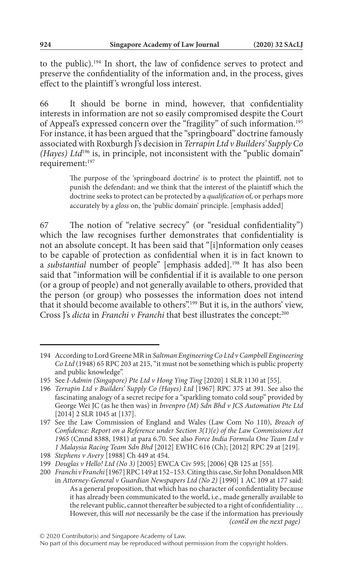to the public).194 In short, the law of confidence serves to protect and preserve the confidentiality of the information and, in the process, gives effect to the plaintiff 's wrongful loss interest.

66 It should be borne in mind, however, that confidentiality interests in information are not so easily compromised despite the Court of Appeal's expressed concern over the "fragility" of such information.<sup>195</sup> For instance, it has been argued that the "springboard" doctrine famously associated with Roxburgh J's decision in *Terrapin Ltd v Builders' Supply Co (Hayes) Ltd*196 is, in principle, not inconsistent with the "public domain" requirement:197

> The purpose of the 'springboard doctrine' is to protect the plaintiff, not to punish the defendant; and we think that the interest of the plaintiff which the doctrine seeks to protect can be protected by a *qualification* of, or perhaps more accurately by a *gloss* on, the 'public domain' principle. [emphasis added]

67 The notion of "relative secrecy" (or "residual confidentiality") which the law recognises further demonstrates that confidentiality is not an absolute concept. It has been said that "[i]nformation only ceases to be capable of protection as confidential when it is in fact known to a *substantial* number of people" [emphasis added].198 It has also been said that "information will be confidential if it is available to one person (or a group of people) and not generally available to others, provided that the person (or group) who possesses the information does not intend that it should become available to others".199 But it is, in the authors' view, Cross J's *dicta* in *Franchi v Franchi* that best illustrates the concept:<sup>200</sup>

<sup>194</sup> According to Lord Greene MR in *Saltman Engineering Co Ltd v Campbell Engineering Co Ltd* (1948) 65 RPC 203 at 215, "it must not be something which is public property and public knowledge".

<sup>195</sup> See *I-Admin (Singapore) Pte Ltd v Hong Ying Ting* [2020] 1 SLR 1130 at [55].

<sup>196</sup> *Terrapin Ltd v Builders' Supply Co (Hayes) Ltd* [1967] RPC 375 at 391. See also the fascinating analogy of a secret recipe for a "sparkling tomato cold soup" provided by George Wei JC (as he then was) in *Invenpro (M) Sdn Bhd v JCS Automation Pte Ltd* [2014] 2 SLR 1045 at [137].

<sup>197</sup> See the Law Commission of England and Wales (Law Com No 110), *Breach of Confidence: Report on a Reference under Section 3(1)(e) of the Law Commissions Act 1965* (Cmnd 8388, 1981) at para 6.70. See also *Force India Formula One Team Ltd v 1 Malaysia Racing Team Sdn Bhd* [2012] EWHC 616 (Ch); [2012] RPC 29 at [219].

<sup>198</sup> *Stephens v Avery* [1988] Ch 449 at 454.

<sup>199</sup> *Douglas v Hello! Ltd (No 3)* [2005] EWCA Civ 595; [2006] QB 125 at [55].

<sup>200</sup> *Franchi v Franchi* [1967] RPC 149 at 152–153. Citing this case, Sir John Donaldson MR in *Attorney-General v Guardian Newspapers Ltd (No 2)* [1990] 1 AC 109 at 177 said: As a general proposition, that which has no character of confidentiality because it has already been communicated to the world, i.e., made generally available to the relevant public, cannot thereafter be subjected to a right of confidentiality … However, this will *not* necessarily be the case if the information has previously *(cont'd on the next page)*

No part of this document may be reproduced without permission from the copyright holders.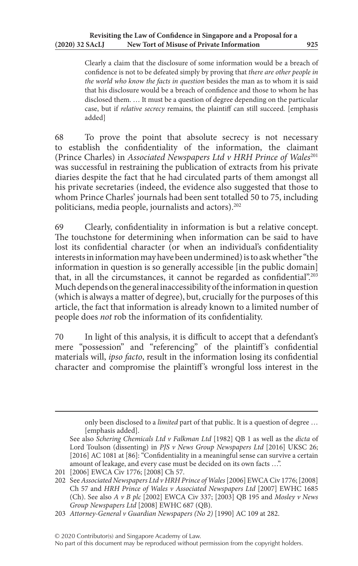Clearly a claim that the disclosure of some information would be a breach of confidence is not to be defeated simply by proving that *there are other people in the world who know the facts in question* besides the man as to whom it is said that his disclosure would be a breach of confidence and those to whom he has disclosed them. … It must be a question of degree depending on the particular case, but if *relative secrecy* remains, the plaintiff can still succeed. [emphasis added]

68 To prove the point that absolute secrecy is not necessary to establish the confidentiality of the information, the claimant (Prince Charles) in *Associated Newspapers Ltd v HRH Prince of Wales*<sup>201</sup> was successful in restraining the publication of extracts from his private diaries despite the fact that he had circulated parts of them amongst all his private secretaries (indeed, the evidence also suggested that those to whom Prince Charles' journals had been sent totalled 50 to 75, including politicians, media people, journalists and actors).<sup>202</sup>

69 Clearly, confidentiality in information is but a relative concept. The touchstone for determining when information can be said to have lost its confidential character (or when an individual's confidentiality interests in information may have been undermined) is to ask whether "the information in question is so generally accessible [in the public domain] that, in all the circumstances, it cannot be regarded as confidential".203 Much depends on the general inaccessibility of the information in question (which is always a matter of degree), but, crucially for the purposes of this article, the fact that information is already known to a limited number of people does *not* rob the information of its confidentiality.

70 In light of this analysis, it is difficult to accept that a defendant's mere "possession" and "referencing" of the plaintiff's confidential materials will, *ipso facto*, result in the information losing its confidential character and compromise the plaintiff 's wrongful loss interest in the

only been disclosed to a *limited* part of that public. It is a question of degree … [emphasis added].

See also *Schering Chemicals Ltd v Falkman Ltd* [1982] QB 1 as well as the *dicta* of Lord Toulson (dissenting) in *PJS v News Group Newspapers Ltd* [2016] UKSC 26; [2016] AC 1081 at [86]: "Confidentiality in a meaningful sense can survive a certain amount of leakage, and every case must be decided on its own facts …".

<sup>201</sup> [2006] EWCA Civ 1776; [2008] Ch 57.

<sup>202</sup> See *Associated Newspapers Ltd v HRH Prince of Wales* [2006] EWCA Civ 1776; [2008] Ch 57 and *HRH Prince of Wales v Associated Newspapers Ltd* [2007] EWHC 1685 (Ch). See also *A v B plc* [2002] EWCA Civ 337; [2003] QB 195 and *Mosley v News Group Newspapers Ltd* [2008] EWHC 687 (QB).

<sup>203</sup> *Attorney-General v Guardian Newspapers (No 2)* [1990] AC 109 at 282.

No part of this document may be reproduced without permission from the copyright holders.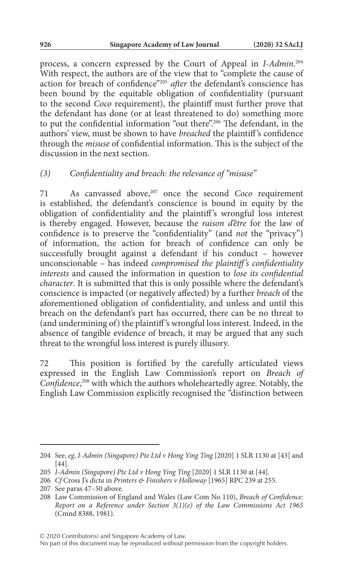process, a concern expressed by the Court of Appeal in *I-Admin*. 204 With respect, the authors are of the view that to "complete the cause of action for breach of confidence"205 *after* the defendant's conscience has been bound by the equitable obligation of confidentiality (pursuant to the second *Coco* requirement), the plaintiff must further prove that the defendant has done (or at least threatened to do) something more to put the confidential information "out there".206 The defendant, in the authors' view, must be shown to have *breached* the plaintiff 's confidence through the *misuse* of confidential information. This is the subject of the discussion in the next section.

#### *(3) Confidentiality and breach: the relevance of "misuse"*

71 As canvassed above,207 once the second *Coco* requirement is established, the defendant's conscience is bound in equity by the obligation of confidentiality and the plaintiff 's wrongful loss interest is thereby engaged. However, because the *raison d'être* for the law of confidence is to preserve the "confidentiality" (and *not* the "privacy") of information, the action for breach of confidence can only be successfully brought against a defendant if his conduct – however unconscionable – has indeed *compromised the plaintiff's confidentiality interests* and caused the information in question to *lose its confidential character*. It is submitted that this is only possible where the defendant's conscience is impacted (or negatively affected) by a further *breach* of the aforementioned obligation of confidentiality, and unless and until this breach on the defendant's part has occurred, there can be no threat to (and undermining of) the plaintiff 's wrongful loss interest. Indeed, in the absence of tangible evidence of breach, it may be argued that any such threat to the wrongful loss interest is purely illusory.

72 This position is fortified by the carefully articulated views expressed in the English Law Commission's report on *Breach of Confidence*, 208 with which the authors wholeheartedly agree. Notably, the English Law Commission explicitly recognised the "distinction between

<sup>204</sup> See, *eg*, *I-Admin (Singapore) Pte Ltd v Hong Ying Ting* [2020] 1 SLR 1130 at [43] and [44].

<sup>205</sup> *I-Admin (Singapore) Pte Ltd v Hong Ying Ting* [2020] 1 SLR 1130 at [44].

<sup>206</sup> *Cf* Cross J's *dicta* in *Printers & Finishers v Holloway* [1965] RPC 239 at 255.

<sup>207</sup> See paras 47–50 above.

<sup>208</sup> Law Commission of England and Wales (Law Com No 110), *Breach of Confidence: Report on a Reference under Section 3(1)(e) of the Law Commissions Act 1965* (Cmnd 8388, 1981).

No part of this document may be reproduced without permission from the copyright holders.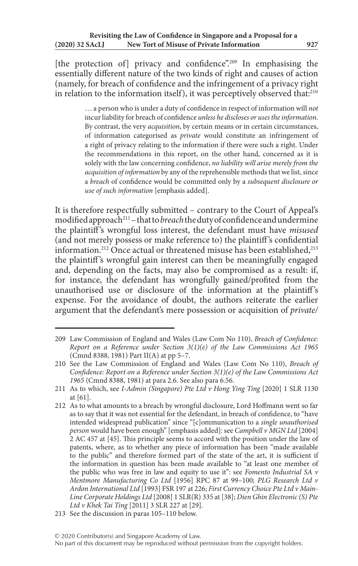[the protection of] privacy and confidence".<sup>209</sup> In emphasising the essentially different nature of the two kinds of right and causes of action (namely, for breach of confidence and the infringement of a privacy right in relation to the information itself), it was perceptively observed that:<sup>210</sup>

> … a person who is under a duty of confidence in respect of information will *not* incur liability for breach of confidence *unless he discloses or uses the information*. By contrast, the very *acquisition*, by certain means or in certain circumstances, of information categorised as *private* would constitute an infringement of a right of privacy relating to the information if there were such a right. Under the recommendations in this report, on the other hand, concerned as it is solely with the law concerning confidence, *no liability will arise merely from the acquisition of information* by any of the reprehensible methods that we list, since a *breach* of confidence would be committed only by a *subsequent disclosure or use of such information* [emphasis added].

It is therefore respectfully submitted – contrary to the Court of Appeal's modified approach211 – that to *breach* the duty of confidence and undermine the plaintiff 's wrongful loss interest, the defendant must have *misused* (and not merely possess or make reference to) the plaintiff 's confidential information.<sup>212</sup> Once actual or threatened misuse has been established,<sup>213</sup> the plaintiff's wrongful gain interest can then be meaningfully engaged and, depending on the facts, may also be compromised as a result: if, for instance, the defendant has wrongfully gained/profited from the unauthorised use or disclosure of the information at the plaintiff's expense. For the avoidance of doubt, the authors reiterate the earlier argument that the defendant's mere possession or acquisition of *private/*

<sup>209</sup> Law Commission of England and Wales (Law Com No 110), *Breach of Confidence: Report on a Reference under Section 3(1)(e) of the Law Commissions Act 1965* (Cmnd 8388, 1981) Part II(A) at pp 5–7.

<sup>210</sup> See the Law Commission of England and Wales (Law Com No 110), *Breach of Confidence: Report on a Reference under Section 3(1)(e) of the Law Commissions Act 1965* (Cmnd 8388, 1981) at para 2.6. See also para 6.56.

<sup>211</sup> As to which, see *I-Admin (Singapore) Pte Ltd v Hong Ying Ting* [2020] 1 SLR 1130 at [61].

<sup>212</sup> As to what amounts to a breach by wrongful disclosure, Lord Hoffmann went so far as to say that it was not essential for the defendant, in breach of confidence, to "have intended widespread publication" since "[c]ommunication to a *single unauthorised person* would have been enough" [emphasis added]: see *Campbell v MGN Ltd* [2004] 2 AC 457 at [45]. This principle seems to accord with the position under the law of patents, where, as to whether any piece of information has been "made available to the public" and therefore formed part of the state of the art, it is sufficient if the information in question has been made available to "at least one member of the public who was free in law and equity to use it": see *Fomento Industrial SA v Mentmore Manufacturing Co Ltd* [1956] RPC 87 at 99–100; *PLG Research Ltd v Ardon International Ltd* [1993] FSR 197 at 226; *First Currency Choice Pte Ltd v Main-Line Corporate Holdings Ltd* [2008] 1 SLR(R) 335 at [38]; *Dien Ghin Electronic (S) Pte Ltd v Khek Tai Ting* [2011] 3 SLR 227 at [29].

<sup>213</sup> See the discussion in paras 105–110 below.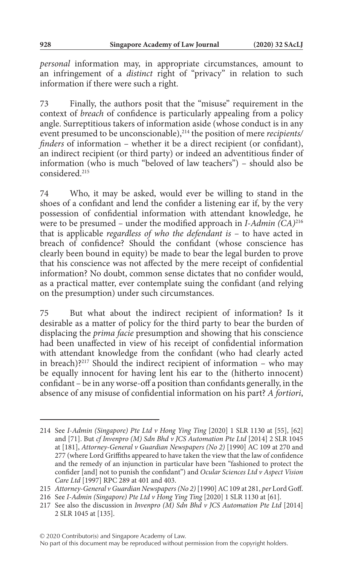*personal* information may, in appropriate circumstances, amount to an infringement of a *distinct* right of "privacy" in relation to such information if there were such a right.

73 Finally, the authors posit that the "misuse" requirement in the context of *breach* of confidence is particularly appealing from a policy angle. Surreptitious takers of information aside (whose conduct is in any event presumed to be unconscionable),<sup>214</sup> the position of mere *recipients*/ *finders* of information – whether it be a direct recipient (or confidant), an indirect recipient (or third party) or indeed an adventitious finder of information (who is much "beloved of law teachers") – should also be considered<sup>215</sup>

74 Who, it may be asked, would ever be willing to stand in the shoes of a confidant and lend the confider a listening ear if, by the very possession of confidential information with attendant knowledge, he were to be presumed – under the modified approach in *I-Admin (CA)*<sup>216</sup> that is applicable *regardless of who the defendant is* – to have acted in breach of confidence? Should the confidant (whose conscience has clearly been bound in equity) be made to bear the legal burden to prove that his conscience was not affected by the mere receipt of confidential information? No doubt, common sense dictates that no confider would, as a practical matter, ever contemplate suing the confidant (and relying on the presumption) under such circumstances.

75 But what about the indirect recipient of information? Is it desirable as a matter of policy for the third party to bear the burden of displacing the *prima facie* presumption and showing that his conscience had been unaffected in view of his receipt of confidential information with attendant knowledge from the confidant (who had clearly acted in breach)?<sup>217</sup> Should the indirect recipient of information – who may be equally innocent for having lent his ear to the (hitherto innocent) confidant – be in any worse-off a position than confidants generally, in the absence of any misuse of confidential information on his part? *A fortiori*,

<sup>214</sup> See *I-Admin (Singapore) Pte Ltd v Hong Ying Ting* [2020] 1 SLR 1130 at [55], [62] and [71]. But *cf Invenpro (M) Sdn Bhd v JCS Automation Pte Ltd* [2014] 2 SLR 1045 at [181], *Attorney-General v Guardian Newspapers (No 2)* [1990] AC 109 at 270 and 277 (where Lord Griffiths appeared to have taken the view that the law of confidence and the remedy of an injunction in particular have been "fashioned to protect the confider [and] not to punish the confidant") and *Ocular Sciences Ltd v Aspect Vision Care Ltd* [1997] RPC 289 at 401 and 403.

<sup>215</sup> *Attorney-General v Guardian Newspapers (No 2)* [1990] AC 109 at 281, *per* Lord Goff.

<sup>216</sup> See *I-Admin (Singapore) Pte Ltd v Hong Ying Ting* [2020] 1 SLR 1130 at [61].

<sup>217</sup> See also the discussion in *Invenpro (M) Sdn Bhd v JCS Automation Pte Ltd* [2014] 2 SLR 1045 at [135].

No part of this document may be reproduced without permission from the copyright holders.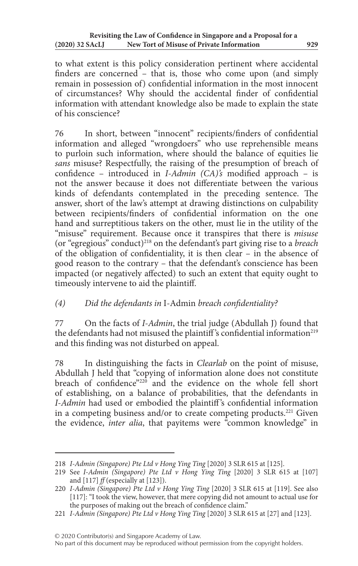to what extent is this policy consideration pertinent where accidental finders are concerned – that is, those who come upon (and simply remain in possession of) confidential information in the most innocent of circumstances? Why should the accidental finder of confidential information with attendant knowledge also be made to explain the state of his conscience?

76 In short, between "innocent" recipients/finders of confidential information and alleged "wrongdoers" who use reprehensible means to purloin such information, where should the balance of equities lie *sans* misuse? Respectfully, the raising of the presumption of breach of confidence – introduced in *I-Admin (CA)'s* modified approach – is not the answer because it does not differentiate between the various kinds of defendants contemplated in the preceding sentence. The answer, short of the law's attempt at drawing distinctions on culpability between recipients/finders of confidential information on the one hand and surreptitious takers on the other, must lie in the utility of the "misuse" requirement. Because once it transpires that there is *misuse* (or "egregious" conduct)218 on the defendant's part giving rise to a *breach* of the obligation of confidentiality, it is then clear – in the absence of good reason to the contrary – that the defendant's conscience has been impacted (or negatively affected) to such an extent that equity ought to timeously intervene to aid the plaintiff.

# *(4) Did the defendants in* I-Admin *breach confidentiality?*

77 On the facts of *I-Admin*, the trial judge (Abdullah J) found that the defendants had not misused the plaintiff's confidential information<sup>219</sup> and this finding was not disturbed on appeal.

78 In distinguishing the facts in *Clearlab* on the point of misuse, Abdullah J held that "copying of information alone does not constitute breach of confidence"<sup>220</sup> and the evidence on the whole fell short of establishing, on a balance of probabilities, that the defendants in *I-Admin* had used or embodied the plaintiff's confidential information in a competing business and/or to create competing products.<sup>221</sup> Given the evidence, *inter alia*, that payitems were "common knowledge" in

<sup>218</sup> *I-Admin (Singapore) Pte Ltd v Hong Ying Ting* [2020] 3 SLR 615 at [125].

<sup>219</sup> See *I-Admin (Singapore) Pte Ltd v Hong Ying Ting* [2020] 3 SLR 615 at [107] and [117]  $f$  (especially at [123]).

<sup>220</sup> *I-Admin (Singapore) Pte Ltd v Hong Ying Ting* [2020] 3 SLR 615 at [119]. See also [117]: "I took the view, however, that mere copying did not amount to actual use for the purposes of making out the breach of confidence claim."

<sup>221</sup> *I-Admin (Singapore) Pte Ltd v Hong Ying Ting* [2020] 3 SLR 615 at [27] and [123].

No part of this document may be reproduced without permission from the copyright holders.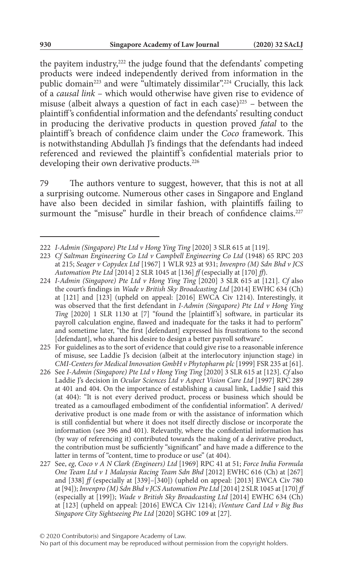the payitem industry,222 the judge found that the defendants' competing products were indeed independently derived from information in the public domain<sup>223</sup> and were "ultimately dissimilar".<sup>224</sup> Crucially, this lack of a *causal link* – which would otherwise have given rise to evidence of misuse (albeit always a question of fact in each case) $225 -$  between the plaintiff's confidential information and the defendants' resulting conduct in producing the derivative products in question proved *fatal* to the plaintiff 's breach of confidence claim under the *Coco* framework. This is notwithstanding Abdullah J's findings that the defendants had indeed referenced and reviewed the plaintiff's confidential materials prior to developing their own derivative products.<sup>226</sup>

79 The authors venture to suggest, however, that this is not at all a surprising outcome. Numerous other cases in Singapore and England have also been decided in similar fashion, with plaintiffs failing to surmount the "misuse" hurdle in their breach of confidence claims.<sup>227</sup>

<sup>222</sup> *I-Admin (Singapore) Pte Ltd v Hong Ying Ting* [2020] 3 SLR 615 at [119].

<sup>223</sup> *Cf Saltman Engineering Co Ltd v Campbell Engineering Co Ltd* (1948) 65 RPC 203 at 215; *Seager v Copydex Ltd* [1967] 1 WLR 923 at 931; *Invenpro (M) Sdn Bhd v JCS Automation Pte Ltd* [2014] 2 SLR 1045 at [136] *ff* (especially at [170] *ff*).

<sup>224</sup> *I-Admin (Singapore) Pte Ltd v Hong Ying Ting* [2020] 3 SLR 615 at [121]. *Cf* also the court's findings in *Wade v British Sky Broadcasting Ltd* [2014] EWHC 634 (Ch) at [121] and [123] (upheld on appeal: [2016] EWCA Civ 1214). Interestingly, it was observed that the first defendant in *I-Admin (Singapore) Pte Ltd v Hong Ying Ting* [2020] 1 SLR 1130 at [7] "found the [plaintiff's] software, in particular its payroll calculation engine, flawed and inadequate for the tasks it had to perform" and sometime later, "the first [defendant] expressed his frustrations to the second [defendant], who shared his desire to design a better payroll software".

<sup>225</sup> For guidelines as to the sort of evidence that could give rise to a reasonable inference of misuse, see Laddie J's decision (albeit at the interlocutory injunction stage) in *CMI-Centers for Medical Innovation GmbH v Phytopharm plc* [1999] FSR 235 at [61].

<sup>226</sup> See *I-Admin (Singapore) Pte Ltd v Hong Ying Ting* [2020] 3 SLR 615 at [123]. *Cf* also Laddie J's decision in *Ocular Sciences Ltd v Aspect Vision Care Ltd* [1997] RPC 289 at 401 and 404. On the importance of establishing a causal link, Laddie J said this (at 404): "It is not every derived product, process or business which should be treated as a camouflaged embodiment of the confidential information". A derived/ derivative product is one made from or with the assistance of information which is still confidential but where it does not itself directly disclose or incorporate the information (see 396 and 401). Relevantly, where the confidential information has (by way of referencing it) contributed towards the making of a derivative product, the contribution must be sufficiently "significant" and have made a difference to the latter in terms of "content, time to produce or use" (at 404).

<sup>227</sup> See, *eg*, *Coco v A N Clark (Engineers) Ltd* [1969] RPC 41 at 51; *Force India Formula One Team Ltd v 1 Malaysia Racing Team Sdn Bhd* [2012] EWHC 616 (Ch) at [267] and [338] *ff* (especially at [339]–[340]) (upheld on appeal: [2013] EWCA Civ 780 at [94]); *Invenpro (M) Sdn Bhd v JCS Automation Pte Ltd* [2014] 2 SLR 1045 at [170] *ff* (especially at [199]); *Wade v British Sky Broadcasting Ltd* [2014] EWHC 634 (Ch) at [123] (upheld on appeal: [2016] EWCA Civ 1214); *iVenture Card Ltd v Big Bus Singapore City Sightseeing Pte Ltd* [2020] SGHC 109 at [27].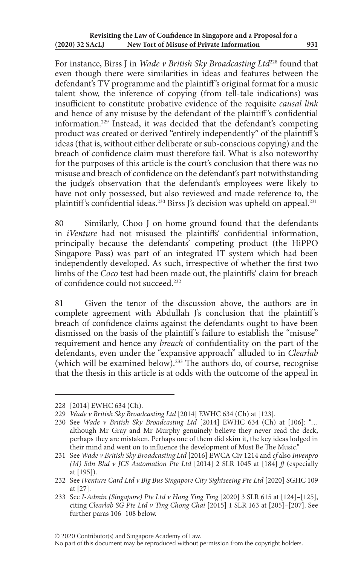For instance, Birss J in *Wade v British Sky Broadcasting Ltd*228 found that even though there were similarities in ideas and features between the defendant's TV programme and the plaintiff 's original format for a music talent show, the inference of copying (from tell-tale indications) was insufficient to constitute probative evidence of the requisite *causal link* and hence of any misuse by the defendant of the plaintiff 's confidential information.229 Instead, it was decided that the defendant's competing product was created or derived "entirely independently" of the plaintiff's ideas (that is, without either deliberate or sub-conscious copying) and the breach of confidence claim must therefore fail. What is also noteworthy for the purposes of this article is the court's conclusion that there was no misuse and breach of confidence on the defendant's part notwithstanding the judge's observation that the defendant's employees were likely to have not only possessed, but also reviewed and made reference to, the plaintiff's confidential ideas.<sup>230</sup> Birss J's decision was upheld on appeal.<sup>231</sup>

80 Similarly, Choo J on home ground found that the defendants in *iVenture* had not misused the plaintiffs' confidential information, principally because the defendants' competing product (the HiPPO Singapore Pass) was part of an integrated IT system which had been independently developed. As such, irrespective of whether the first two limbs of the *Coco* test had been made out, the plaintiffs' claim for breach of confidence could not succeed<sup>232</sup>

81 Given the tenor of the discussion above, the authors are in complete agreement with Abdullah J's conclusion that the plaintiff's breach of confidence claims against the defendants ought to have been dismissed on the basis of the plaintiff 's failure to establish the "misuse" requirement and hence any *breach* of confidentiality on the part of the defendants, even under the "expansive approach" alluded to in *Clearlab* (which will be examined below).233 The authors do, of course, recognise that the thesis in this article is at odds with the outcome of the appeal in

<sup>228</sup> [2014] EWHC 634 (Ch).

<sup>229</sup> *Wade v British Sky Broadcasting Ltd* [2014] EWHC 634 (Ch) at [123].

<sup>230</sup> See *Wade v British Sky Broadcasting Ltd* [2014] EWHC 634 (Ch) at [106]: "… although Mr Gray and Mr Murphy genuinely believe they never read the deck, perhaps they are mistaken. Perhaps one of them did skim it, the key ideas lodged in their mind and went on to influence the development of Must Be The Music."

<sup>231</sup> See *Wade v British Sky Broadcasting Ltd* [2016] EWCA Civ 1214 and *cf* also *Invenpro (M) Sdn Bhd v JCS Automation Pte Ltd* [2014] 2 SLR 1045 at [184] *ff* (especially at [195]).

<sup>232</sup> See *iVenture Card Ltd v Big Bus Singapore City Sightseeing Pte Ltd* [2020] SGHC 109 at [27].

<sup>233</sup> See *I-Admin (Singapore) Pte Ltd v Hong Ying Ting* [2020] 3 SLR 615 at [124]–[125], citing *Clearlab SG Pte Ltd v Ting Chong Chai* [2015] 1 SLR 163 at [205]–[207]. See further paras 106–108 below.

No part of this document may be reproduced without permission from the copyright holders.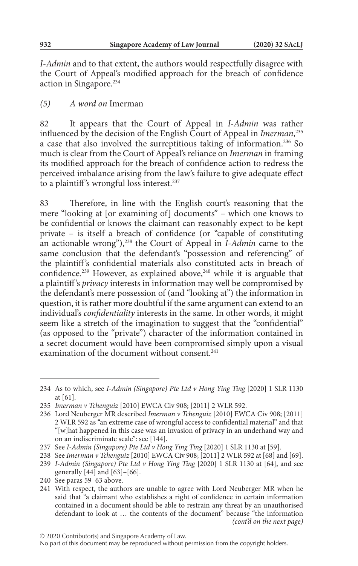*I-Admin* and to that extent, the authors would respectfully disagree with the Court of Appeal's modified approach for the breach of confidence action in Singapore.234

### *(5) A word on* Imerman

82 It appears that the Court of Appeal in *I-Admin* was rather influenced by the decision of the English Court of Appeal in *Imerman*, 235 a case that also involved the surreptitious taking of information.236 So much is clear from the Court of Appeal's reliance on *Imerman* in framing its modified approach for the breach of confidence action to redress the perceived imbalance arising from the law's failure to give adequate effect to a plaintiff's wrongful loss interest.<sup>237</sup>

83 Therefore, in line with the English court's reasoning that the mere "looking at [or examining of] documents" – which one knows to be confidential or knows the claimant can reasonably expect to be kept private – is itself a breach of confidence (or "capable of constituting an actionable wrong"),238 the Court of Appeal in *I-Admin* came to the same conclusion that the defendant's "possession and referencing" of the plaintiff's confidential materials also constituted acts in breach of confidence.<sup>239</sup> However, as explained above,<sup>240</sup> while it is arguable that a plaintiff 's *privacy* interests in information may well be compromised by the defendant's mere possession of (and "looking at") the information in question, it is rather more doubtful if the same argument can extend to an individual's *confidentiality* interests in the same. In other words, it might seem like a stretch of the imagination to suggest that the "confidential" (as opposed to the "private") character of the information contained in a secret document would have been compromised simply upon a visual examination of the document without consent.<sup>241</sup>

<sup>234</sup> As to which, see *I-Admin (Singapore) Pte Ltd v Hong Ying Ting* [2020] 1 SLR 1130 at [61].

<sup>235</sup> *Imerman v Tchenguiz* [2010] EWCA Civ 908; [2011] 2 WLR 592.

<sup>236</sup> Lord Neuberger MR described *Imerman v Tchenguiz* [2010] EWCA Civ 908; [2011] 2 WLR 592 as "an extreme case of wrongful access to confidential material" and that "[w]hat happened in this case was an invasion of privacy in an underhand way and on an indiscriminate scale": see [144].

<sup>237</sup> See *I-Admin (Singapore) Pte Ltd v Hong Ying Ting* [2020] 1 SLR 1130 at [59].

<sup>238</sup> See *Imerman v Tchenguiz* [2010] EWCA Civ 908; [2011] 2 WLR 592 at [68] and [69]. 239 *I-Admin (Singapore) Pte Ltd v Hong Ying Ting* [2020] 1 SLR 1130 at [64], and see

generally [44] and [63]–[66]. 240 See paras 59–63 above.

<sup>241</sup> With respect, the authors are unable to agree with Lord Neuberger MR when he said that "a claimant who establishes a right of confidence in certain information contained in a document should be able to restrain any threat by an unauthorised defendant to look at … the contents of the document" because "the information *(cont'd on the next page)*

No part of this document may be reproduced without permission from the copyright holders.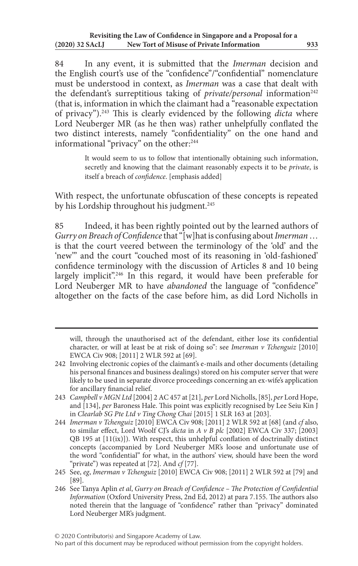84 In any event, it is submitted that the *Imerman* decision and the English court's use of the "confidence"/"confidential" nomenclature must be understood in context, as *Imerman* was a case that dealt with the defendant's surreptitious taking of *private/personal* information<sup>242</sup> (that is, information in which the claimant had a "reasonable expectation of privacy").243 This is clearly evidenced by the following *dicta* where Lord Neuberger MR (as he then was) rather unhelpfully conflated the two distinct interests, namely "confidentiality" on the one hand and informational "privacy" on the other:<sup>244</sup>

> It would seem to us to follow that intentionally obtaining such information, secretly and knowing that the claimant reasonably expects it to be *private*, is itself a breach of *confidence*. [emphasis added]

With respect, the unfortunate obfuscation of these concepts is repeated by his Lordship throughout his judgment.<sup>245</sup>

85 Indeed, it has been rightly pointed out by the learned authors of *Gurry on Breach of Confidence* that "[w]hat is confusing about *Imerman* … is that the court veered between the terminology of the 'old' and the 'new'" and the court "couched most of its reasoning in 'old-fashioned' confidence terminology with the discussion of Articles 8 and 10 being largely implicit".<sup>246</sup> In this regard, it would have been preferable for Lord Neuberger MR to have *abandoned* the language of "confidence" altogether on the facts of the case before him, as did Lord Nicholls in

- 243 *Campbell v MGN Ltd* [2004] 2 AC 457 at [21], *per* Lord Nicholls, [85], *per* Lord Hope, and [134], *per* Baroness Hale. This point was explicitly recognised by Lee Seiu Kin J in *Clearlab SG Pte Ltd v Ting Chong Chai* [2015] 1 SLR 163 at [203].
- 244 *Imerman v Tchenguiz* [2010] EWCA Civ 908; [2011] 2 WLR 592 at [68] (and *cf* also, to similar effect, Lord Woolf CJ's *dicta* in *A v B plc* [2002] EWCA Civ 337; [2003]  $QB$  195 at  $[11(ix)]$ ). With respect, this unhelpful conflation of doctrinally distinct concepts (accompanied by Lord Neuberger MR's loose and unfortunate use of the word "confidential" for what, in the authors' view, should have been the word "private") was repeated at [72]. And *cf* [77].
- 245 See, *eg*, *Imerman v Tchenguiz* [2010] EWCA Civ 908; [2011] 2 WLR 592 at [79] and [89].
- 246 See Tanya Aplin *et al*, *Gurry on Breach of Confidence The Protection of Confidential Information* (Oxford University Press, 2nd Ed, 2012) at para 7.155. The authors also noted therein that the language of "confidence" rather than "privacy" dominated Lord Neuberger MR's judgment.

will, through the unauthorised act of the defendant, either lose its confidential character, or will at least be at risk of doing so": see *Imerman v Tchenguiz* [2010] EWCA Civ 908; [2011] 2 WLR 592 at [69].

<sup>242</sup> Involving electronic copies of the claimant's e-mails and other documents (detailing his personal finances and business dealings) stored on his computer server that were likely to be used in separate divorce proceedings concerning an ex-wife's application for ancillary financial relief.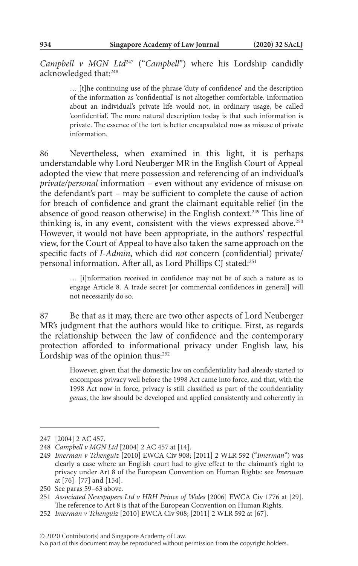*Campbell v MGN Ltd*247 ("*Campbell*") where his Lordship candidly acknowledged that:248

> … [t]he continuing use of the phrase 'duty of confidence' and the description of the information as 'confidential' is not altogether comfortable. Information about an individual's private life would not, in ordinary usage, be called 'confidential'. The more natural description today is that such information is private. The essence of the tort is better encapsulated now as misuse of private information.

86 Nevertheless, when examined in this light, it is perhaps understandable why Lord Neuberger MR in the English Court of Appeal adopted the view that mere possession and referencing of an individual's *private/personal* information – even without any evidence of misuse on the defendant's part – may be sufficient to complete the cause of action for breach of confidence and grant the claimant equitable relief (in the absence of good reason otherwise) in the English context.<sup>249</sup> This line of thinking is, in any event, consistent with the views expressed above.<sup>250</sup> However, it would not have been appropriate, in the authors' respectful view, for the Court of Appeal to have also taken the same approach on the specific facts of *I-Admin*, which did *not* concern (confidential) private/ personal information. After all, as Lord Phillips CJ stated:<sup>251</sup>

> … [i]nformation received in confidence may not be of such a nature as to engage Article 8. A trade secret [or commercial confidences in general] will not necessarily do so.

87 Be that as it may, there are two other aspects of Lord Neuberger MR's judgment that the authors would like to critique. First, as regards the relationship between the law of confidence and the contemporary protection afforded to informational privacy under English law, his Lordship was of the opinion thus:<sup>252</sup>

> However, given that the domestic law on confidentiality had already started to encompass privacy well before the 1998 Act came into force, and that, with the 1998 Act now in force, privacy is still classified as part of the confidentiality *genus*, the law should be developed and applied consistently and coherently in

<sup>247</sup> [2004] 2 AC 457.

<sup>248</sup> *Campbell v MGN Ltd* [2004] 2 AC 457 at [14].

<sup>249</sup> *Imerman v Tchenguiz* [2010] EWCA Civ 908; [2011] 2 WLR 592 ("*Imerman*") was clearly a case where an English court had to give effect to the claimant's right to privacy under Art 8 of the European Convention on Human Rights: see *Imerman* at [76]–[77] and [154].

<sup>250</sup> See paras 59–63 above.

<sup>251</sup> *Associated Newspapers Ltd v HRH Prince of Wales* [2006] EWCA Civ 1776 at [29]. The reference to Art 8 is that of the European Convention on Human Rights.

<sup>252</sup> *Imerman v Tchenguiz* [2010] EWCA Civ 908; [2011] 2 WLR 592 at [67].

<sup>© 2020</sup> Contributor(s) and Singapore Academy of Law.

No part of this document may be reproduced without permission from the copyright holders.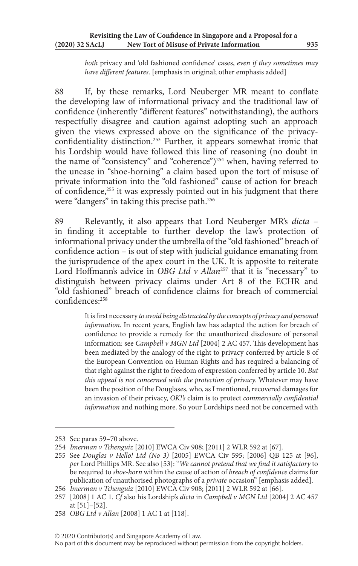*both* privacy and 'old fashioned confidence' cases, *even if they sometimes may have different features*. [emphasis in original; other emphasis added]

88 If, by these remarks, Lord Neuberger MR meant to conflate the developing law of informational privacy and the traditional law of confidence (inherently "different features" notwithstanding), the authors respectfully disagree and caution against adopting such an approach given the views expressed above on the significance of the privacyconfidentiality distinction.<sup>253</sup> Further, it appears somewhat ironic that his Lordship would have followed this line of reasoning (no doubt in the name of "consistency" and "coherence")<sup>254</sup> when, having referred to the unease in "shoe-horning" a claim based upon the tort of misuse of private information into the "old fashioned" cause of action for breach of confidence,<sup>255</sup> it was expressly pointed out in his judgment that there were "dangers" in taking this precise path.256

89 Relevantly, it also appears that Lord Neuberger MR's *dicta* – in finding it acceptable to further develop the law's protection of informational privacy under the umbrella of the "old fashioned" breach of confidence action – is out of step with judicial guidance emanating from the jurisprudence of the apex court in the UK. It is apposite to reiterate Lord Hoffmann's advice in *OBG Ltd v Allan<sup>257</sup>* that it is "necessary" to distinguish between privacy claims under Art 8 of the ECHR and "old fashioned" breach of confidence claims for breach of commercial confidences:258

> It is first necessary *to avoid being distracted by the concepts of privacy and personal information*. In recent years, English law has adapted the action for breach of confidence to provide a remedy for the unauthorized disclosure of personal information: see *Campbell v MGN Ltd* [2004] 2 AC 457. This development has been mediated by the analogy of the right to privacy conferred by article 8 of the European Convention on Human Rights and has required a balancing of that right against the right to freedom of expression conferred by article 10. *But this appeal is not concerned with the protection of privacy.* Whatever may have been the position of the Douglases, who, as I mentioned, recovered damages for an invasion of their privacy, *OK!'s* claim is to protect *commercially confidential information* and nothing more. So your Lordships need not be concerned with

# © 2020 Contributor(s) and Singapore Academy of Law.

No part of this document may be reproduced without permission from the copyright holders.

<sup>253</sup> See paras 59–70 above.

<sup>254</sup> *Imerman v Tchenguiz* [2010] EWCA Civ 908; [2011] 2 WLR 592 at [67].

<sup>255</sup> See *Douglas v Hello! Ltd (No 3)* [2005] EWCA Civ 595; [2006] QB 125 at [96], *per* Lord Phillips MR. See also [53]: "*We cannot pretend that we find it satisfactory* to be required to *shoe-horn* within the cause of action of *breach of confidence* claims for publication of unauthorised photographs of a *private* occasion" [emphasis added].

<sup>256</sup> *Imerman v Tchenguiz* [2010] EWCA Civ 908; [2011] 2 WLR 592 at [66].

<sup>257</sup> [2008] 1 AC 1. *Cf* also his Lordship's *dicta* in *Campbell v MGN Ltd* [2004] 2 AC 457 at [51]–[52].

<sup>258</sup> *OBG Ltd v Allan* [2008] 1 AC 1 at [118].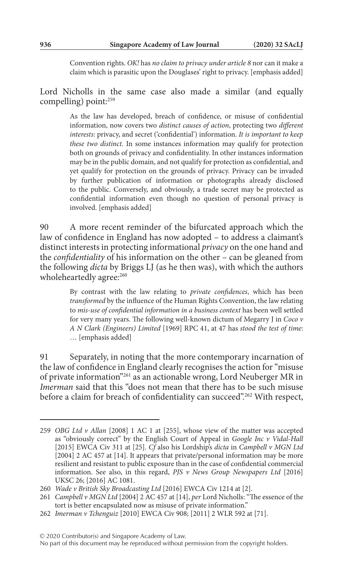Convention rights. *OK!* has *no claim to privacy under article 8* nor can it make a claim which is parasitic upon the Douglases' right to privacy. [emphasis added]

Lord Nicholls in the same case also made a similar (and equally compelling) point:259

> As the law has developed, breach of confidence, or misuse of confidential information, now covers two *distinct causes of action*, protecting two *different interests*: privacy, and secret ('confidential') information. *It is important to keep these two distinct.* In some instances information may qualify for protection both on grounds of privacy and confidentiality. In other instances information may be in the public domain, and not qualify for protection as confidential, and yet qualify for protection on the grounds of privacy. Privacy can be invaded by further publication of information or photographs already disclosed to the public. Conversely, and obviously, a trade secret may be protected as confidential information even though no question of personal privacy is involved. [emphasis added]

90 A more recent reminder of the bifurcated approach which the law of confidence in England has now adopted – to address a claimant's distinct interests in protecting informational *privacy* on the one hand and the *confidentiality* of his information on the other – can be gleaned from the following *dicta* by Briggs LJ (as he then was), with which the authors wholeheartedly agree:<sup>260</sup>

> By contrast with the law relating to *private confidences*, which has been *transformed* by the influence of the Human Rights Convention, the law relating to *mis-use of confidential information in a business context* has been well settled for very many years. The following well-known dictum of Megarry J in *Coco v A N Clark (Engineers) Limited* [1969] RPC 41, at 47 has *stood the test of time*: … [emphasis added]

91 Separately, in noting that the more contemporary incarnation of the law of confidence in England clearly recognises the action for "misuse of private information"261 as an actionable wrong, Lord Neuberger MR in *Imerman* said that this "does not mean that there has to be such misuse before a claim for breach of confidentiality can succeed".<sup>262</sup> With respect,

<sup>259</sup> *OBG Ltd v Allan* [2008] 1 AC 1 at [255], whose view of the matter was accepted as "obviously correct" by the English Court of Appeal in *Google Inc v Vidal-Hall* [2015] EWCA Civ 311 at [25]. *Cf* also his Lordship's *dicta* in *Campbell v MGN Ltd* [2004] 2 AC 457 at [14]. It appears that private/personal information may be more resilient and resistant to public exposure than in the case of confidential commercial information. See also, in this regard, *PJS v News Group Newspapers Ltd* [2016] UKSC 26; [2016] AC 1081.

<sup>260</sup> *Wade v British Sky Broadcasting Ltd* [2016] EWCA Civ 1214 at [2].

<sup>261</sup> *Campbell v MGN Ltd* [2004] 2 AC 457 at [14], *per* Lord Nicholls: "The essence of the tort is better encapsulated now as misuse of private information."

<sup>262</sup> *Imerman v Tchenguiz* [2010] EWCA Civ 908; [2011] 2 WLR 592 at [71].

No part of this document may be reproduced without permission from the copyright holders.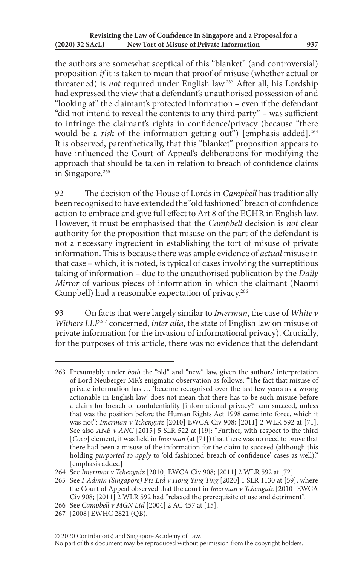the authors are somewhat sceptical of this "blanket" (and controversial) proposition *if* it is taken to mean that proof of misuse (whether actual or threatened) is *not* required under English law.263 After all, his Lordship had expressed the view that a defendant's unauthorised possession of and "looking at" the claimant's protected information – even if the defendant "did not intend to reveal the contents to any third party" – was sufficient to infringe the claimant's rights in confidence/privacy (because "there would be a *risk* of the information getting out") [emphasis added].<sup>264</sup> It is observed, parenthetically, that this "blanket" proposition appears to have influenced the Court of Appeal's deliberations for modifying the approach that should be taken in relation to breach of confidence claims in Singapore.<sup>265</sup>

92 The decision of the House of Lords in *Campbell* has traditionally been recognised to have extended the "old fashioned" breach of confidence action to embrace and give full effect to Art 8 of the ECHR in English law. However, it must be emphasised that the *Campbell* decision is *not* clear authority for the proposition that misuse on the part of the defendant is not a necessary ingredient in establishing the tort of misuse of private information. This is because there was ample evidence of *actual* misuse in that case – which, it is noted, is typical of cases involving the surreptitious taking of information – due to the unauthorised publication by the *Daily Mirror* of various pieces of information in which the claimant (Naomi Campbell) had a reasonable expectation of privacy.<sup>266</sup>

93 On facts that were largely similar to *Imerman*, the case of *White v Withers LLP*267 concerned, *inter alia*, the state of English law on misuse of private information (or the invasion of informational privacy). Crucially, for the purposes of this article, there was no evidence that the defendant

266 See *Campbell v MGN Ltd* [2004] 2 AC 457 at [15].

<sup>263</sup> Presumably under *both* the "old" and "new" law, given the authors' interpretation of Lord Neuberger MR's enigmatic observation as follows: "The fact that misuse of private information has … 'become recognised over the last few years as a wrong actionable in English law' does not mean that there has to be such misuse before a claim for breach of confidentiality [informational privacy?] can succeed, unless that was the position before the Human Rights Act 1998 came into force, which it was not": *Imerman v Tchenguiz* [2010] EWCA Civ 908; [2011] 2 WLR 592 at [71]. See also *ANB v ANC* [2015] 5 SLR 522 at [19]: "Further, with respect to the third [*Coco*] element, it was held in *Imerman* (at [71]) that there was no need to prove that there had been a misuse of the information for the claim to succeed (although this holding *purported to apply* to 'old fashioned breach of confidence' cases as well)." [emphasis added]

<sup>264</sup> See *Imerman v Tchenguiz* [2010] EWCA Civ 908; [2011] 2 WLR 592 at [72].

<sup>265</sup> See *I-Admin (Singapore) Pte Ltd v Hong Ying Ting* [2020] 1 SLR 1130 at [59], where the Court of Appeal observed that the court in *Imerman v Tchenguiz* [2010] EWCA Civ 908; [2011] 2 WLR 592 had "relaxed the prerequisite of use and detriment".

<sup>267</sup> [2008] EWHC 2821 (QB).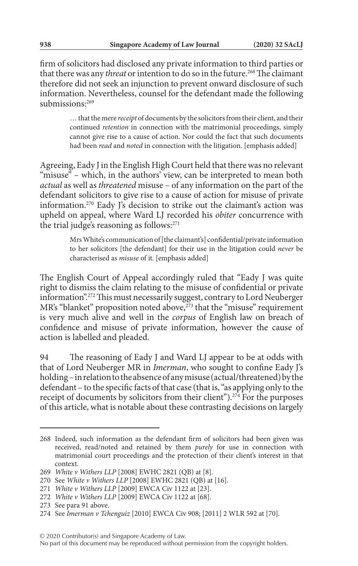firm of solicitors had disclosed any private information to third parties or that there was any *threat* or intention to do so in the future.<sup>268</sup> The claimant therefore did not seek an injunction to prevent onward disclosure of such information. Nevertheless, counsel for the defendant made the following submissions:<sup>269</sup>

> … that the mere *receipt* of documents by the solicitors from their client, and their continued *retention* in connection with the matrimonial proceedings, simply cannot give rise to a cause of action. Nor could the fact that such documents had been *read* and *noted* in connection with the litigation. [emphasis added]

Agreeing, Eady J in the English High Court held that there was no relevant "misuse" – which, in the authors' view, can be interpreted to mean both *actual* as well as *threatened* misuse – of any information on the part of the defendant solicitors to give rise to a cause of action for misuse of private information.270 Eady J's decision to strike out the claimant's action was upheld on appeal, where Ward LJ recorded his *obiter* concurrence with the trial judge's reasoning as follows:<sup>271</sup>

> Mrs White's communication of [the claimant's] confidential/private information to her solicitors [the defendant] for their use in the litigation could *never* be characterised as *misuse* of it. [emphasis added]

The English Court of Appeal accordingly ruled that "Eady J was quite right to dismiss the claim relating to the misuse of confidential or private information".272 This must necessarily suggest, contrary to Lord Neuberger MR's "blanket" proposition noted above,<sup>273</sup> that the "misuse" requirement is very much alive and well in the *corpus* of English law on breach of confidence and misuse of private information, however the cause of action is labelled and pleaded.

94 The reasoning of Eady J and Ward LJ appear to be at odds with that of Lord Neuberger MR in *Imerman*, who sought to confine Eady J's holding – in relation to the absence of any misuse (actual/threatened) by the defendant – to the specific facts of that case (that is, "as applying only to the receipt of documents by solicitors from their client").274 For the purposes of this article, what is notable about these contrasting decisions on largely

<sup>268</sup> Indeed, such information as the defendant firm of solicitors had been given was received, read/noted and retained by them *purely* for use in connection with matrimonial court proceedings and the protection of their client's interest in that context.

<sup>269</sup> *White v Withers LLP* [2008] EWHC 2821 (QB) at [8].

<sup>270</sup> See *White v Withers LLP* [2008] EWHC 2821 (QB) at [16].

<sup>271</sup> *White v Withers LLP* [2009] EWCA Civ 1122 at [23].

<sup>272</sup> *White v Withers LLP* [2009] EWCA Civ 1122 at [68].

<sup>273</sup> See para 91 above.

<sup>274</sup> See *Imerman v Tchenguiz* [2010] EWCA Civ 908; [2011] 2 WLR 592 at [70].

No part of this document may be reproduced without permission from the copyright holders.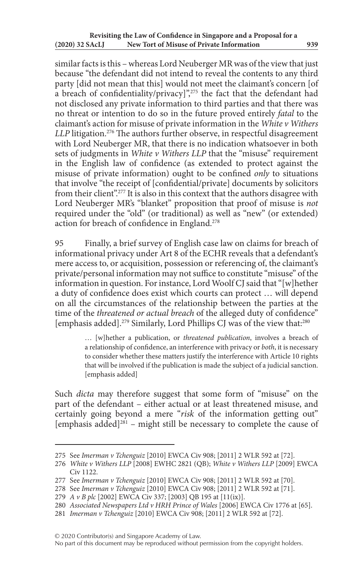similar facts is this – whereas Lord Neuberger MR was of the view that just because "the defendant did not intend to reveal the contents to any third party [did not mean that this] would not meet the claimant's concern [of a breach of confidentiality/privacy]",275 the fact that the defendant had not disclosed any private information to third parties and that there was no threat or intention to do so in the future proved entirely *fatal* to the claimant's action for misuse of private information in the *White v Withers LLP* litigation.<sup>276</sup> The authors further observe, in respectful disagreement with Lord Neuberger MR, that there is no indication whatsoever in both sets of judgments in *White v Withers LLP* that the "misuse" requirement in the English law of confidence (as extended to protect against the misuse of private information) ought to be confined *only* to situations that involve "the receipt of [confidential/private] documents by solicitors from their client".277 It is also in this context that the authors disagree with Lord Neuberger MR's "blanket" proposition that proof of misuse is *not* required under the "old" (or traditional) as well as "new" (or extended) action for breach of confidence in England.278

95 Finally, a brief survey of English case law on claims for breach of informational privacy under Art 8 of the ECHR reveals that a defendant's mere access to, or acquisition, possession or referencing of, the claimant's private/personal information may not suffice to constitute "misuse" of the information in question. For instance, Lord Woolf CJ said that "[w]hether a duty of confidence does exist which courts can protect … will depend on all the circumstances of the relationship between the parties at the time of the *threatened or actual breach* of the alleged duty of confidence" [emphasis added].<sup>279</sup> Similarly, Lord Phillips CJ was of the view that:<sup>280</sup>

> … [w]hether a publication, or *threatened publication*, involves a breach of a relationship of confidence, an interference with privacy or *both*, it is necessary to consider whether these matters justify the interference with Article 10 rights that will be involved if the publication is made the subject of a judicial sanction. [emphasis added]

Such *dicta* may therefore suggest that some form of "misuse" on the part of the defendant – either actual or at least threatened misuse, and certainly going beyond a mere "*risk* of the information getting out"  $[emphasis added]^{281}$  – might still be necessary to complete the cause of

<sup>275</sup> See *Imerman v Tchenguiz* [2010] EWCA Civ 908; [2011] 2 WLR 592 at [72].

<sup>276</sup> *White v Withers LLP* [2008] EWHC 2821 (QB); *White v Withers LLP* [2009] EWCA Civ 1122.

<sup>277</sup> See *Imerman v Tchenguiz* [2010] EWCA Civ 908; [2011] 2 WLR 592 at [70].

<sup>278</sup> See *Imerman v Tchenguiz* [2010] EWCA Civ 908; [2011] 2 WLR 592 at [71].

<sup>279</sup> *A v B plc* [2002] EWCA Civ 337; [2003] QB 195 at [11(ix)].

<sup>280</sup> *Associated Newspapers Ltd v HRH Prince of Wales* [2006] EWCA Civ 1776 at [65].

<sup>281</sup> *Imerman v Tchenguiz* [2010] EWCA Civ 908; [2011] 2 WLR 592 at [72].

No part of this document may be reproduced without permission from the copyright holders.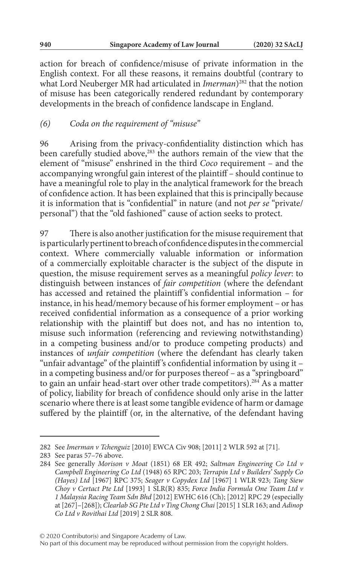action for breach of confidence/misuse of private information in the English context. For all these reasons, it remains doubtful (contrary to what Lord Neuberger MR had articulated in *Imerman*)<sup>282</sup> that the notion of misuse has been categorically rendered redundant by contemporary developments in the breach of confidence landscape in England.

## *(6) Coda on the requirement of "misuse"*

96 Arising from the privacy-confidentiality distinction which has been carefully studied above,<sup>283</sup> the authors remain of the view that the element of "misuse" enshrined in the third *Coco* requirement – and the accompanying wrongful gain interest of the plaintiff – should continue to have a meaningful role to play in the analytical framework for the breach of confidence action. It has been explained that this is principally because it is information that is "confidential" in nature (and not *per se* "private/ personal") that the "old fashioned" cause of action seeks to protect.

97 There is also another justification for the misuse requirement that is particularly pertinent to breach of confidence disputes in the commercial context. Where commercially valuable information or information of a commercially exploitable character is the subject of the dispute in question, the misuse requirement serves as a meaningful *policy lever*: to distinguish between instances of *fair competition* (where the defendant has accessed and retained the plaintiff's confidential information - for instance, in his head/memory because of his former employment – or has received confidential information as a consequence of a prior working relationship with the plaintiff but does not, and has no intention to, misuse such information (referencing and reviewing notwithstanding) in a competing business and/or to produce competing products) and instances of *unfair competition* (where the defendant has clearly taken "unfair advantage" of the plaintiff 's confidential information by using it – in a competing business and/or for purposes thereof – as a "springboard" to gain an unfair head-start over other trade competitors).284 As a matter of policy, liability for breach of confidence should only arise in the latter scenario where there is at least some tangible evidence of harm or damage suffered by the plaintiff (or, in the alternative, of the defendant having

<sup>282</sup> See *Imerman v Tchenguiz* [2010] EWCA Civ 908; [2011] 2 WLR 592 at [71].

<sup>283</sup> See paras 57–76 above.

<sup>284</sup> See generally *Morison v Moat* (1851) 68 ER 492; *Saltman Engineering Co Ltd v Campbell Engineering Co Ltd* (1948) 65 RPC 203; *Terrapin Ltd v Builders' Supply Co (Hayes) Ltd* [1967] RPC 375; *Seager v Copydex Ltd* [1967] 1 WLR 923; *Tang Siew Choy v Certact Pte Ltd* [1993] 1 SLR(R) 835; *Force India Formula One Team Ltd v 1 Malaysia Racing Team Sdn Bhd* [2012] EWHC 616 (Ch); [2012] RPC 29 (especially at [267]–[268]); *Clearlab SG Pte Ltd v Ting Chong Chai* [2015] 1 SLR 163; and *Adinop Co Ltd v Rovithai Ltd* [2019] 2 SLR 808.

No part of this document may be reproduced without permission from the copyright holders.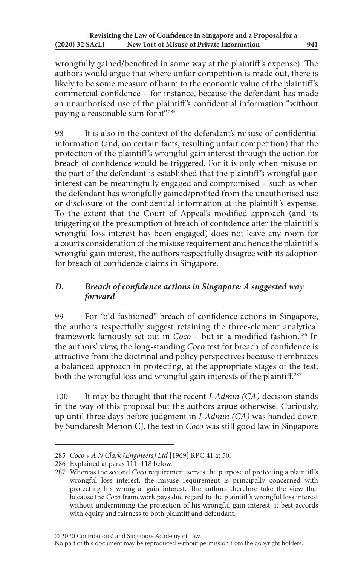wrongfully gained/benefited in some way at the plaintiff 's expense). The authors would argue that where unfair competition is made out, there is likely to be some measure of harm to the economic value of the plaintiff's commercial confidence – for instance, because the defendant has made an unauthorised use of the plaintiff's confidential information "without paying a reasonable sum for it".<sup>285</sup>

98 It is also in the context of the defendant's misuse of confidential information (and, on certain facts, resulting unfair competition) that the protection of the plaintiff 's wrongful gain interest through the action for breach of confidence would be triggered. For it is only when misuse on the part of the defendant is established that the plaintiff 's wrongful gain interest can be meaningfully engaged and compromised – such as when the defendant has wrongfully gained/profited from the unauthorised use or disclosure of the confidential information at the plaintiff 's expense. To the extent that the Court of Appeal's modified approach (and its triggering of the presumption of breach of confidence after the plaintiff 's wrongful loss interest has been engaged) does not leave any room for a court's consideration of the misuse requirement and hence the plaintiff 's wrongful gain interest, the authors respectfully disagree with its adoption for breach of confidence claims in Singapore.

# *D. Breach of confidence actions in Singapore: A suggested way forward*

99 For "old fashioned" breach of confidence actions in Singapore, the authors respectfully suggest retaining the three-element analytical framework famously set out in *Coco* – but in a modified fashion.<sup>286</sup> In the authors' view, the long-standing *Coco* test for breach of confidence is attractive from the doctrinal and policy perspectives because it embraces a balanced approach in protecting, at the appropriate stages of the test, both the wrongful loss and wrongful gain interests of the plaintiff.<sup>287</sup>

100 It may be thought that the recent *I-Admin (CA)* decision stands in the way of this proposal but the authors argue otherwise. Curiously, up until three days before judgment in *I-Admin (CA)* was handed down by Sundaresh Menon CJ, the test in *Coco* was still good law in Singapore

No part of this document may be reproduced without permission from the copyright holders.

<sup>285</sup> *Coco v A N Clark (Engineers) Ltd* [1969] RPC 41 at 50.

<sup>286</sup> Explained at paras 111–118 below.

<sup>287</sup> Whereas the second *Coco* requirement serves the purpose of protecting a plaintiff 's wrongful loss interest, the misuse requirement is principally concerned with protecting his wrongful gain interest. The authors therefore take the view that because the *Coco* framework pays due regard to the plaintiff 's wrongful loss interest without undermining the protection of his wrongful gain interest, it best accords with equity and fairness to both plaintiff and defendant.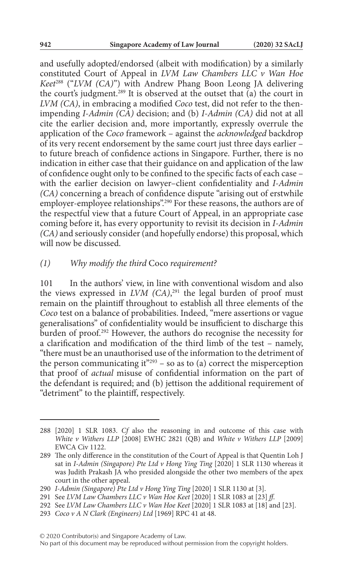and usefully adopted/endorsed (albeit with modification) by a similarly constituted Court of Appeal in *LVM Law Chambers LLC v Wan Hoe Keet*288 ("*LVM (CA)*") with Andrew Phang Boon Leong JA delivering the court's judgment.289 It is observed at the outset that (a) the court in *LVM (CA)*, in embracing a modified *Coco* test, did not refer to the thenimpending *I-Admin (CA)* decision; and (b) *I-Admin (CA)* did not at all cite the earlier decision and, more importantly, expressly overrule the application of the *Coco* framework – against the *acknowledged* backdrop of its very recent endorsement by the same court just three days earlier – to future breach of confidence actions in Singapore. Further, there is no indication in either case that their guidance on and application of the law of confidence ought only to be confined to the specific facts of each case – with the earlier decision on lawyer–client confidentiality and *I-Admin (CA)* concerning a breach of confidence dispute "arising out of erstwhile employer-employee relationships".<sup>290</sup> For these reasons, the authors are of the respectful view that a future Court of Appeal, in an appropriate case coming before it, has every opportunity to revisit its decision in *I-Admin (CA)* and seriously consider (and hopefully endorse) this proposal, which will now be discussed.

### *(1) Why modify the third* Coco *requirement?*

101 In the authors' view, in line with conventional wisdom and also the views expressed in *LVM (CA)*, 291 the legal burden of proof must remain on the plaintiff throughout to establish all three elements of the *Coco* test on a balance of probabilities. Indeed, "mere assertions or vague generalisations" of confidentiality would be insufficient to discharge this burden of proof.<sup>292</sup> However, the authors do recognise the necessity for a clarification and modification of the third limb of the test – namely, "there must be an unauthorised use of the information to the detriment of the person communicating it<sup> $"293$ </sup> – so as to (a) correct the misperception that proof of *actual* misuse of confidential information on the part of the defendant is required; and (b) jettison the additional requirement of "detriment" to the plaintiff, respectively.

<sup>288</sup> [2020] 1 SLR 1083. *Cf* also the reasoning in and outcome of this case with *White v Withers LLP* [2008] EWHC 2821 (QB) and *White v Withers LLP* [2009] EWCA Civ 1122.

<sup>289</sup> The only difference in the constitution of the Court of Appeal is that Quentin Loh J sat in *I-Admin (Singapore) Pte Ltd v Hong Ying Ting* [2020] 1 SLR 1130 whereas it was Judith Prakash JA who presided alongside the other two members of the apex court in the other appeal.

<sup>290</sup> *I-Admin (Singapore) Pte Ltd v Hong Ying Ting* [2020] 1 SLR 1130 at [3].

<sup>291</sup> See *LVM Law Chambers LLC v Wan Hoe Keet* [2020] 1 SLR 1083 at [23] *ff*.

<sup>292</sup> See *LVM Law Chambers LLC v Wan Hoe Keet* [2020] 1 SLR 1083 at [18] and [23].

<sup>293</sup> *Coco v A N Clark (Engineers) Ltd* [1969] RPC 41 at 48.

<sup>© 2020</sup> Contributor(s) and Singapore Academy of Law.

No part of this document may be reproduced without permission from the copyright holders.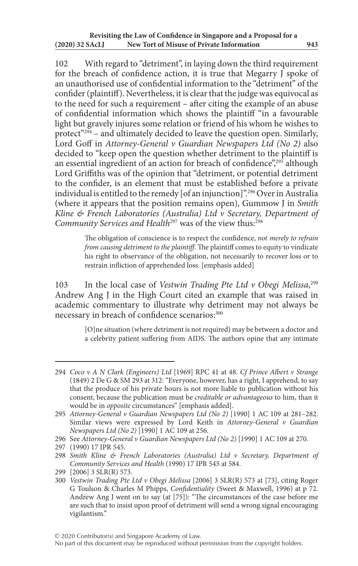102 With regard to "detriment", in laying down the third requirement for the breach of confidence action, it is true that Megarry  $\overline{J}$  spoke of an unauthorised use of confidential information to the "detriment" of the confider (plaintiff). Nevertheless, it is clear that the judge was equivocal as to the need for such a requirement – after citing the example of an abuse of confidential information which shows the plaintiff "in a favourable light but gravely injures some relation or friend of his whom he wishes to protect" $294$  – and ultimately decided to leave the question open. Similarly, Lord Goff in *Attorney-General v Guardian Newspapers Ltd (No 2)* also decided to "keep open the question whether detriment to the plaintiff is an essential ingredient of an action for breach of confidence",<sup>295</sup> although Lord Griffiths was of the opinion that "detriment, or potential detriment to the confider, is an element that must be established before a private individual is entitled to the remedy [of an injunction]".296 Over in Australia (where it appears that the position remains open), Gummow J in *Smith Kline & French Laboratories (Australia) Ltd v Secretary, Department of Community Services and Health*<sup>297</sup> was of the view thus:<sup>298</sup>

> The obligation of conscience is to respect the confidence, *not merely to refrain from causing detriment to the plaintiff*. The plaintiff comes to equity to vindicate his right to observance of the obligation, not necessarily to recover loss or to restrain infliction of apprehended loss. [emphasis added]

103 In the local case of *Vestwin Trading Pte Ltd v Obegi Melissa*, 299 Andrew Ang J in the High Court cited an example that was raised in academic commentary to illustrate why detriment may not always be necessary in breach of confidence scenarios: 300

> [O]ne situation (where detriment is not required) may be between a doctor and a celebrity patient suffering from AIDS. The authors opine that any intimate

<sup>294</sup> *Coco v A N Clark (Engineers) Ltd* [1969] RPC 41 at 48. *Cf Prince Albert v Strange* (1849) 2 De G & SM 293 at 312: "Everyone, however, has a right, I apprehend, to say that the produce of his private hours is not more liable to publication without his consent, because the publication must be *creditable or advantageous* to him, than it would be in *opposite* circumstances" [emphasis added].

<sup>295</sup> *Attorney-General v Guardian Newspapers Ltd (No 2)* [1990] 1 AC 109 at 281–282. Similar views were expressed by Lord Keith in *Attorney-General v Guardian Newspapers Ltd (No 2)* [1990] 1 AC 109 at 256.

<sup>296</sup> See *Attorney-General v Guardian Newspapers Ltd (No 2)* [1990] 1 AC 109 at 270.

<sup>297</sup> (1990) 17 IPR 545.

<sup>298</sup> *Smith Kline & French Laboratories (Australia) Ltd v Secretary, Department of Community Services and Health* (1990) 17 IPR 545 at 584.

<sup>299</sup> [2006] 3 SLR(R) 573.

<sup>300</sup> *Vestwin Trading Pte Ltd v Obegi Melissa* [2006] 3 SLR(R) 573 at [73], citing Roger G Toulson & Charles M Phipps, *Confidentiality* (Sweet & Maxwell, 1996) at p 72. Andrew Ang J went on to say (at [75]): "The circumstances of the case before me are such that to insist upon proof of detriment will send a wrong signal encouraging vigilantism."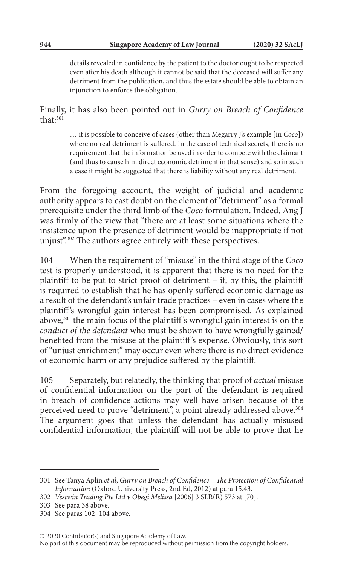details revealed in confidence by the patient to the doctor ought to be respected even after his death although it cannot be said that the deceased will suffer any detriment from the publication, and thus the estate should be able to obtain an injunction to enforce the obligation.

Finally, it has also been pointed out in *Gurry on Breach of Confidence* that $\cdot$ <sup>301</sup>

> … it is possible to conceive of cases (other than Megarry J's example [in *Coco*]) where no real detriment is suffered. In the case of technical secrets, there is no requirement that the information be used in order to compete with the claimant (and thus to cause him direct economic detriment in that sense) and so in such a case it might be suggested that there is liability without any real detriment.

From the foregoing account, the weight of judicial and academic authority appears to cast doubt on the element of "detriment" as a formal prerequisite under the third limb of the *Coco* formulation. Indeed, Ang J was firmly of the view that "there are at least some situations where the insistence upon the presence of detriment would be inappropriate if not unjust".302 The authors agree entirely with these perspectives.

104 When the requirement of "misuse" in the third stage of the *Coco* test is properly understood, it is apparent that there is no need for the plaintiff to be put to strict proof of detriment – if, by this, the plaintiff is required to establish that he has openly suffered economic damage as a result of the defendant's unfair trade practices – even in cases where the plaintiff's wrongful gain interest has been compromised. As explained above,<sup>303</sup> the main focus of the plaintiff's wrongful gain interest is on the *conduct of the defendant* who must be shown to have wrongfully gained/ benefited from the misuse at the plaintiff 's expense. Obviously, this sort of "unjust enrichment" may occur even where there is no direct evidence of economic harm or any prejudice suffered by the plaintiff.

105 Separately, but relatedly, the thinking that proof of *actual* misuse of confidential information on the part of the defendant is required in breach of confidence actions may well have arisen because of the perceived need to prove "detriment", a point already addressed above.<sup>304</sup> The argument goes that unless the defendant has actually misused confidential information, the plaintiff will not be able to prove that he

No part of this document may be reproduced without permission from the copyright holders.

<sup>301</sup> See Tanya Aplin *et al*, *Gurry on Breach of Confidence – The Protection of Confidential Information* (Oxford University Press, 2nd Ed, 2012) at para 15.43.

<sup>302</sup> *Vestwin Trading Pte Ltd v Obegi Melissa* [2006] 3 SLR(R) 573 at [70].

<sup>303</sup> See para 38 above.

<sup>304</sup> See paras 102–104 above.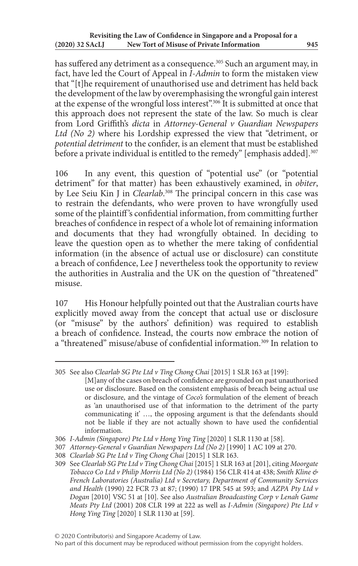has suffered any detriment as a consequence.<sup>305</sup> Such an argument may, in fact, have led the Court of Appeal in *I-Admin* to form the mistaken view that "[t]he requirement of unauthorised use and detriment has held back the development of the law by overemphasising the wrongful gain interest at the expense of the wrongful loss interest".306 It is submitted at once that this approach does not represent the state of the law. So much is clear from Lord Griffith's *dicta* in *Attorney-General v Guardian Newspapers Ltd (No 2)* where his Lordship expressed the view that "detriment, or *potential detriment* to the confider, is an element that must be established before a private individual is entitled to the remedy" [emphasis added].<sup>307</sup>

106 In any event, this question of "potential use" (or "potential detriment" for that matter) has been exhaustively examined, in *obiter*, by Lee Seiu Kin J in *Clearlab*. 308 The principal concern in this case was to restrain the defendants, who were proven to have wrongfully used some of the plaintiff 's confidential information, from committing further breaches of confidence in respect of a whole lot of remaining information and documents that they had wrongfully obtained. In deciding to leave the question open as to whether the mere taking of confidential information (in the absence of actual use or disclosure) can constitute a breach of confidence, Lee J nevertheless took the opportunity to review the authorities in Australia and the UK on the question of "threatened" misuse.

107 His Honour helpfully pointed out that the Australian courts have explicitly moved away from the concept that actual use or disclosure (or "misuse" by the authors' definition) was required to establish a breach of confidence. Instead, the courts now embrace the notion of a "threatened" misuse/abuse of confidential information.<sup>309</sup> In relation to

<sup>305</sup> See also *Clearlab SG Pte Ltd v Ting Chong Chai* [2015] 1 SLR 163 at [199]:

<sup>[</sup>M]any of the cases on breach of confidence are grounded on past unauthorised use or disclosure. Based on the consistent emphasis of breach being actual use or disclosure, and the vintage of *Coco's* formulation of the element of breach as 'an unauthorised use of that information to the detriment of the party communicating it' …, the opposing argument is that the defendants should not be liable if they are not actually shown to have used the confidential information.

<sup>306</sup> *I-Admin (Singapore) Pte Ltd v Hong Ying Ting* [2020] 1 SLR 1130 at [58].

<sup>307</sup> *Attorney-General v Guardian Newspapers Ltd (No 2)* [1990] 1 AC 109 at 270.

<sup>308</sup> *Clearlab SG Pte Ltd v Ting Chong Chai* [2015] 1 SLR 163.

<sup>309</sup> See *Clearlab SG Pte Ltd v Ting Chong Chai* [2015] 1 SLR 163 at [201], citing *Moorgate Tobacco Co Ltd v Philip Morris Ltd (No 2)* (1984) 156 CLR 414 at 438; *Smith Kline & French Laboratories (Australia) Ltd v Secretary, Department of Community Services and Health* (1990) 22 FCR 73 at 87; (1990) 17 IPR 545 at 593; and *AZPA Pty Ltd v Dogan* [2010] VSC 51 at [10]. See also *Australian Broadcasting Corp v Lenah Game Meats Pty Ltd* (2001) 208 CLR 199 at 222 as well as *I-Admin (Singapore) Pte Ltd v Hong Ying Ting* [2020] 1 SLR 1130 at [59].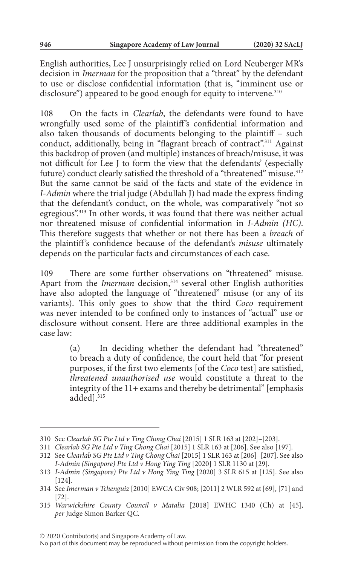English authorities, Lee J unsurprisingly relied on Lord Neuberger MR's decision in *Imerman* for the proposition that a "threat" by the defendant to use or disclose confidential information (that is, "imminent use or disclosure") appeared to be good enough for equity to intervene.<sup>310</sup>

108 On the facts in *Clearlab*, the defendants were found to have wrongfully used some of the plaintiff's confidential information and also taken thousands of documents belonging to the plaintiff – such conduct, additionally, being in "flagrant breach of contract".<sup>311</sup> Against this backdrop of proven (and multiple) instances of breach/misuse, it was not difficult for Lee J to form the view that the defendants' (especially future) conduct clearly satisfied the threshold of a "threatened" misuse.<sup>312</sup> But the same cannot be said of the facts and state of the evidence in *I-Admin* where the trial judge (Abdullah J) had made the express finding that the defendant's conduct, on the whole, was comparatively "not so egregious".<sup>313</sup> In other words, it was found that there was neither actual nor threatened misuse of confidential information in *I-Admin (HC)*. This therefore suggests that whether or not there has been a *breach* of the plaintiff 's confidence because of the defendant's *misuse* ultimately depends on the particular facts and circumstances of each case.

109 There are some further observations on "threatened" misuse. Apart from the *Imerman* decision,<sup>314</sup> several other English authorities have also adopted the language of "threatened" misuse (or any of its variants). This only goes to show that the third *Coco* requirement was never intended to be confined only to instances of "actual" use or disclosure without consent. Here are three additional examples in the case law:

> (a) In deciding whether the defendant had "threatened" to breach a duty of confidence, the court held that "for present purposes, if the first two elements [of the *Coco* test] are satisfied, *threatened unauthorised use* would constitute a threat to the integrity of the 11+ exams and thereby be detrimental" [emphasis added<sup>1315</sup>

<sup>310</sup> See *Clearlab SG Pte Ltd v Ting Chong Chai* [2015] 1 SLR 163 at [202]–[203].

<sup>311</sup> *Clearlab SG Pte Ltd v Ting Chong Chai* [2015] 1 SLR 163 at [206]. See also [197].

<sup>312</sup> See *Clearlab SG Pte Ltd v Ting Chong Chai* [2015] 1 SLR 163 at [206]–[207]. See also *I-Admin (Singapore) Pte Ltd v Hong Ying Ting* [2020] 1 SLR 1130 at [29].

<sup>313</sup> *I-Admin (Singapore) Pte Ltd v Hong Ying Ting* [2020] 3 SLR 615 at [125]. See also [124].

<sup>314</sup> See *Imerman v Tchenguiz* [2010] EWCA Civ 908; [2011] 2 WLR 592 at [69], [71] and [72].

<sup>315</sup> *Warwickshire County Council v Matalia* [2018] EWHC 1340 (Ch) at [45], *per* Judge Simon Barker QC.

No part of this document may be reproduced without permission from the copyright holders.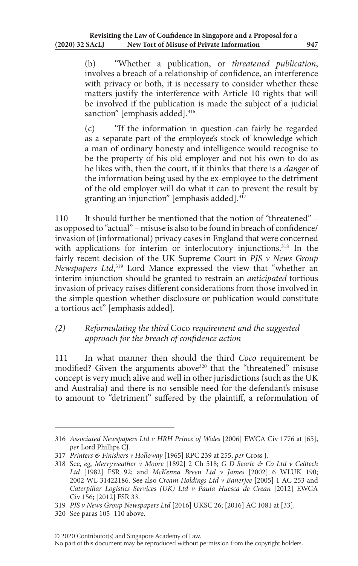(b) "Whether a publication, or *threatened publication*, involves a breach of a relationship of confidence, an interference with privacy or both, it is necessary to consider whether these matters justify the interference with Article 10 rights that will be involved if the publication is made the subject of a judicial sanction" [emphasis added].<sup>316</sup>

(c) "If the information in question can fairly be regarded as a separate part of the employee's stock of knowledge which a man of ordinary honesty and intelligence would recognise to be the property of his old employer and not his own to do as he likes with, then the court, if it thinks that there is a *danger* of the information being used by the ex-employee to the detriment of the old employer will do what it can to prevent the result by granting an injunction" [emphasis added].317

110 It should further be mentioned that the notion of "threatened" – as opposed to "actual" – misuse is also to be found in breach of confidence/ invasion of (informational) privacy cases in England that were concerned with applications for interim or interlocutory injunctions.<sup>318</sup> In the fairly recent decision of the UK Supreme Court in *PJS v News Group Newspapers Ltd*, 319 Lord Mance expressed the view that "whether an interim injunction should be granted to restrain an *anticipated* tortious invasion of privacy raises different considerations from those involved in the simple question whether disclosure or publication would constitute a tortious act" [emphasis added].

# *(2) Reformulating the third* Coco *requirement and the suggested approach for the breach of confidence action*

111 In what manner then should the third *Coco* requirement be modified? Given the arguments above<sup>320</sup> that the "threatened" misuse concept is very much alive and well in other jurisdictions (such as the UK and Australia) and there is no sensible need for the defendant's misuse to amount to "detriment" suffered by the plaintiff, a reformulation of

<sup>316</sup> *Associated Newspapers Ltd v HRH Prince of Wales* [2006] EWCA Civ 1776 at [65], *per* Lord Phillips CJ.

<sup>317</sup> *Printers & Finishers v Holloway* [1965] RPC 239 at 255, *per* Cross J.

<sup>318</sup> See, *eg*, *Merryweather v Moore* [1892] 2 Ch 518; *G D Searle & Co Ltd v Celltech Ltd* [1982] FSR 92; and *McKenna Breen Ltd v James* [2002] 6 WLUK 190; 2002 WL 31422186. See also *Cream Holdings Ltd v Banerjee* [2005] 1 AC 253 and *Caterpillar Logistics Services (UK) Ltd v Paula Huesca de Crean* [2012] EWCA Civ 156; [2012] FSR 33.

<sup>319</sup> *PJS v News Group Newspapers Ltd* [2016] UKSC 26; [2016] AC 1081 at [33].

<sup>320</sup> See paras 105–110 above.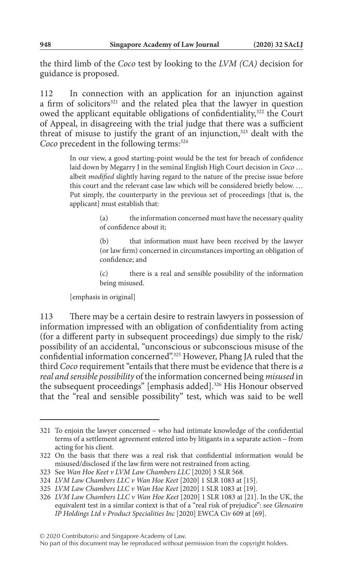the third limb of the *Coco* test by looking to the *LVM (CA)* decision for guidance is proposed.

112 In connection with an application for an injunction against a firm of solicitors<sup>321</sup> and the related plea that the lawyer in question owed the applicant equitable obligations of confidentiality,<sup>322</sup> the Court of Appeal, in disagreeing with the trial judge that there was a sufficient threat of misuse to justify the grant of an injunction, $323$  dealt with the *Coco* precedent in the following terms:<sup>324</sup>

> In our view, a good starting-point would be the test for breach of confidence laid down by Megarry J in the seminal English High Court decision in *Coco* … albeit *modified* slightly having regard to the nature of the precise issue before this court and the relevant case law which will be considered briefly below. … Put simply, the counterparty in the previous set of proceedings [that is, the applicant] must establish that:

> > (a) the information concerned must have the necessary quality of confidence about it;

> > (b) that information must have been received by the lawyer (or law firm) concerned in circumstances importing an obligation of confidence; and

> > (c) there is a real and sensible possibility of the information being misused.

[emphasis in original]

113 There may be a certain desire to restrain lawyers in possession of information impressed with an obligation of confidentiality from acting (for a different party in subsequent proceedings) due simply to the risk/ possibility of an accidental, "unconscious or subconscious misuse of the confidential information concerned".325 However, Phang JA ruled that the third *Coco* requirement "entails that there must be evidence that there is *a real and sensible possibility* of the information concerned being *misused* in the subsequent proceedings" [emphasis added].<sup>326</sup> His Honour observed that the "real and sensible possibility" test, which was said to be well

<sup>321</sup> To enjoin the lawyer concerned – who had intimate knowledge of the confidential terms of a settlement agreement entered into by litigants in a separate action – from acting for his client.

<sup>322</sup> On the basis that there was a real risk that confidential information would be misused/disclosed if the law firm were not restrained from acting.

<sup>323</sup> See *Wan Hoe Keet v LVM Law Chambers LLC* [2020] 3 SLR 568.

<sup>324</sup> *LVM Law Chambers LLC v Wan Hoe Keet* [2020] 1 SLR 1083 at [15].

<sup>325</sup> *LVM Law Chambers LLC v Wan Hoe Keet* [2020] 1 SLR 1083 at [19].

<sup>326</sup> *LVM Law Chambers LLC v Wan Hoe Keet* [2020] 1 SLR 1083 at [21]. In the UK, the equivalent test in a similar context is that of a "real risk of prejudice": see *Glencairn IP Holdings Ltd v Product Specialities Inc* [2020] EWCA Civ 609 at [69].

No part of this document may be reproduced without permission from the copyright holders.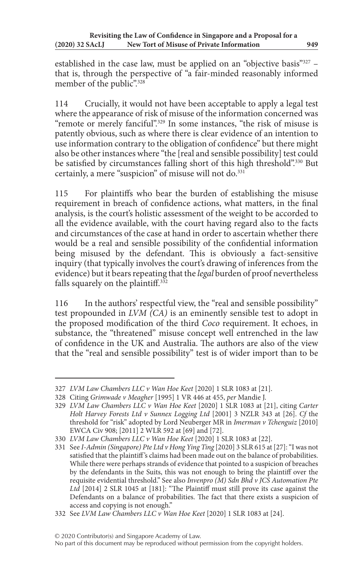established in the case law, must be applied on an "objective basis"327 – that is, through the perspective of "a fair-minded reasonably informed member of the public".<sup>328</sup>

114 Crucially, it would not have been acceptable to apply a legal test where the appearance of risk of misuse of the information concerned was "remote or merely fanciful".<sup>329</sup> In some instances, "the risk of misuse is patently obvious, such as where there is clear evidence of an intention to use information contrary to the obligation of confidence" but there might also be other instances where "the [real and sensible possibility] test could be satisfied by circumstances falling short of this high threshold".<sup>330</sup> But certainly, a mere "suspicion" of misuse will not do.<sup>331</sup>

115 For plaintiffs who bear the burden of establishing the misuse requirement in breach of confidence actions, what matters, in the final analysis, is the court's holistic assessment of the weight to be accorded to all the evidence available, with the court having regard also to the facts and circumstances of the case at hand in order to ascertain whether there would be a real and sensible possibility of the confidential information being misused by the defendant. This is obviously a fact-sensitive inquiry (that typically involves the court's drawing of inferences from the evidence) but it bears repeating that the *legal* burden of proof nevertheless falls squarely on the plaintiff. $332$ 

116 In the authors' respectful view, the "real and sensible possibility" test propounded in *LVM (CA)* is an eminently sensible test to adopt in the proposed modification of the third *Coco* requirement. It echoes, in substance, the "threatened" misuse concept well entrenched in the law of confidence in the UK and Australia. The authors are also of the view that the "real and sensible possibility" test is of wider import than to be

<sup>327</sup> *LVM Law Chambers LLC v Wan Hoe Keet* [2020] 1 SLR 1083 at [21].

<sup>328</sup> Citing *Grimwade v Meagher* [1995] 1 VR 446 at 455, *per* Mandie J.

<sup>329</sup> *LVM Law Chambers LLC v Wan Hoe Keet* [2020] 1 SLR 1083 at [21], citing *Carter Holt Harvey Forests Ltd v Sunnex Logging Ltd* [2001] 3 NZLR 343 at [26]. *Cf* the threshold for "risk" adopted by Lord Neuberger MR in *Imerman v Tchenguiz* [2010] EWCA Civ 908; [2011] 2 WLR 592 at [69] and [72].

<sup>330</sup> *LVM Law Chambers LLC v Wan Hoe Keet* [2020] 1 SLR 1083 at [22].

<sup>331</sup> See *I-Admin (Singapore) Pte Ltd v Hong Ying Ting* [2020] 3 SLR 615 at [27]: "I was not satisfied that the plaintiff 's claims had been made out on the balance of probabilities. While there were perhaps strands of evidence that pointed to a suspicion of breaches by the defendants in the Suits, this was not enough to bring the plaintiff over the requisite evidential threshold." See also *Invenpro (M) Sdn Bhd v JCS Automation Pte Ltd* [2014] 2 SLR 1045 at [181]: "The Plaintiff must still prove its case against the Defendants on a balance of probabilities. The fact that there exists a suspicion of access and copying is not enough."

<sup>332</sup> See *LVM Law Chambers LLC v Wan Hoe Keet* [2020] 1 SLR 1083 at [24].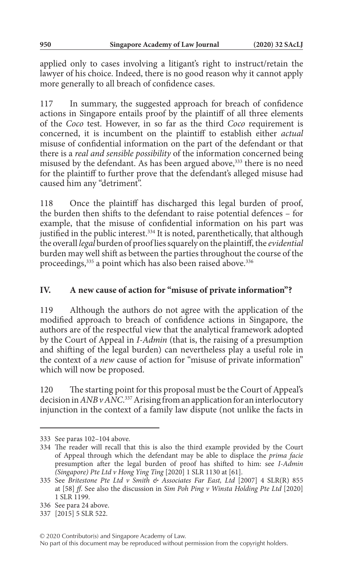applied only to cases involving a litigant's right to instruct/retain the lawyer of his choice. Indeed, there is no good reason why it cannot apply more generally to all breach of confidence cases.

117 In summary, the suggested approach for breach of confidence actions in Singapore entails proof by the plaintiff of all three elements of the *Coco* test. However, in so far as the third *Coco* requirement is concerned, it is incumbent on the plaintiff to establish either *actual* misuse of confidential information on the part of the defendant or that there is a *real and sensible possibility* of the information concerned being misused by the defendant. As has been argued above,<sup>333</sup> there is no need for the plaintiff to further prove that the defendant's alleged misuse had caused him any "detriment".

118 Once the plaintiff has discharged this legal burden of proof, the burden then shifts to the defendant to raise potential defences – for example, that the misuse of confidential information on his part was justified in the public interest.<sup>334</sup> It is noted, parenthetically, that although the overall *legal* burden of proof lies squarely on the plaintiff, the *evidential* burden may well shift as between the parties throughout the course of the proceedings,<sup>335</sup> a point which has also been raised above.<sup>336</sup>

## **IV. A new cause of action for "misuse of private information"?**

119 Although the authors do not agree with the application of the modified approach to breach of confidence actions in Singapore, the authors are of the respectful view that the analytical framework adopted by the Court of Appeal in *I-Admin* (that is, the raising of a presumption and shifting of the legal burden) can nevertheless play a useful role in the context of a *new* cause of action for "misuse of private information" which will now be proposed.

120 The starting point for this proposal must be the Court of Appeal's decision in *ANB v ANC*. 337 Arising from an application for an interlocutory injunction in the context of a family law dispute (not unlike the facts in

<sup>333</sup> See paras 102–104 above.

<sup>334</sup> The reader will recall that this is also the third example provided by the Court of Appeal through which the defendant may be able to displace the *prima facie* presumption after the legal burden of proof has shifted to him: see *I-Admin (Singapore) Pte Ltd v Hong Ying Ting* [2020] 1 SLR 1130 at [61].

<sup>335</sup> See *Britestone Pte Ltd v Smith & Associates Far East, Ltd* [2007] 4 SLR(R) 855 at [58] *ff*. See also the discussion in *Sim Poh Ping v Winsta Holding Pte Ltd* [2020] 1 SLR 1199.

<sup>336</sup> See para 24 above.

<sup>337</sup> [2015] 5 SLR 522.

<sup>© 2020</sup> Contributor(s) and Singapore Academy of Law.

No part of this document may be reproduced without permission from the copyright holders.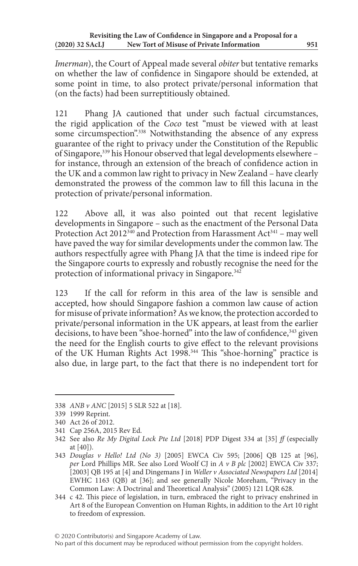*Imerman*), the Court of Appeal made several *obiter* but tentative remarks on whether the law of confidence in Singapore should be extended, at some point in time, to also protect private/personal information that (on the facts) had been surreptitiously obtained.

121 Phang JA cautioned that under such factual circumstances, the rigid application of the *Coco* test "must be viewed with at least some circumspection".<sup>338</sup> Notwithstanding the absence of any express guarantee of the right to privacy under the Constitution of the Republic of Singapore,339 his Honour observed that legal developments elsewhere – for instance, through an extension of the breach of confidence action in the UK and a common law right to privacy in New Zealand – have clearly demonstrated the prowess of the common law to fill this lacuna in the protection of private/personal information.

122 Above all, it was also pointed out that recent legislative developments in Singapore – such as the enactment of the Personal Data Protection Act 2012<sup>340</sup> and Protection from Harassment Act<sup>341</sup> – may well have paved the way for similar developments under the common law. The authors respectfully agree with Phang JA that the time is indeed ripe for the Singapore courts to expressly and robustly recognise the need for the protection of informational privacy in Singapore.<sup>342</sup>

123 If the call for reform in this area of the law is sensible and accepted, how should Singapore fashion a common law cause of action for misuse of private information? As we know, the protection accorded to private/personal information in the UK appears, at least from the earlier decisions, to have been "shoe-horned" into the law of confidence, 343 given the need for the English courts to give effect to the relevant provisions of the UK Human Rights Act 1998.<sup>344</sup> This "shoe-horning" practice is also due, in large part, to the fact that there is no independent tort for

#### © 2020 Contributor(s) and Singapore Academy of Law. No part of this document may be reproduced without permission from the copyright holders.

<sup>338</sup> *ANB v ANC* [2015] 5 SLR 522 at [18].

<sup>339</sup> 1999 Reprint.

<sup>340</sup> Act 26 of 2012.

<sup>341</sup> Cap 256A, 2015 Rev Ed.

<sup>342</sup> See also *Re My Digital Lock Pte Ltd* [2018] PDP Digest 334 at [35] *ff* (especially at [40]).

<sup>343</sup> *Douglas v Hello! Ltd (No 3)* [2005] EWCA Civ 595; [2006] QB 125 at [96], *per* Lord Phillips MR. See also Lord Woolf CJ in *A v B plc* [2002] EWCA Civ 337; [2003] QB 195 at [4] and Dingemans J in *Weller v Associated Newspapers Ltd* [2014] EWHC 1163 (QB) at [36]; and see generally Nicole Moreham, "Privacy in the Common Law: A Doctrinal and Theoretical Analysis" (2005) 121 LQR 628.

<sup>344</sup> c 42. This piece of legislation, in turn, embraced the right to privacy enshrined in Art 8 of the European Convention on Human Rights, in addition to the Art 10 right to freedom of expression.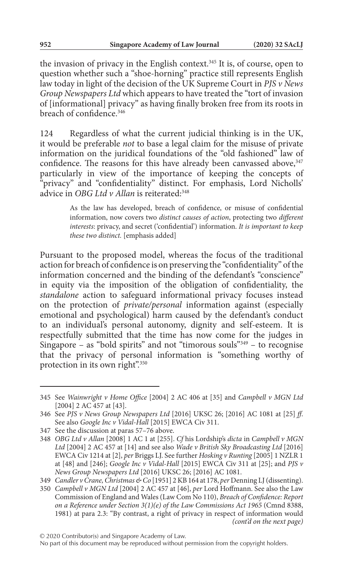the invasion of privacy in the English context.<sup>345</sup> It is, of course, open to question whether such a "shoe-horning" practice still represents English law today in light of the decision of the UK Supreme Court in *PJS v News Group Newspapers Ltd* which appears to have treated the "tort of invasion of [informational] privacy" as having finally broken free from its roots in breach of confidence<sup>346</sup>

124 Regardless of what the current judicial thinking is in the UK, it would be preferable *not* to base a legal claim for the misuse of private information on the juridical foundations of the "old fashioned" law of confidence. The reasons for this have already been canvassed above, 347 particularly in view of the importance of keeping the concepts of "privacy" and "confidentiality" distinct. For emphasis, Lord Nicholls' advice in *OBG Ltd v Allan* is reiterated:<sup>348</sup>

> As the law has developed, breach of confidence, or misuse of confidential information, now covers two *distinct causes of action*, protecting two *different interests*: privacy, and secret ('confidential') information. *It is important to keep these two distinct.* [emphasis added]

Pursuant to the proposed model, whereas the focus of the traditional action for breach of confidence is on preserving the "confidentiality" of the information concerned and the binding of the defendant's "conscience" in equity via the imposition of the obligation of confidentiality, the *standalone* action to safeguard informational privacy focuses instead on the protection of *private/personal* information against (especially emotional and psychological) harm caused by the defendant's conduct to an individual's personal autonomy, dignity and self-esteem. It is respectfully submitted that the time has now come for the judges in Singapore – as "bold spirits" and not "timorous souls"349 – to recognise that the privacy of personal information is "something worthy of protection in its own right".<sup>350</sup>

<sup>345</sup> See *Wainwright v Home Office* [2004] 2 AC 406 at [35] and *Campbell v MGN Ltd* [2004] 2 AC 457 at [43].

<sup>346</sup> See *PJS v News Group Newspapers Ltd* [2016] UKSC 26; [2016] AC 1081 at [25] *ff*. See also *Google Inc v Vidal-Hall* [2015] EWCA Civ 311.

<sup>347</sup> See the discussion at paras 57–76 above.

<sup>348</sup> *OBG Ltd v Allan* [2008] 1 AC 1 at [255]. *Cf* his Lordship's *dicta* in *Campbell v MGN Ltd* [2004] 2 AC 457 at [14] and see also *Wade v British Sky Broadcasting Ltd* [2016] EWCA Civ 1214 at [2], *per* Briggs LJ. See further *Hosking v Runting* [2005] 1 NZLR 1 at [48] and [246]; *Google Inc v Vidal-Hall* [2015] EWCA Civ 311 at [25]; and *PJS v News Group Newspapers Ltd* [2016] UKSC 26; [2016] AC 1081.

<sup>349</sup> *Candler v Crane, Christmas & Co* [1951] 2 KB 164 at 178, *per* Denning LJ (dissenting).

<sup>350</sup> *Campbell v MGN Ltd* [2004] 2 AC 457 at [46], *per* Lord Hoffmann. See also the Law Commission of England and Wales (Law Com No 110), *Breach of Confidence: Report on a Reference under Section 3(1)(e) of the Law Commissions Act 1965* (Cmnd 8388, 1981) at para 2.3: "By contrast, a right of privacy in respect of information would *(cont'd on the next page)*

No part of this document may be reproduced without permission from the copyright holders.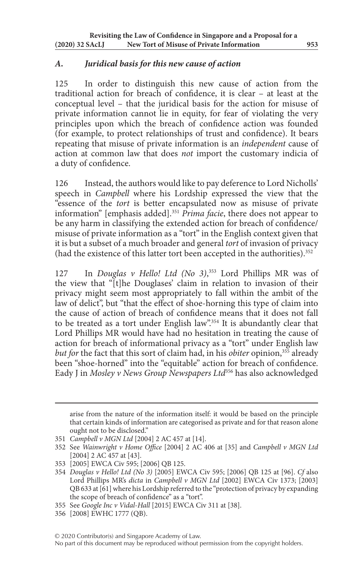### *A. Juridical basis for this new cause of action*

125 In order to distinguish this new cause of action from the traditional action for breach of confidence, it is clear – at least at the conceptual level – that the juridical basis for the action for misuse of private information cannot lie in equity, for fear of violating the very principles upon which the breach of confidence action was founded (for example, to protect relationships of trust and confidence). It bears repeating that misuse of private information is an *independent* cause of action at common law that does *not* import the customary indicia of a duty of confidence.

126 Instead, the authors would like to pay deference to Lord Nicholls' speech in *Campbell* where his Lordship expressed the view that the "essence of the *tort* is better encapsulated now as misuse of private information" [emphasis added].351 *Prima facie*, there does not appear to be any harm in classifying the extended action for breach of confidence/ misuse of private information as a "tort" in the English context given that it is but a subset of a much broader and general *tort* of invasion of privacy (had the existence of this latter tort been accepted in the authorities).<sup>352</sup>

127 In *Douglas v Hello! Ltd (No 3)*, 353 Lord Phillips MR was of the view that "[t]he Douglases' claim in relation to invasion of their privacy might seem most appropriately to fall within the ambit of the law of delict", but "that the effect of shoe-horning this type of claim into the cause of action of breach of confidence means that it does not fall to be treated as a tort under English law".<sup>354</sup> It is abundantly clear that Lord Phillips MR would have had no hesitation in treating the cause of action for breach of informational privacy as a "tort" under English law *but for* the fact that this sort of claim had, in his *obiter* opinion,<sup>355</sup> already been "shoe-horned" into the "equitable" action for breach of confidence. Eady J in *Mosley v News Group Newspapers Ltd*356 has also acknowledged

No part of this document may be reproduced without permission from the copyright holders.

arise from the nature of the information itself: it would be based on the principle that certain kinds of information are categorised as private and for that reason alone ought not to be disclosed."

<sup>351</sup> *Campbell v MGN Ltd* [2004] 2 AC 457 at [14].

<sup>352</sup> See *Wainwright v Home Office* [2004] 2 AC 406 at [35] and *Campbell v MGN Ltd* [2004] 2 AC 457 at [43].

<sup>353</sup> [2005] EWCA Civ 595; [2006] QB 125.

<sup>354</sup> *Douglas v Hello! Ltd (No 3)* [2005] EWCA Civ 595; [2006] QB 125 at [96]. *Cf* also Lord Phillips MR's *dicta* in *Campbell v MGN Ltd* [2002] EWCA Civ 1373; [2003] QB 633 at [61] where his Lordship referred to the "protection of privacy by expanding the scope of breach of confidence" as a "tort".

<sup>355</sup> See *Google Inc v Vidal-Hall* [2015] EWCA Civ 311 at [38].

<sup>356</sup> [2008] EWHC 1777 (QB).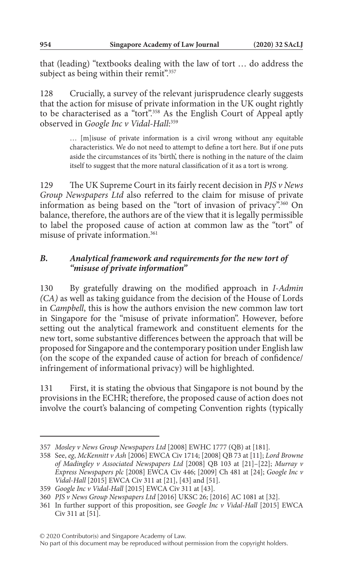that (leading) "textbooks dealing with the law of tort … do address the subject as being within their remit".<sup>357</sup>

128 Crucially, a survey of the relevant jurisprudence clearly suggests that the action for misuse of private information in the UK ought rightly to be characterised as a "tort".<sup>358</sup> As the English Court of Appeal aptly observed in *Google Inc v Vidal-Hall*: 359

> … [m]isuse of private information is a civil wrong without any equitable characteristics. We do not need to attempt to define a tort here. But if one puts aside the circumstances of its 'birth', there is nothing in the nature of the claim itself to suggest that the more natural classification of it as a tort is wrong.

129 The UK Supreme Court in its fairly recent decision in *PJS v News Group Newspapers Ltd* also referred to the claim for misuse of private information as being based on the "tort of invasion of privacy".360 On balance, therefore, the authors are of the view that it is legally permissible to label the proposed cause of action at common law as the "tort" of misuse of private information.361

## *B. Analytical framework and requirements for the new tort of "misuse of private information"*

130 By gratefully drawing on the modified approach in *I-Admin (CA)* as well as taking guidance from the decision of the House of Lords in *Campbell*, this is how the authors envision the new common law tort in Singapore for the "misuse of private information". However, before setting out the analytical framework and constituent elements for the new tort, some substantive differences between the approach that will be proposed for Singapore and the contemporary position under English law (on the scope of the expanded cause of action for breach of confidence/ infringement of informational privacy) will be highlighted.

131 First, it is stating the obvious that Singapore is not bound by the provisions in the ECHR; therefore, the proposed cause of action does not involve the court's balancing of competing Convention rights (typically

<sup>357</sup> *Mosley v News Group Newspapers Ltd* [2008] EWHC 1777 (QB) at [181].

<sup>358</sup> See, *eg*, *McKennitt v Ash* [2006] EWCA Civ 1714; [2008] QB 73 at [11]; *Lord Browne of Madingley v Associated Newspapers Ltd* [2008] QB 103 at [21]–[22]; *Murray v Express Newspapers plc* [2008] EWCA Civ 446; [2009] Ch 481 at [24]; *Google Inc v Vidal-Hall* [2015] EWCA Civ 311 at [21], [43] and [51].

<sup>359</sup> *Google Inc v Vidal-Hall* [2015] EWCA Civ 311 at [43].

<sup>360</sup> *PJS v News Group Newspapers Ltd* [2016] UKSC 26; [2016] AC 1081 at [32].

<sup>361</sup> In further support of this proposition, see *Google Inc v Vidal-Hall* [2015] EWCA Civ 311 at [51].

No part of this document may be reproduced without permission from the copyright holders.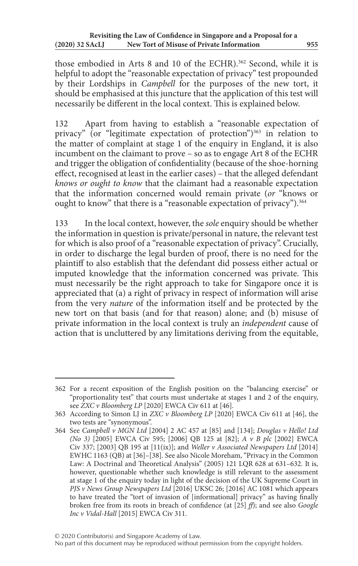those embodied in Arts 8 and 10 of the ECHR).<sup>362</sup> Second, while it is helpful to adopt the "reasonable expectation of privacy" test propounded by their Lordships in *Campbell* for the purposes of the new tort, it should be emphasised at this juncture that the application of this test will necessarily be different in the local context. This is explained below.

132 Apart from having to establish a "reasonable expectation of privacy" (or "legitimate expectation of protection") $363$  in relation to the matter of complaint at stage 1 of the enquiry in England, it is also incumbent on the claimant to prove – so as to engage Art 8 of the ECHR and trigger the obligation of confidentiality (because of the shoe-horning effect, recognised at least in the earlier cases) – that the alleged defendant *knows or ought to know* that the claimant had a reasonable expectation that the information concerned would remain private (*or* "knows or ought to know" that there is a "reasonable expectation of privacy").<sup>364</sup>

133 In the local context, however, the *sole* enquiry should be whether the information in question is private/personal in nature, the relevant test for which is also proof of a "reasonable expectation of privacy". Crucially, in order to discharge the legal burden of proof, there is no need for the plaintiff to also establish that the defendant did possess either actual or imputed knowledge that the information concerned was private. This must necessarily be the right approach to take for Singapore once it is appreciated that (a) a right of privacy in respect of information will arise from the very *nature* of the information itself and be protected by the new tort on that basis (and for that reason) alone; and (b) misuse of private information in the local context is truly an *independent* cause of action that is uncluttered by any limitations deriving from the equitable,

<sup>362</sup> For a recent exposition of the English position on the "balancing exercise" or "proportionality test" that courts must undertake at stages 1 and 2 of the enquiry, see *ZXC v Bloomberg LP* [2020] EWCA Civ 611 at [46].

<sup>363</sup> According to Simon LJ in *ZXC v Bloomberg LP* [2020] EWCA Civ 611 at [46], the two tests are "synonymous".

<sup>364</sup> See *Campbell v MGN Ltd* [2004] 2 AC 457 at [85] and [134]; *Douglas v Hello! Ltd (No 3)* [2005] EWCA Civ 595; [2006] QB 125 at [82]; *A v B plc* [2002] EWCA Civ 337; [2003] QB 195 at [11(ix)]; and *Weller v Associated Newspapers Ltd* [2014] EWHC 1163 (QB) at [36]–[38]. See also Nicole Moreham, "Privacy in the Common Law: A Doctrinal and Theoretical Analysis" (2005) 121 LQR 628 at 631–632. It is, however, questionable whether such knowledge is still relevant to the assessment at stage 1 of the enquiry today in light of the decision of the UK Supreme Court in *PJS v News Group Newspapers Ltd* [2016] UKSC 26; [2016] AC 1081 which appears to have treated the "tort of invasion of [informational] privacy" as having finally broken free from its roots in breach of confidence (at [25] *ff*); and see also *Google Inc v Vidal-Hall* [2015] EWCA Civ 311.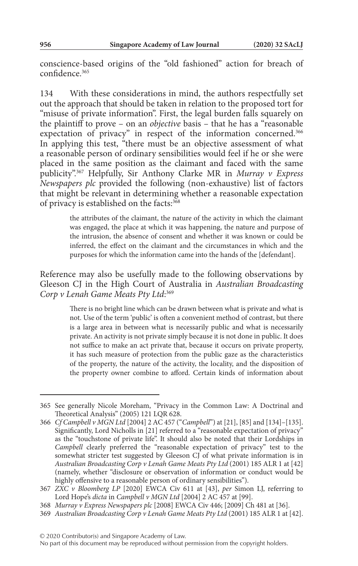conscience-based origins of the "old fashioned" action for breach of confidence.365

134 With these considerations in mind, the authors respectfully set out the approach that should be taken in relation to the proposed tort for "misuse of private information". First, the legal burden falls squarely on the plaintiff to prove – on an *objective* basis – that he has a "reasonable expectation of privacy" in respect of the information concerned.<sup>366</sup> In applying this test, "there must be an objective assessment of what a reasonable person of ordinary sensibilities would feel if he or she were placed in the same position as the claimant and faced with the same publicity".367 Helpfully, Sir Anthony Clarke MR in *Murray v Express Newspapers plc* provided the following (non-exhaustive) list of factors that might be relevant in determining whether a reasonable expectation of privacy is established on the facts:<sup>368</sup>

> the attributes of the claimant, the nature of the activity in which the claimant was engaged, the place at which it was happening, the nature and purpose of the intrusion, the absence of consent and whether it was known or could be inferred, the effect on the claimant and the circumstances in which and the purposes for which the information came into the hands of the [defendant].

Reference may also be usefully made to the following observations by Gleeson CJ in the High Court of Australia in *Australian Broadcasting Corp v Lenah Game Meats Pty Ltd*: 369

> There is no bright line which can be drawn between what is private and what is not. Use of the term 'public' is often a convenient method of contrast, but there is a large area in between what is necessarily public and what is necessarily private. An activity is not private simply because it is not done in public. It does not suffice to make an act private that, because it occurs on private property, it has such measure of protection from the public gaze as the characteristics of the property, the nature of the activity, the locality, and the disposition of the property owner combine to afford. Certain kinds of information about

<sup>365</sup> See generally Nicole Moreham, "Privacy in the Common Law: A Doctrinal and Theoretical Analysis" (2005) 121 LQR 628.

<sup>366</sup> *Cf Campbell v MGN Ltd* [2004] 2 AC 457 ("*Campbell*") at [21], [85] and [134]–[135]. Significantly, Lord Nicholls in [21] referred to a "reasonable expectation of privacy" as the "touchstone of private life". It should also be noted that their Lordships in *Campbell* clearly preferred the "reasonable expectation of privacy" test to the somewhat stricter test suggested by Gleeson CJ of what private information is in *Australian Broadcasting Corp v Lenah Game Meats Pty Ltd* (2001) 185 ALR 1 at [42] (namely, whether "disclosure or observation of information or conduct would be highly offensive to a reasonable person of ordinary sensibilities").

<sup>367</sup> *ZXC v Bloomberg LP* [2020] EWCA Civ 611 at [43], *per* Simon LJ, referring to Lord Hope's *dicta* in *Campbell v MGN Ltd* [2004] 2 AC 457 at [99].

<sup>368</sup> *Murray v Express Newspapers plc* [2008] EWCA Civ 446; [2009] Ch 481 at [36].

<sup>369</sup> *Australian Broadcasting Corp v Lenah Game Meats Pty Ltd* (2001) 185 ALR 1 at [42].

No part of this document may be reproduced without permission from the copyright holders.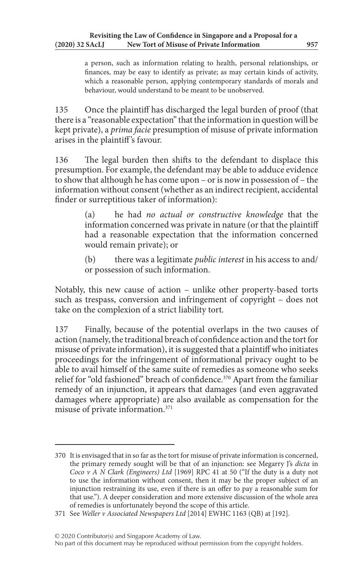a person, such as information relating to health, personal relationships, or finances, may be easy to identify as private; as may certain kinds of activity, which a reasonable person, applying contemporary standards of morals and behaviour, would understand to be meant to be unobserved.

135 Once the plaintiff has discharged the legal burden of proof (that there is a "reasonable expectation" that the information in question will be kept private), a *prima facie* presumption of misuse of private information arises in the plaintiff 's favour.

136 The legal burden then shifts to the defendant to displace this presumption. For example, the defendant may be able to adduce evidence to show that although he has come upon – or is now in possession of – the information without consent (whether as an indirect recipient, accidental finder or surreptitious taker of information):

> (a) he had *no actual or constructive knowledge* that the information concerned was private in nature (or that the plaintiff had a reasonable expectation that the information concerned would remain private); or

> (b) there was a legitimate *public interest* in his access to and/ or possession of such information.

Notably, this new cause of action – unlike other property-based torts such as trespass, conversion and infringement of copyright – does not take on the complexion of a strict liability tort.

137 Finally, because of the potential overlaps in the two causes of action (namely, the traditional breach of confidence action and the tort for misuse of private information), it is suggested that a plaintiff who initiates proceedings for the infringement of informational privacy ought to be able to avail himself of the same suite of remedies as someone who seeks relief for "old fashioned" breach of confidence.<sup>370</sup> Apart from the familiar remedy of an injunction, it appears that damages (and even aggravated damages where appropriate) are also available as compensation for the misuse of private information.371

<sup>370</sup> It is envisaged that in so far as the tort for misuse of private information is concerned, the primary remedy sought will be that of an injunction: see Megarry J's *dicta* in *Coco v A N Clark (Engineers) Ltd* [1969] RPC 41 at 50 ("If the duty is a duty not to use the information without consent, then it may be the proper subject of an injunction restraining its use, even if there is an offer to pay a reasonable sum for that use."). A deeper consideration and more extensive discussion of the whole area of remedies is unfortunately beyond the scope of this article.

<sup>371</sup> See *Weller v Associated Newspapers Ltd* [2014] EWHC 1163 (QB) at [192].

No part of this document may be reproduced without permission from the copyright holders.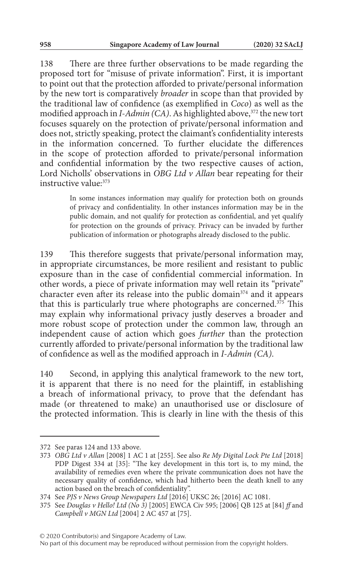138 There are three further observations to be made regarding the proposed tort for "misuse of private information". First, it is important to point out that the protection afforded to private/personal information by the new tort is comparatively *broader* in scope than that provided by the traditional law of confidence (as exemplified in *Coco*) as well as the modified approach in *I-Admin* (CA). As highlighted above,<sup>372</sup> the new tort focuses squarely on the protection of private/personal information and does not, strictly speaking, protect the claimant's confidentiality interests in the information concerned. To further elucidate the differences in the scope of protection afforded to private/personal information and confidential information by the two respective causes of action, Lord Nicholls' observations in *OBG Ltd v Allan* bear repeating for their instructive value: 373

> In some instances information may qualify for protection both on grounds of privacy and confidentiality. In other instances information may be in the public domain, and not qualify for protection as confidential, and yet qualify for protection on the grounds of privacy. Privacy can be invaded by further publication of information or photographs already disclosed to the public.

139 This therefore suggests that private/personal information may, in appropriate circumstances, be more resilient and resistant to public exposure than in the case of confidential commercial information. In other words, a piece of private information may well retain its "private" character even after its release into the public domain<sup>374</sup> and it appears that this is particularly true where photographs are concerned.<sup>375</sup> This may explain why informational privacy justly deserves a broader and more robust scope of protection under the common law, through an independent cause of action which goes *further* than the protection currently afforded to private/personal information by the traditional law of confidence as well as the modified approach in *I-Admin (CA)*.

140 Second, in applying this analytical framework to the new tort, it is apparent that there is no need for the plaintiff, in establishing a breach of informational privacy, to prove that the defendant has made (or threatened to make) an unauthorised use or disclosure of the protected information. This is clearly in line with the thesis of this

<sup>372</sup> See paras 124 and 133 above.

<sup>373</sup> *OBG Ltd v Allan* [2008] 1 AC 1 at [255]. See also *Re My Digital Lock Pte Ltd* [2018] PDP Digest 334 at [35]: "The key development in this tort is, to my mind, the availability of remedies even where the private communication does not have the necessary quality of confidence, which had hitherto been the death knell to any action based on the breach of confidentiality".

<sup>374</sup> See *PJS v News Group Newspapers Ltd* [2016] UKSC 26; [2016] AC 1081.

<sup>375</sup> See *Douglas v Hello! Ltd (No 3)* [2005] EWCA Civ 595; [2006] QB 125 at [84] *ff* and *Campbell v MGN Ltd* [2004] 2 AC 457 at [75].

No part of this document may be reproduced without permission from the copyright holders.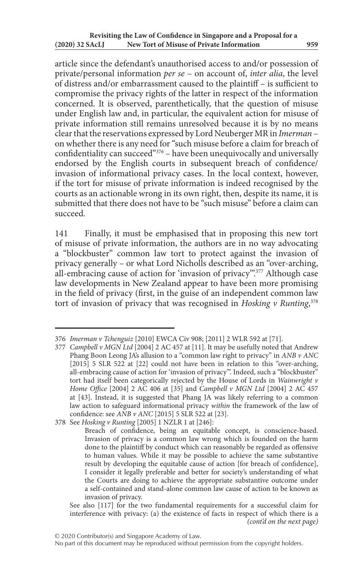article since the defendant's unauthorised access to and/or possession of private/personal information *per se* – on account of, *inter alia*, the level of distress and/or embarrassment caused to the plaintiff – is sufficient to compromise the privacy rights of the latter in respect of the information concerned. It is observed, parenthetically, that the question of misuse under English law and, in particular, the equivalent action for misuse of private information still remains unresolved because it is by no means clear that the reservations expressed by Lord Neuberger MR in *Imerman* – on whether there is any need for "such misuse before a claim for breach of confidentiality can succeed"376 – have been unequivocally and universally endorsed by the English courts in subsequent breach of confidence/ invasion of informational privacy cases. In the local context, however, if the tort for misuse of private information is indeed recognised by the courts as an actionable wrong in its own right, then, despite its name, it is submitted that there does not have to be "such misuse" before a claim can succeed.

141 Finally, it must be emphasised that in proposing this new tort of misuse of private information, the authors are in no way advocating a "blockbuster" common law tort to protect against the invasion of privacy generally – or what Lord Nicholls described as an "over-arching, all-embracing cause of action for 'invasion of privacy".<sup>377</sup> Although case law developments in New Zealand appear to have been more promising in the field of privacy (first, in the guise of an independent common law tort of invasion of privacy that was recognised in *Hosking v Runting*, 378

<sup>376</sup> *Imerman v Tchenguiz* [2010] EWCA Civ 908; [2011] 2 WLR 592 at [71].

<sup>377</sup> *Campbell v MGN Ltd* [2004] 2 AC 457 at [11]. It may be usefully noted that Andrew Phang Boon Leong JA's allusion to a "common law right to privacy" in *ANB v ANC* [2015] 5 SLR 522 at [22] could not have been in relation to this "over-arching, all-embracing cause of action for 'invasion of privacy'". Indeed, such a "blockbuster" tort had itself been categorically rejected by the House of Lords in *Wainwright v Home Office* [2004] 2 AC 406 at [35] and *Campbell v MGN Ltd* [2004] 2 AC 457 at [43]. Instead, it is suggested that Phang JA was likely referring to a common law action to safeguard informational privacy *within* the framework of the law of confidence: see *ANB v ANC* [2015] 5 SLR 522 at [23].

<sup>378</sup> See *Hosking v Runting* [2005] 1 NZLR 1 at [246]:

Breach of confidence, being an equitable concept, is conscience-based. Invasion of privacy is a common law wrong which is founded on the harm done to the plaintiff by conduct which can reasonably be regarded as offensive to human values. While it may be possible to achieve the same substantive result by developing the equitable cause of action [for breach of confidence], I consider it legally preferable and better for society's understanding of what the Courts are doing to achieve the appropriate substantive outcome under a self-contained and stand-alone common law cause of action to be known as invasion of privacy.

See also [117] for the two fundamental requirements for a successful claim for interference with privacy: (a) the existence of facts in respect of which there is a *(cont'd on the next page)*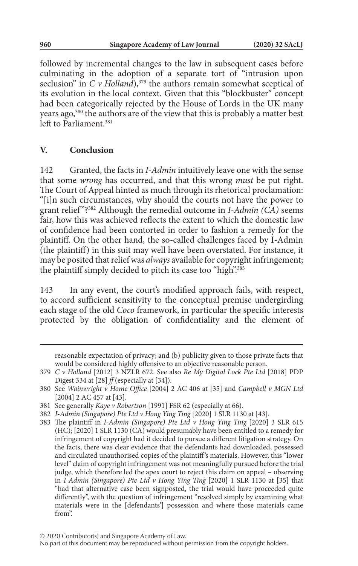followed by incremental changes to the law in subsequent cases before culminating in the adoption of a separate tort of "intrusion upon seclusion" in  $C$  v Holland),<sup>379</sup> the authors remain somewhat sceptical of its evolution in the local context. Given that this "blockbuster" concept had been categorically rejected by the House of Lords in the UK many years ago,<sup>380</sup> the authors are of the view that this is probably a matter best left to Parliament<sup>381</sup>

### **V. Conclusion**

142 Granted, the facts in *I-Admin* intuitively leave one with the sense that some *wrong* has occurred, and that this wrong *must* be put right. The Court of Appeal hinted as much through its rhetorical proclamation: "[i]n such circumstances, why should the courts not have the power to grant relief "?382 Although the remedial outcome in *I-Admin (CA)* seems fair, how this was achieved reflects the extent to which the domestic law of confidence had been contorted in order to fashion a remedy for the plaintiff. On the other hand, the so-called challenges faced by I-Admin (the plaintiff) in this suit may well have been overstated. For instance, it may be posited that relief was *always* available for copyright infringement; the plaintiff simply decided to pitch its case too "high".<sup>383</sup>

143 In any event, the court's modified approach fails, with respect, to accord sufficient sensitivity to the conceptual premise undergirding each stage of the old *Coco* framework, in particular the specific interests protected by the obligation of confidentiality and the element of

reasonable expectation of privacy; and (b) publicity given to those private facts that would be considered highly offensive to an objective reasonable person.

<sup>379</sup> *C v Holland* [2012] 3 NZLR 672. See also *Re My Digital Lock Pte Ltd* [2018] PDP Digest 334 at [28]  $f$  (especially at [34]).

<sup>380</sup> See *Wainwright v Home Office* [2004] 2 AC 406 at [35] and *Campbell v MGN Ltd* [2004] 2 AC 457 at [43].

<sup>381</sup> See generally *Kaye v Robertson* [1991] FSR 62 (especially at 66).

<sup>382</sup> *I-Admin (Singapore) Pte Ltd v Hong Ying Ting* [2020] 1 SLR 1130 at [43].

<sup>383</sup> The plaintiff in *I-Admin (Singapore) Pte Ltd v Hong Ying Ting* [2020] 3 SLR 615 (HC); [2020] 1 SLR 1130 (CA) would presumably have been entitled to a remedy for infringement of copyright had it decided to pursue a different litigation strategy. On the facts, there was clear evidence that the defendants had downloaded, possessed and circulated unauthorised copies of the plaintiff 's materials. However, this "lower level" claim of copyright infringement was not meaningfully pursued before the trial judge, which therefore led the apex court to reject this claim on appeal – observing in *I-Admin (Singapore) Pte Ltd v Hong Ying Ting* [2020] 1 SLR 1130 at [35] that "had that alternative case been signposted, the trial would have proceeded quite differently", with the question of infringement "resolved simply by examining what materials were in the [defendants'] possession and where those materials came from".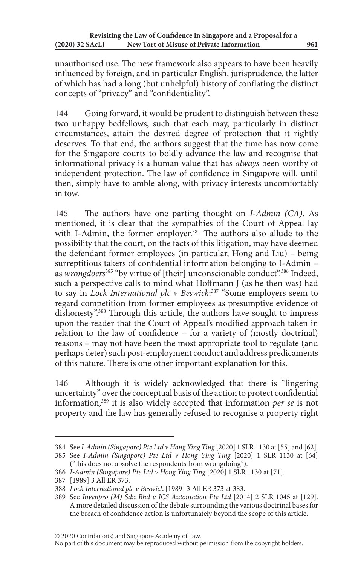unauthorised use. The new framework also appears to have been heavily influenced by foreign, and in particular English, jurisprudence, the latter of which has had a long (but unhelpful) history of conflating the distinct concepts of "privacy" and "confidentiality".

144 Going forward, it would be prudent to distinguish between these two unhappy bedfellows, such that each may, particularly in distinct circumstances, attain the desired degree of protection that it rightly deserves. To that end, the authors suggest that the time has now come for the Singapore courts to boldly advance the law and recognise that informational privacy is a human value that has *always* been worthy of independent protection. The law of confidence in Singapore will, until then, simply have to amble along, with privacy interests uncomfortably in tow.

145 The authors have one parting thought on *I-Admin (CA)*. As mentioned, it is clear that the sympathies of the Court of Appeal lay with I-Admin, the former employer.<sup>384</sup> The authors also allude to the possibility that the court, on the facts of this litigation, may have deemed the defendant former employees (in particular, Hong and Liu) – being surreptitious takers of confidential information belonging to I-Admin – as *wrongdoers*<sup>385</sup> "by virtue of [their] unconscionable conduct".<sup>386</sup> Indeed, such a perspective calls to mind what Hoffmann J (as he then was) had to say in *Lock International plc v Beswick*: 387 "Some employers seem to regard competition from former employees as presumptive evidence of dishonesty".<sup>388</sup> Through this article, the authors have sought to impress upon the reader that the Court of Appeal's modified approach taken in relation to the law of confidence – for a variety of (mostly doctrinal) reasons – may not have been the most appropriate tool to regulate (and perhaps deter) such post-employment conduct and address predicaments of this nature. There is one other important explanation for this.

146 Although it is widely acknowledged that there is "lingering uncertainty" over the conceptual basis of the action to protect confidential information,389 it is also widely accepted that information *per se* is not property and the law has generally refused to recognise a property right

<sup>384</sup> See *I-Admin (Singapore) Pte Ltd v Hong Ying Ting* [2020] 1 SLR 1130 at [55] and [62].

<sup>385</sup> See *I-Admin (Singapore) Pte Ltd v Hong Ying Ting* [2020] 1 SLR 1130 at [64] ("this does not absolve the respondents from wrongdoing").

<sup>386</sup> *I-Admin (Singapore) Pte Ltd v Hong Ying Ting* [2020] 1 SLR 1130 at [71].

<sup>387</sup> [1989] 3 All ER 373.

<sup>388</sup> *Lock International plc v Beswick* [1989] 3 All ER 373 at 383.

<sup>389</sup> See *Invenpro (M) Sdn Bhd v JCS Automation Pte Ltd* [2014] 2 SLR 1045 at [129]. A more detailed discussion of the debate surrounding the various doctrinal bases for the breach of confidence action is unfortunately beyond the scope of this article.

No part of this document may be reproduced without permission from the copyright holders.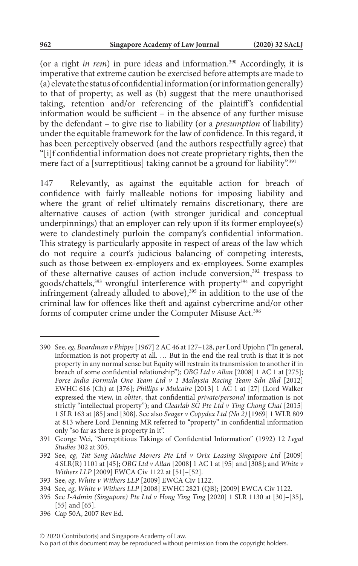(or a right *in rem*) in pure ideas and information.390 Accordingly, it is imperative that extreme caution be exercised before attempts are made to (a) elevate the status of confidential information (or information generally) to that of property; as well as (b) suggest that the mere unauthorised taking, retention and/or referencing of the plaintiff's confidential information would be sufficient – in the absence of any further misuse by the defendant – to give rise to liability (or a *presumption* of liability) under the equitable framework for the law of confidence. In this regard, it has been perceptively observed (and the authors respectfully agree) that "[i]f confidential information does not create proprietary rights, then the mere fact of a [surreptitious] taking cannot be a ground for liability".<sup>391</sup>

147 Relevantly, as against the equitable action for breach of confidence with fairly malleable notions for imposing liability and where the grant of relief ultimately remains discretionary, there are alternative causes of action (with stronger juridical and conceptual underpinnings) that an employer can rely upon if its former employee(s) were to clandestinely purloin the company's confidential information. This strategy is particularly apposite in respect of areas of the law which do not require a court's judicious balancing of competing interests, such as those between ex-employers and ex-employees. Some examples of these alternative causes of action include conversion,392 trespass to goods/chattels,<sup>393</sup> wrongful interference with property<sup>394</sup> and copyright infringement (already alluded to above),<sup>395</sup> in addition to the use of the criminal law for offences like theft and against cybercrime and/or other forms of computer crime under the Computer Misuse Act.<sup>396</sup>

<sup>390</sup> See, *eg*, *Boardman v Phipps* [1967] 2 AC 46 at 127–128, *per* Lord Upjohn ("In general, information is not property at all. … But in the end the real truth is that it is not property in any normal sense but Equity will restrain its transmission to another if in breach of some confidential relationship"); *OBG Ltd v Allan* [2008] 1 AC 1 at [275]; *Force India Formula One Team Ltd v 1 Malaysia Racing Team Sdn Bhd* [2012] EWHC 616 (Ch) at [376]; *Phillips v Mulcaire* [2013] 1 AC 1 at [27] (Lord Walker expressed the view, in *obiter*, that confidential *private/personal* information is not strictly "intellectual property"); and *Clearlab SG Pte Ltd v Ting Chong Chai* [2015] 1 SLR 163 at [85] and [308]. See also *Seager v Copydex Ltd (No 2)* [1969] 1 WLR 809 at 813 where Lord Denning MR referred to "property" in confidential information only "so far as there is property in it".

<sup>391</sup> George Wei, "Surreptitious Takings of Confidential Information" (1992) 12 *Legal Studies* 302 at 305.

<sup>392</sup> See, *eg*, *Tat Seng Machine Movers Pte Ltd v Orix Leasing Singapore Ltd* [2009] 4 SLR(R) 1101 at [45]; *OBG Ltd v Allan* [2008] 1 AC 1 at [95] and [308]; and *White v Withers LLP* [2009] EWCA Civ 1122 at [51]–[52].

<sup>393</sup> See, *eg*, *White v Withers LLP* [2009] EWCA Civ 1122.

<sup>394</sup> See, *eg*, *White v Withers LLP* [2008] EWHC 2821 (QB); [2009] EWCA Civ 1122.

<sup>395</sup> See *I-Admin (Singapore) Pte Ltd v Hong Ying Ting* [2020] 1 SLR 1130 at [30]–[35], [55] and [65].

<sup>396</sup> Cap 50A, 2007 Rev Ed.

No part of this document may be reproduced without permission from the copyright holders.